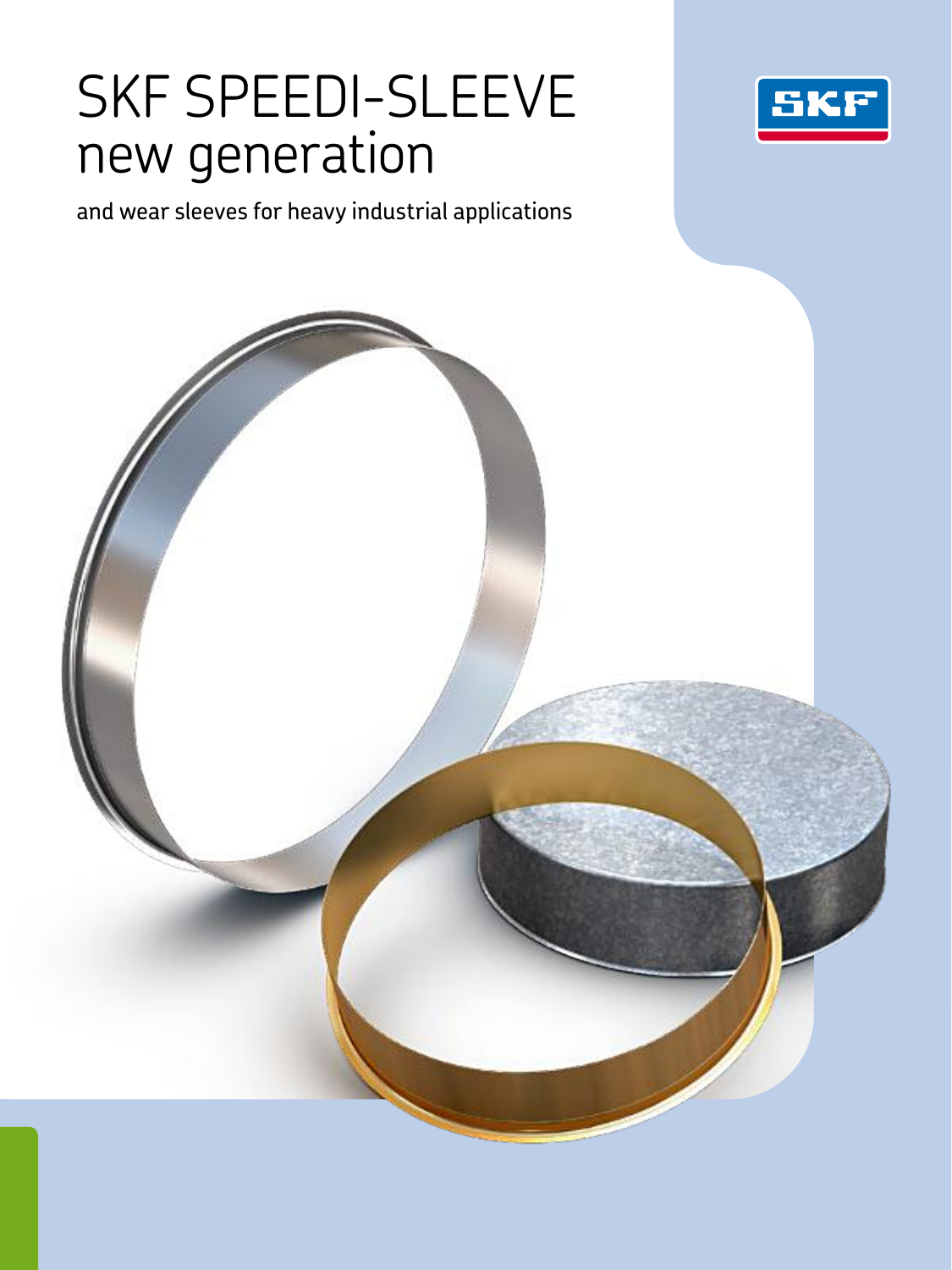# SKF SPEEDI-SLEEVE new generation



and wear sleeves for heavy industrial applications

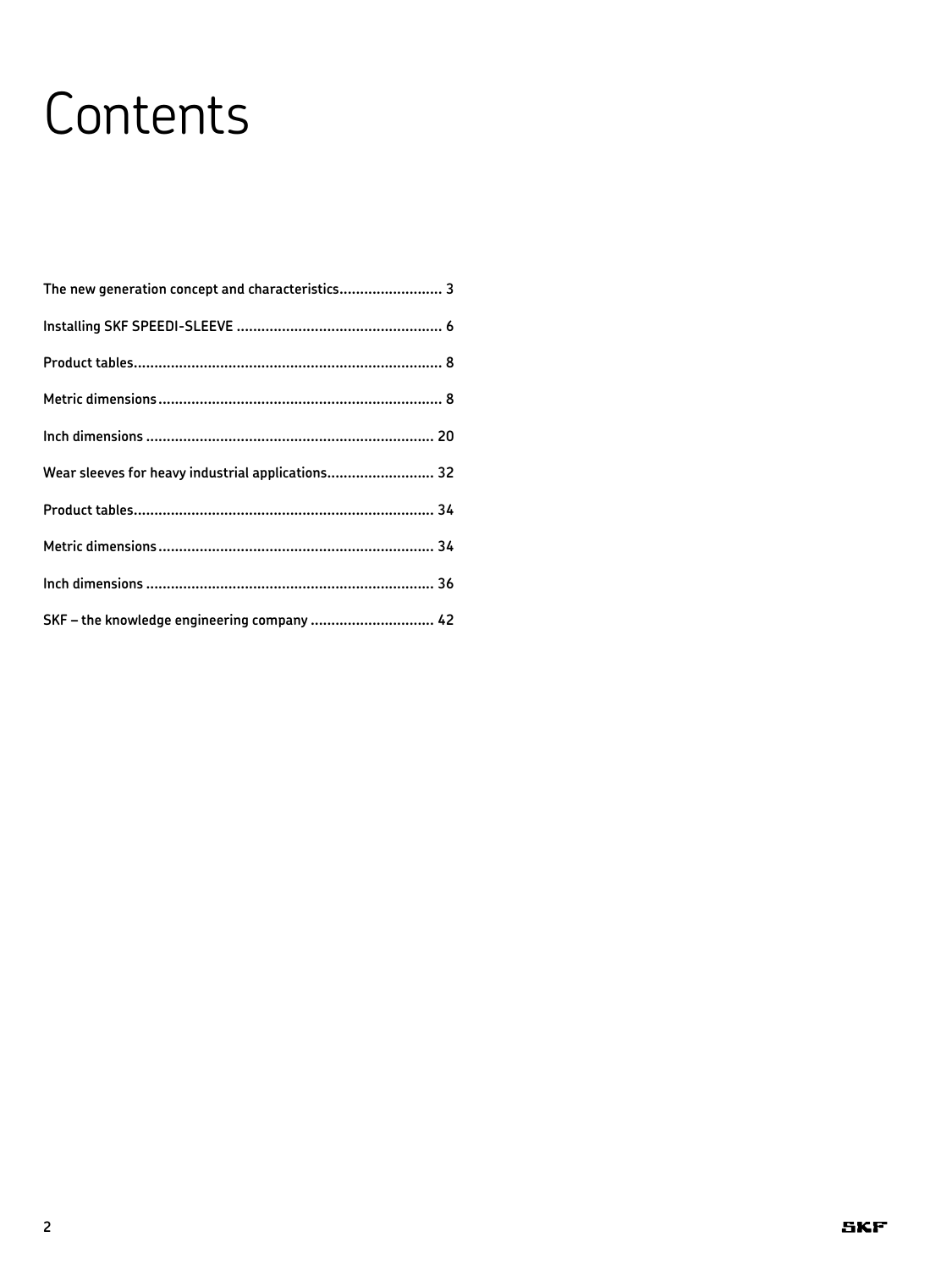# **Contents**

| The new generation concept and characteristics 3  |
|---------------------------------------------------|
|                                                   |
|                                                   |
|                                                   |
|                                                   |
| Wear sleeves for heavy industrial applications 32 |
|                                                   |
|                                                   |
|                                                   |
| SKF - the knowledge engineering company  42       |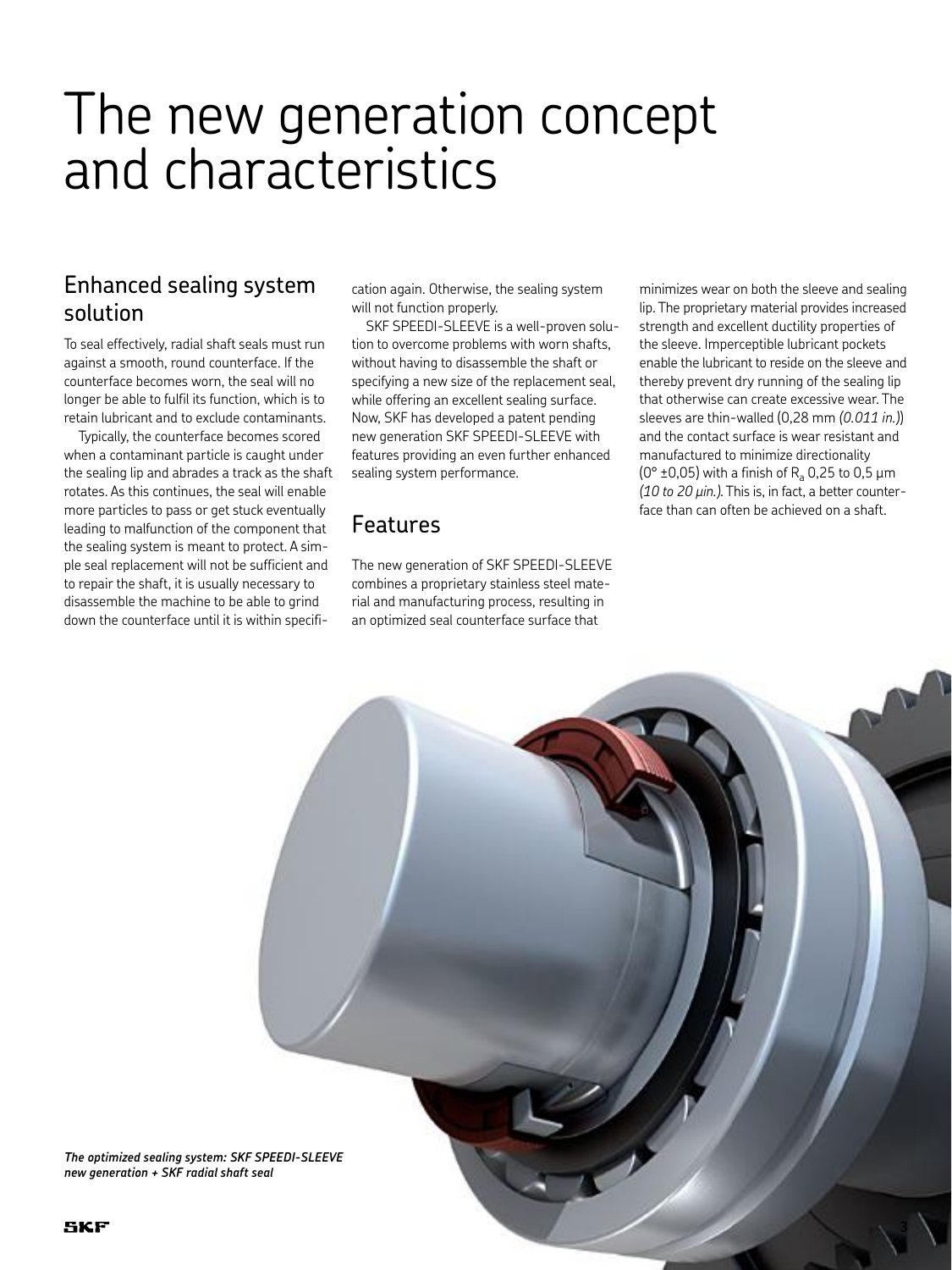# The new generation concept and characteristics

## Enhanced sealing system solution

To seal effectively, radial shaft seals must run against a smooth, round counterface. If the counterface becomes worn, the seal will no longer be able to fulfil its function, which is to retain lubricant and to exclude contaminants.

Typically, the counterface becomes scored when a contaminant particle is caught under the sealing lip and abrades a track as the shaft rotates. As this continues, the seal will enable more particles to pass or get stuck eventually leading to malfunction of the component that the sealing system is meant to protect. A simple seal replacement will not be sufficient and to repair the shaft, it is usually necessary to disassemble the machine to be able to grind down the counterface until it is within specifi-

cation again. Otherwise, the sealing system will not function properly.

SKF SPEEDI-SLEEVE is a well-proven solution to overcome problems with worn shafts, without having to disassemble the shaft or specifying a new size of the replacement seal, while offering an excellent sealing surface. Now, SKF has developed a patent pending new generation SKF SPEEDI-SLEEVE with features providing an even further enhanced sealing system performance.

## Features

The new generation of SKF SPEEDI-SLEEVE combines a proprietary stainless steel material and manufacturing process, resulting in an optimized seal counterface surface that

minimizes wear on both the sleeve and sealing lip. The proprietary material provides increased strength and excellent ductility properties of the sleeve. Imperceptible lubricant pockets enable the lubricant to reside on the sleeve and thereby prevent dry running of the sealing lip that otherwise can create excessive wear. The sleeves are thin-walled (0,28 mm *(0.011 in.)*) and the contact surface is wear resistant and manufactured to minimize directionality ( $0^{\circ}$  ±0,05) with a finish of R<sub>a</sub> 0,25 to 0,5 µm *(10 to 20 µin.)*. This is, in fact, a better counterface than can often be achieved on a shaft.



*The optimized sealing system: SKF SPEEDI-SLEEVE new generation + SKF radial shaft seal*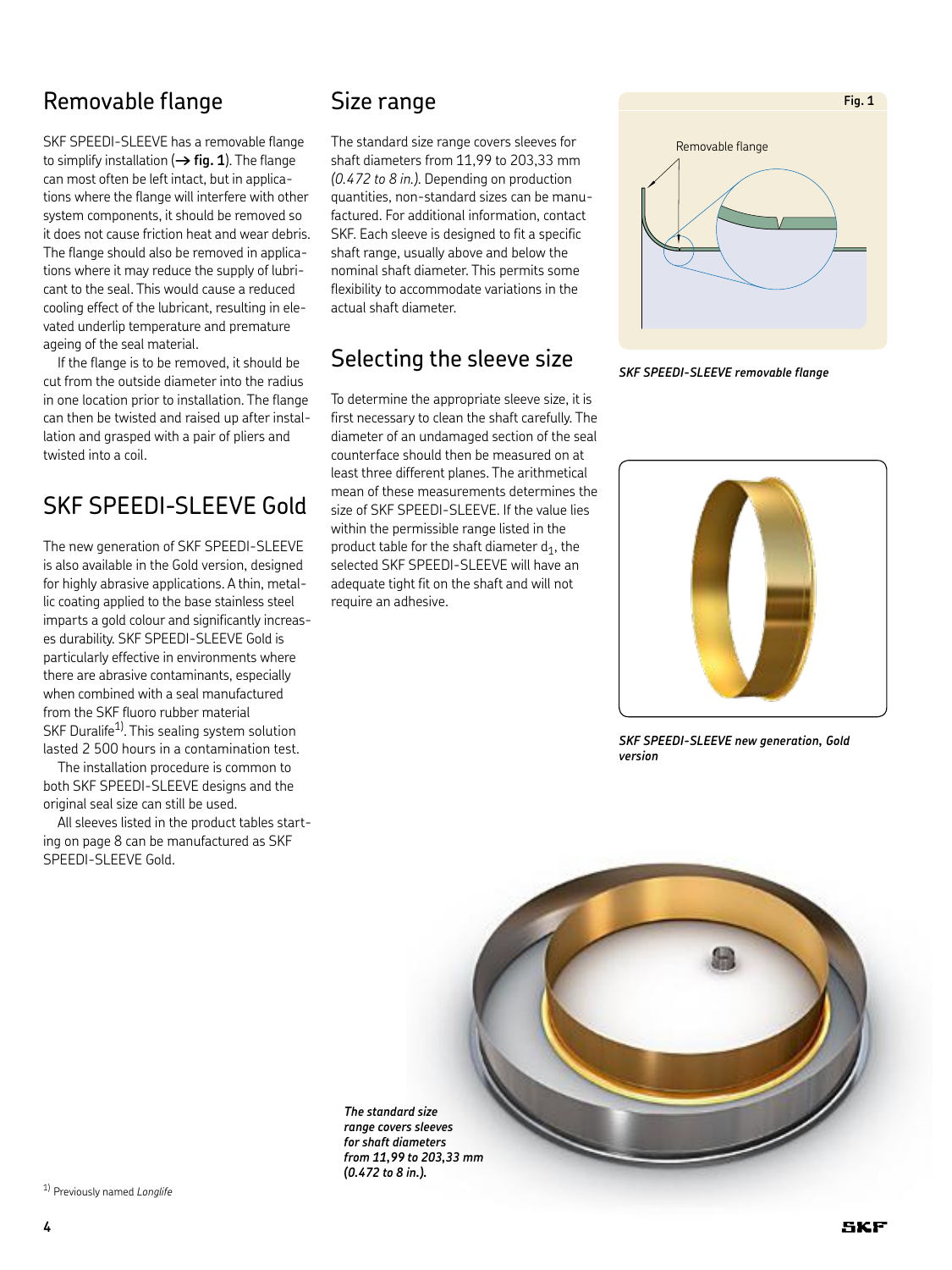## Removable flange

SKF SPEEDI-SLEEVE has a removable flange to simplify installation (**† fig. 1**). The flange can most often be left intact, but in applications where the flange will interfere with other system components, it should be removed so it does not cause friction heat and wear debris. The flange should also be removed in applications where it may reduce the supply of lubricant to the seal. This would cause a reduced cooling effect of the lubricant, resulting in elevated underlip temperature and premature ageing of the seal material.

If the flange is to be removed, it should be cut from the outside diameter into the radius in one location prior to installation. The flange can then be twisted and raised up after installation and grasped with a pair of pliers and twisted into a coil.

## SKF SPEEDI-SLEEVE Gold

The new generation of SKF SPEEDI-SLEEVE is also available in the Gold version, designed for highly abrasive applications. A thin, metallic coating applied to the base stainless steel imparts a gold colour and significantly increases durability. SKF SPEEDI-SLEEVE Gold is particularly effective in environments where there are abrasive contaminants, especially when combined with a seal manufactured from the SKF fluoro rubber material SKF Duralife<sup>1)</sup>. This sealing system solution lasted 2 500 hours in a contamination test.

The installation procedure is common to both SKF SPEEDI-SLEEVE designs and the original seal size can still be used.

All sleeves listed in the product tables starting on page 8 can be manufactured as SKF SPEEDI-SLEEVE Gold.

### Size range

The standard size range covers sleeves for shaft diameters from 11,99 to 203,33 mm *(0.472 to 8 in.)*. Depending on production quantities, non-standard sizes can be manufactured. For additional information, contact SKF. Each sleeve is designed to fit a specific shaft range, usually above and below the nominal shaft diameter. This permits some flexibility to accommodate variations in the actual shaft diameter.

## Selecting the sleeve size

To determine the appropriate sleeve size, it is first necessary to clean the shaft carefully. The diameter of an undamaged section of the seal counterface should then be measured on at least three different planes. The arithmetical mean of these measurements determines the size of SKF SPEEDI-SLEEVE. If the value lies within the permissible range listed in the product table for the shaft diameter  $d_1$ , the selected SKF SPEEDI-SLEEVE will have an adequate tight fit on the shaft and will not require an adhesive.







*SKF SPEEDI-SLEEVE new generation, Gold version* 



1) Previously named *Longlife*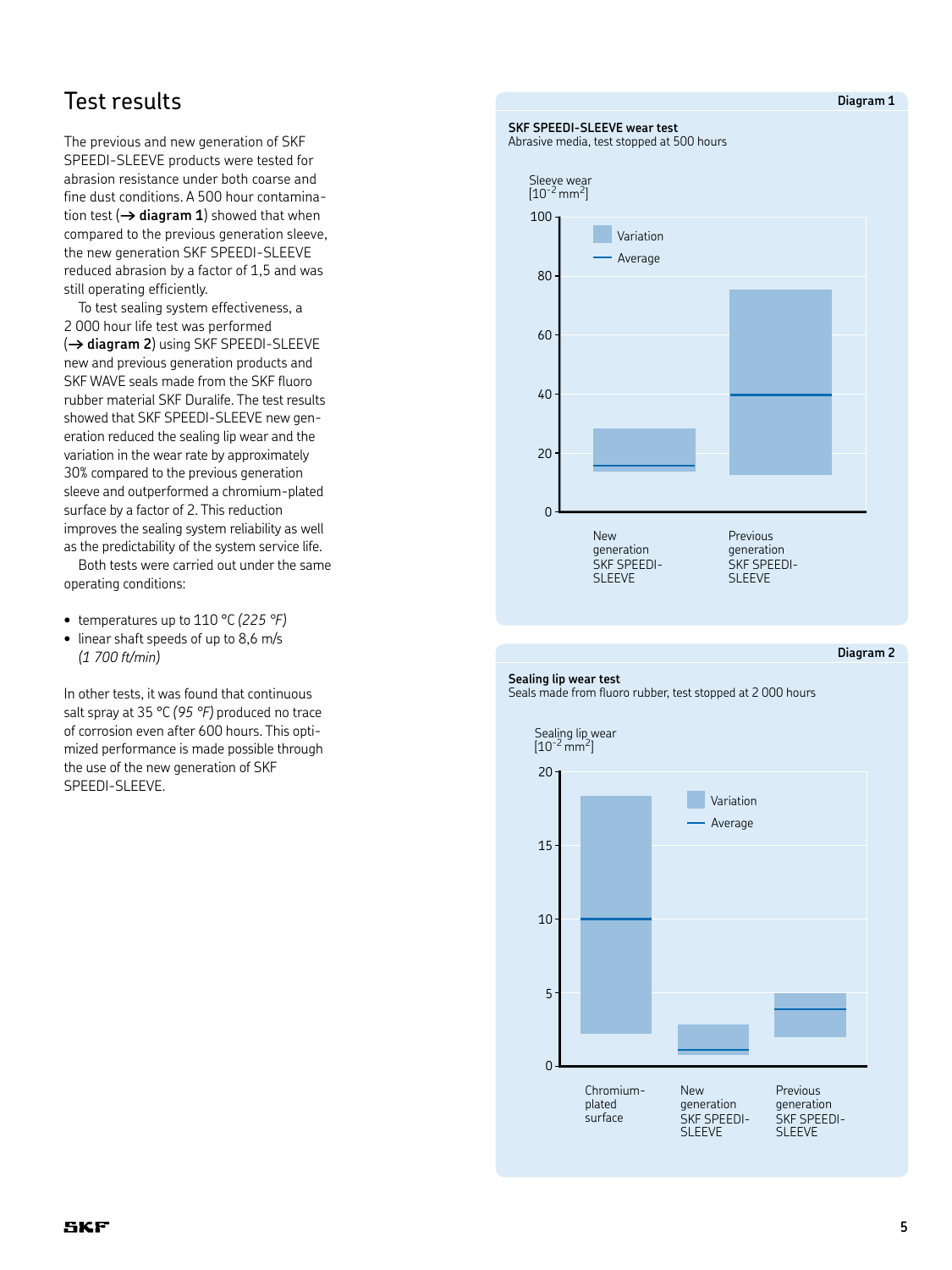## Test results

The previous and new generation of SKF SPEEDI-SLEEVE products were tested for abrasion resistance under both coarse and fine dust conditions. A 500 hour contamination test  $(\rightarrow$  diagram 1) showed that when compared to the previous generation sleeve, the new generation SKF SPEEDI-SLEEVE reduced abrasion by a factor of 1,5 and was still operating efficiently.

To test sealing system effectiveness, a 2 000 hour life test was performed (**† diagram 2**) using SKF SPEEDI-SLEEVE new and previous generation products and SKF WAVE seals made from the SKF fluoro rubber material SKF Duralife. The test results showed that SKF SPEEDI-SLEEVE new generation reduced the sealing lip wear and the variation in the wear rate by approximately 30% compared to the previous generation sleeve and outperformed a chromium-plated surface by a factor of 2. This reduction improves the sealing system reliability as well as the predictability of the system service life.

Both tests were carried out under the same operating conditions:

- • temperatures up to 110 °C *(225 °F)*
- linear shaft speeds of up to 8,6 m/s *(1 700 ft/min)*

In other tests, it was found that continuous salt spray at 35 °C *(95 °F)* produced no trace of corrosion even after 600 hours. This optimized performance is made possible through the use of the new generation of SKF SPEEDI-SLEEVE.

# **SKF SPEEDI-SLEEVE wear test**  Abrasive media, test stopped at 500 hours Sleeve wear<br>[10<sup>-2</sup> mm<sup>2</sup>] New 100  $\overline{0}$ 80 60 40 20 Variation Average

Previous generation SKF SPEEDI-SLEEVE

#### **Diagram 2**

#### **Sealing lip wear test** Seals made from fluoro rubber, test stopped at 2 000 hours

generation SKF SPEEDI-**SLEEVE** 



#### **Diagram 1**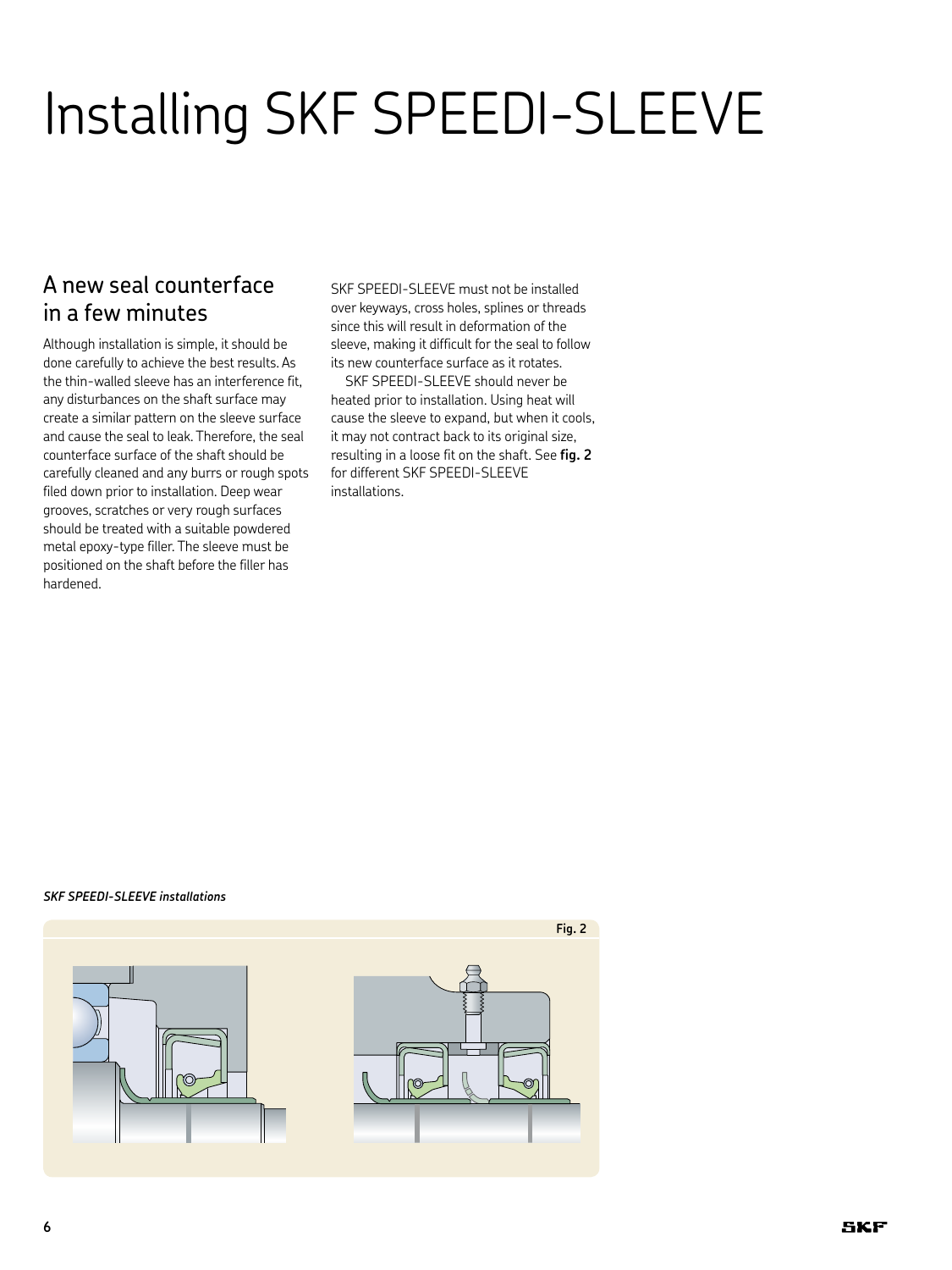# Installing SKF SPEEDI-SLEEVE

## A new seal counterface in a few minutes

Although installation is simple, it should be done carefully to achieve the best results. As the thin-walled sleeve has an interference fit, any disturbances on the shaft surface may create a similar pattern on the sleeve surface and cause the seal to leak. Therefore, the seal counterface surface of the shaft should be carefully cleaned and any burrs or rough spots filed down prior to installation. Deep wear grooves, scratches or very rough surfaces should be treated with a suitable powdered metal epoxy-type filler. The sleeve must be positioned on the shaft before the filler has hardened.

SKF SPEEDI-SLEEVE must not be installed over keyways, cross holes, splines or threads since this will result in deformation of the sleeve, making it difficult for the seal to follow its new counterface surface as it rotates.

SKF SPEEDI-SLEEVE should never be heated prior to installation. Using heat will cause the sleeve to expand, but when it cools, it may not contract back to its original size, resulting in a loose fit on the shaft. See **fig. 2** for different SKF SPEEDI-SLEEVE installations.

#### *SKF SPEEDI-SLEEVE installations*

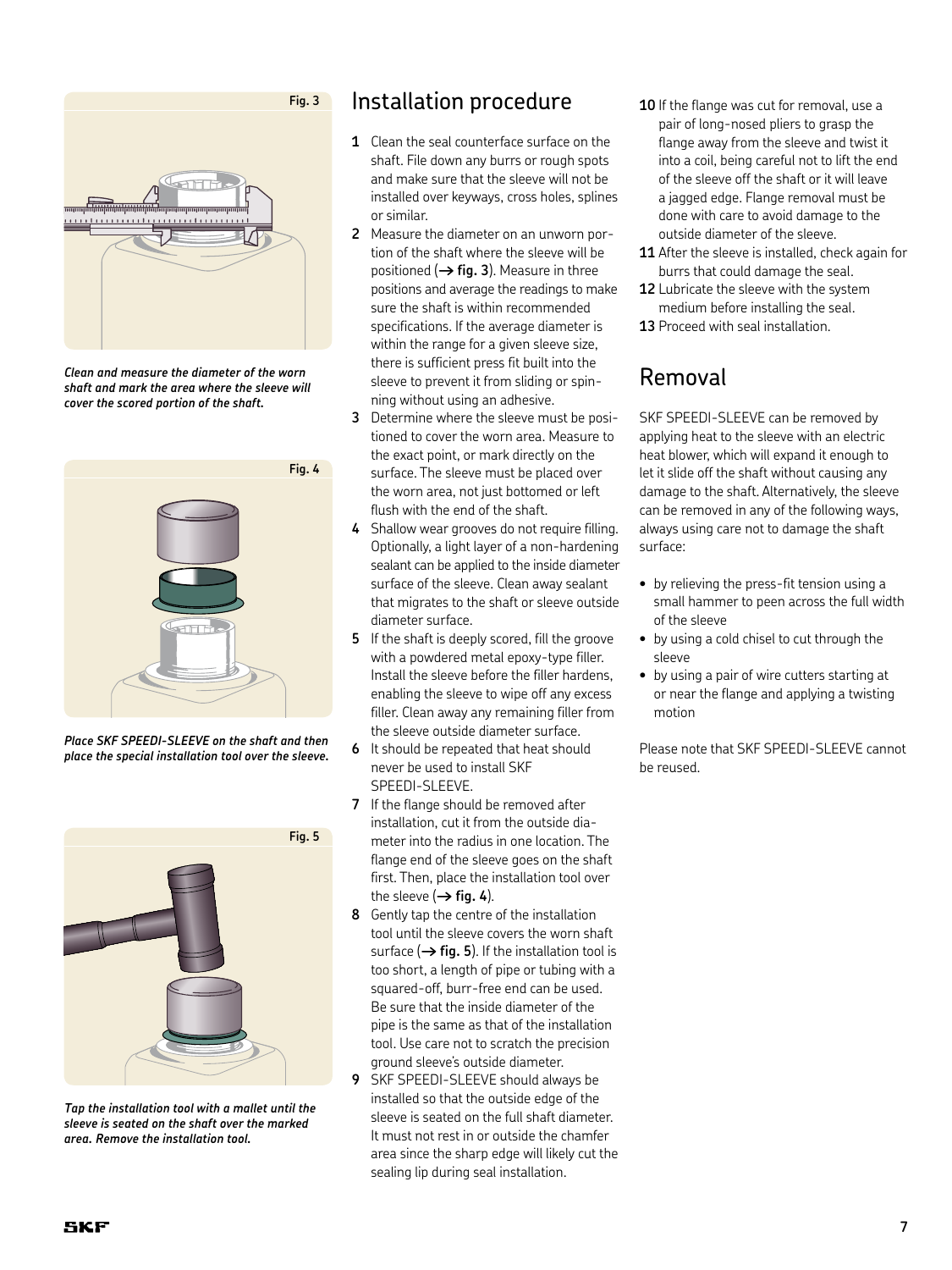

*Clean and measure the diameter of the worn shaft and mark the area where the sleeve will cover the scored portion of the shaft.*



*Place SKF SPEEDI-SLEEVE on the shaft and then place the special installation tool over the sleeve.*



*Tap the installation tool with a mallet until the sleeve is seated on the shaft over the marked area. Remove the installation tool.*

### Installation procedure

- **1** Clean the seal counterface surface on the shaft. File down any burrs or rough spots and make sure that the sleeve will not be installed over keyways, cross holes, splines or similar.
- **2** Measure the diameter on an unworn portion of the shaft where the sleeve will be positioned (**† fig. 3**). Measure in three positions and average the readings to make sure the shaft is within recommended specifications. If the average diameter is within the range for a given sleeve size. there is sufficient press fit built into the sleeve to prevent it from sliding or spinning without using an adhesive.
- **3** Determine where the sleeve must be positioned to cover the worn area. Measure to the exact point, or mark directly on the surface. The sleeve must be placed over the worn area, not just bottomed or left flush with the end of the shaft.
- **4** Shallow wear grooves do not require filling. Optionally, a light layer of a non-hardening sealant can be applied to the inside diameter surface of the sleeve. Clean away sealant that migrates to the shaft or sleeve outside diameter surface.
- **5** If the shaft is deeply scored, fill the groove with a powdered metal epoxy-type filler. Install the sleeve before the filler hardens, enabling the sleeve to wipe off any excess filler. Clean away any remaining filler from the sleeve outside diameter surface.
- **6** It should be repeated that heat should never be used to install SKF SPEEDI-SLEEVE.
- **7** If the flange should be removed after installation, cut it from the outside diameter into the radius in one location. The flange end of the sleeve goes on the shaft first. Then, place the installation tool over the sleeve  $(\rightarrow$  fig. 4).
- **8** Gently tap the centre of the installation tool until the sleeve covers the worn shaft surface  $(\rightarrow$  fig. 5). If the installation tool is too short, a length of pipe or tubing with a squared-off, burr-free end can be used. Be sure that the inside diameter of the pipe is the same as that of the installation tool. Use care not to scratch the precision ground sleeve's outside diameter.
- **9** SKF SPEEDI-SLEEVE should always be installed so that the outside edge of the sleeve is seated on the full shaft diameter. It must not rest in or outside the chamfer area since the sharp edge will likely cut the sealing lip during seal installation.
- **10** If the flange was cut for removal, use a pair of long-nosed pliers to grasp the flange away from the sleeve and twist it into a coil, being careful not to lift the end of the sleeve off the shaft or it will leave a jagged edge. Flange removal must be done with care to avoid damage to the outside diameter of the sleeve.
- **11** After the sleeve is installed, check again for burrs that could damage the seal.
- **12** Lubricate the sleeve with the system medium before installing the seal.
- **13** Proceed with seal installation.

## Removal

SKF SPEEDI-SLEEVE can be removed by applying heat to the sleeve with an electric heat blower, which will expand it enough to let it slide off the shaft without causing any damage to the shaft. Alternatively, the sleeve can be removed in any of the following ways, always using care not to damage the shaft surface:

- by relieving the press-fit tension using a small hammer to peen across the full width of the sleeve
- • by using a cold chisel to cut through the sleeve
- by using a pair of wire cutters starting at or near the flange and applying a twisting motion

Please note that SKF SPEEDI-SLEEVE cannot be reused.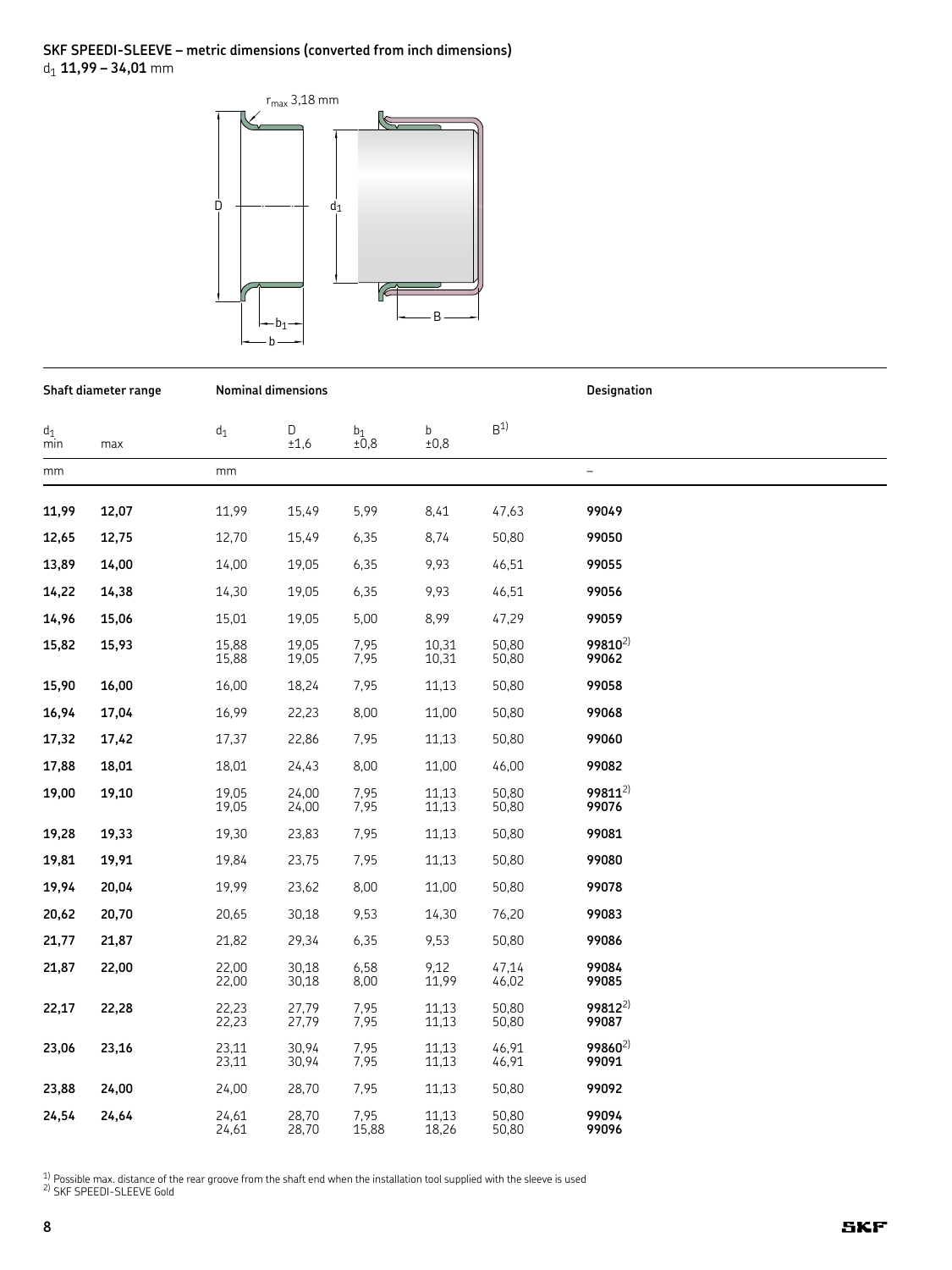#### **SKF SPEEDI-SLEEVE – metric dimensions (converted from inch dimensions)** d1 **11,99 – 34,01** mm



| Shaft diameter range |       |                | Nominal dimensions |               |                | Designation    |                              |  |
|----------------------|-------|----------------|--------------------|---------------|----------------|----------------|------------------------------|--|
| $d_1$<br>min         | max   | $\mathsf{d}_1$ | D<br>±1,6          | $b_1$<br>±0,8 | b<br>±0,8      | B <sup>1</sup> |                              |  |
| mm                   |       | mm             |                    |               |                |                | $\qquad \qquad -$            |  |
| 11,99                | 12,07 | 11,99          | 15,49              | 5,99          | 8,41           | 47,63          | 99049                        |  |
| 12,65                | 12,75 | 12,70          | 15,49              | 6,35          | 8,74           | 50,80          | 99050                        |  |
| 13,89                | 14,00 | 14,00          | 19,05              | 6,35          | 9,93           | 46,51          | 99055                        |  |
| 14,22                | 14,38 | 14,30          | 19,05              | 6,35          | 9,93           | 46,51          | 99056                        |  |
| 14,96                | 15,06 | 15,01          | 19,05              | 5,00          | 8,99           | 47,29          | 99059                        |  |
| 15,82                | 15,93 | 15,88<br>15,88 | 19,05<br>19,05     | 7,95<br>7,95  | 10,31<br>10,31 | 50,80<br>50,80 | 99810 <sup>2)</sup><br>99062 |  |
| 15,90                | 16,00 | 16,00          | 18,24              | 7,95          | 11,13          | 50,80          | 99058                        |  |
| 16,94                | 17,04 | 16,99          | 22,23              | 8,00          | 11,00          | 50,80          | 99068                        |  |
| 17,32                | 17,42 | 17,37          | 22,86              | 7,95          | 11,13          | 50,80          | 99060                        |  |
| 17,88                | 18,01 | 18,01          | 24,43              | 8,00          | 11,00          | 46,00          | 99082                        |  |
| 19,00                | 19,10 | 19,05<br>19,05 | 24,00<br>24,00     | 7,95<br>7,95  | 11,13<br>11,13 | 50,80<br>50,80 | $99811^{2}$<br>99076         |  |
| 19,28                | 19,33 | 19,30          | 23,83              | 7,95          | 11,13          | 50,80          | 99081                        |  |
| 19,81                | 19,91 | 19,84          | 23,75              | 7,95          | 11,13          | 50,80          | 99080                        |  |
| 19,94                | 20,04 | 19,99          | 23,62              | 8,00          | 11,00          | 50,80          | 99078                        |  |
| 20,62                | 20,70 | 20,65          | 30,18              | 9,53          | 14,30          | 76,20          | 99083                        |  |
| 21,77                | 21,87 | 21,82          | 29,34              | 6,35          | 9,53           | 50,80          | 99086                        |  |
| 21,87                | 22,00 | 22,00<br>22,00 | 30,18<br>30,18     | 6,58<br>8,00  | 9,12<br>11,99  | 47,14<br>46,02 | 99084<br>99085               |  |
| 22,17                | 22,28 | 22,23<br>22,23 | 27,79<br>27,79     | 7,95<br>7,95  | 11,13<br>11,13 | 50,80<br>50,80 | $99812^{2}$<br>99087         |  |
| 23,06                | 23,16 | 23,11<br>23,11 | 30,94<br>30,94     | 7,95<br>7,95  | 11,13<br>11,13 | 46,91<br>46,91 | 99860 <sup>2)</sup><br>99091 |  |
| 23,88                | 24,00 | 24,00          | 28,70              | 7,95          | 11,13          | 50,80          | 99092                        |  |
| 24,54                | 24,64 | 24,61<br>24,61 | 28,70<br>28,70     | 7,95<br>15,88 | 11,13<br>18,26 | 50,80<br>50,80 | 99094<br>99096               |  |

<sup>1)</sup> Possible max. distance of the rear groove from the shaft end when the installation tool supplied with the sleeve is used  $\frac{2}{1}$  SKF SPEEDI-SLEEVE Gold

**8**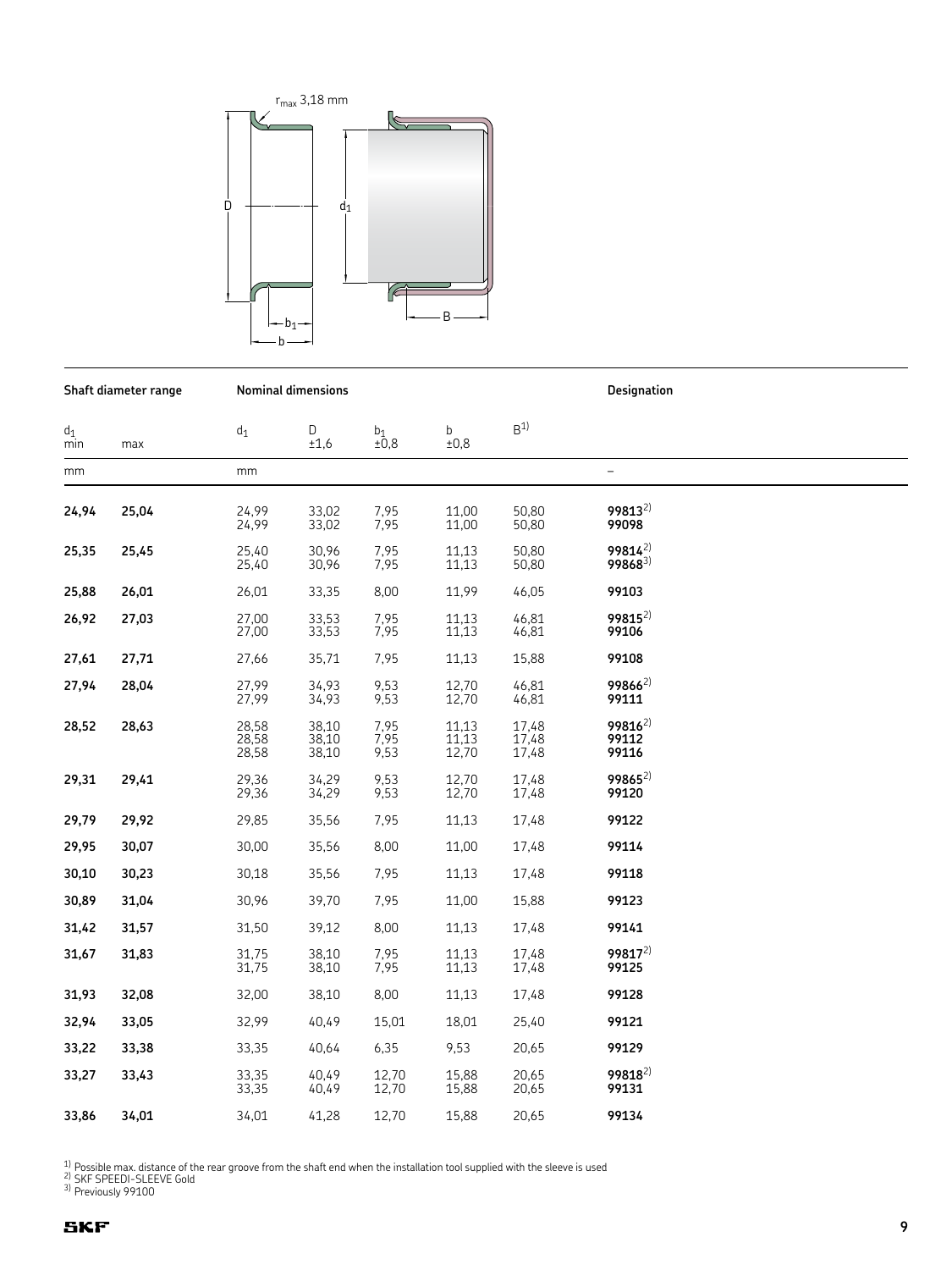

|              | Shaft diameter range |                         | <b>Nominal dimensions</b> |                             |                         | Designation             |                               |  |
|--------------|----------------------|-------------------------|---------------------------|-----------------------------|-------------------------|-------------------------|-------------------------------|--|
| $d_1$<br>min | max                  | $d_1$                   | D<br>±1,6                 | b <sub>1</sub><br>$\pm 0.8$ | b<br>±0,8               | B <sup>1</sup>          |                               |  |
| mm           |                      | mm                      |                           |                             |                         |                         | $\overline{\phantom{0}}$      |  |
| 24,94        | 25,04                | 24,99<br>24,99          | 33,02<br>33,02            | 7,95<br>7,95                | 11,00<br>11,00          | 50.80<br>50,80          | 99813 <sup>2)</sup><br>99098  |  |
| 25,35        | 25,45                | 25.40<br>25,40          | 30.96<br>30,96            | 7,95<br>7,95                | 11,13<br>11,13          | 50.80<br>50,80          | $99814^{2}$<br>$99868^{3}$    |  |
| 25,88        | 26,01                | 26,01                   | 33,35                     | 8,00                        | 11,99                   | 46,05                   | 99103                         |  |
| 26,92        | 27,03                | 27,00<br>27,00          | 33,53<br>33,53            | 7,95<br>7,95                | 11,13<br>11,13          | 46,81<br>46,81          | 99815 <sup>2)</sup><br>99106  |  |
| 27,61        | 27,71                | 27,66                   | 35,71                     | 7,95                        | 11,13                   | 15,88                   | 99108                         |  |
| 27,94        | 28,04                | 27,99<br>27,99          | 34,93<br>34,93            | 9,53<br>9,53                | 12,70<br>12,70          | 46,81<br>46,81          | $99866^{2}$<br>99111          |  |
| 28,52        | 28,63                | 28,58<br>28,58<br>28,58 | 38,10<br>38,10<br>38,10   | 7,95<br>7,95<br>9,53        | 11,13<br>11,13<br>12,70 | 17,48<br>17,48<br>17,48 | $99816^{2}$<br>99112<br>99116 |  |
| 29,31        | 29,41                | 29,36<br>29,36          | 34,29<br>34,29            | 9,53<br>9,53                | 12,70<br>12,70          | 17,48<br>17,48          | $99865^{2}$<br>99120          |  |
| 29,79        | 29,92                | 29,85                   | 35,56                     | 7,95                        | 11,13                   | 17,48                   | 99122                         |  |
| 29,95        | 30,07                | 30,00                   | 35,56                     | 8,00                        | 11,00                   | 17,48                   | 99114                         |  |
| 30,10        | 30,23                | 30,18                   | 35,56                     | 7,95                        | 11,13                   | 17,48                   | 99118                         |  |
| 30,89        | 31,04                | 30,96                   | 39,70                     | 7,95                        | 11,00                   | 15,88                   | 99123                         |  |
| 31,42        | 31,57                | 31,50                   | 39,12                     | 8,00                        | 11,13                   | 17,48                   | 99141                         |  |
| 31,67        | 31,83                | 31,75<br>31,75          | 38,10<br>38,10            | 7,95<br>7,95                | 11,13<br>11,13          | 17,48<br>17,48          | 99817 <sup>2)</sup><br>99125  |  |
| 31,93        | 32,08                | 32,00                   | 38,10                     | 8,00                        | 11,13                   | 17,48                   | 99128                         |  |
| 32,94        | 33,05                | 32,99                   | 40,49                     | 15,01                       | 18,01                   | 25,40                   | 99121                         |  |
| 33,22        | 33,38                | 33,35                   | 40,64                     | 6,35                        | 9,53                    | 20,65                   | 99129                         |  |
| 33,27        | 33,43                | 33,35<br>33,35          | 40,49<br>40,49            | 12,70<br>12,70              | 15,88<br>15,88          | 20,65<br>20,65          | 99818 <sup>2)</sup><br>99131  |  |
| 33,86        | 34,01                | 34.01                   | 41,28                     | 12,70                       | 15,88                   | 20,65                   | 99134                         |  |

<sup>1)</sup> Possible max. distance of the rear groove from the shaft end when the installation tool supplied with the sleeve is used <sup>2)</sup> SKF SPEEDI-SLEEVE Gold<br><sup>2)</sup> SKF SPEEDI-SLEEVE Gold<br><sup>3)</sup> Previously 99100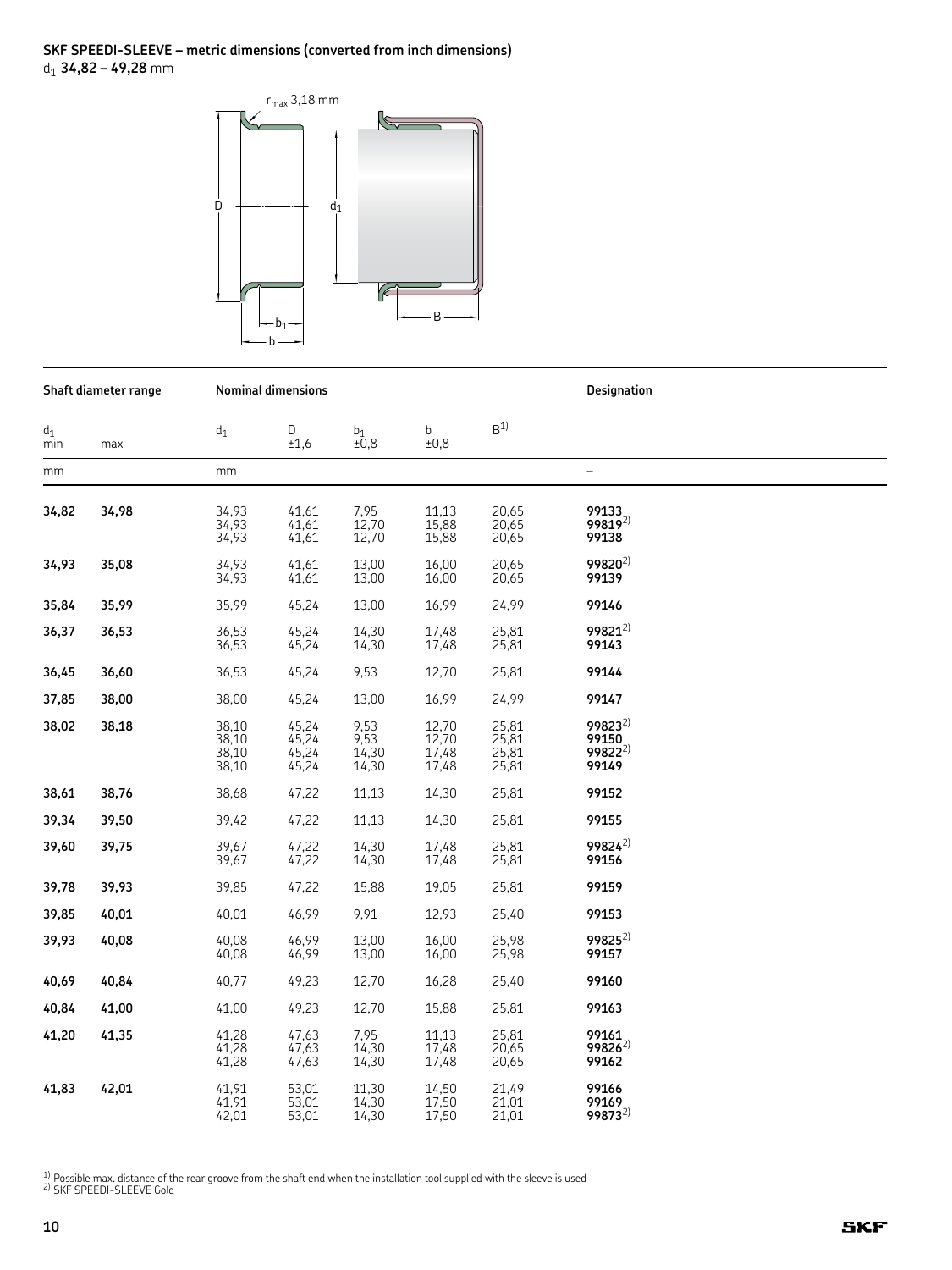# SKF SPEEDI-SLEEVE – metric dimensions (converted from inch dimensions)  $d_1$  34,82 – 49,28 mm



|              | Shaft diameter range |                                  | <b>Nominal dimensions</b>        |                                |                                  |                                  | Designation                                  |
|--------------|----------------------|----------------------------------|----------------------------------|--------------------------------|----------------------------------|----------------------------------|----------------------------------------------|
| $d_1$<br>min | max                  | $d_1$                            | D<br>±1,6                        | $_{\pm0,8}^{b_1}$              | b<br>±0,8                        | B <sup>1</sup>                   |                                              |
| mm           |                      | mm                               |                                  |                                |                                  |                                  | $\qquad \qquad -$                            |
| 34,82        | 34,98                | 34,93<br>34,93<br>34,93          | 41,61<br>41,61<br>41,61          | 7,95<br>12,70<br>12,70         | 11,13<br>15,88<br>15,88          | 20,65<br>20,65<br>20,65          | 99133<br>99819 <sup>2)</sup><br>99138        |
| 34,93        | 35,08                | 34,93<br>34,93                   | 41,61<br>41,61                   | 13,00<br>13,00                 | 16,00<br>16,00                   | 20,65<br>20,65                   | $99820^{2}$<br>99139                         |
| 35,84        | 35,99                | 35,99                            | 45,24                            | 13,00                          | 16,99                            | 24,99                            | 99146                                        |
| 36,37        | 36,53                | 36,53<br>36,53                   | 45,24<br>45,24                   | 14,30<br>14,30                 | 17,48<br>17,48                   | 25,81<br>25,81                   | $99821^{2}$<br>99143                         |
| 36,45        | 36,60                | 36,53                            | 45,24                            | 9,53                           | 12,70                            | 25,81                            | 99144                                        |
| 37,85        | 38,00                | 38,00                            | 45,24                            | 13,00                          | 16,99                            | 24,99                            | 99147                                        |
| 38,02        | 38,18                | 38,10<br>38,10<br>38,10<br>38,10 | 45,24<br>45,24<br>45,24<br>45,24 | 9,53<br>9,53<br>14,30<br>14,30 | 12,70<br>12,70<br>17,48<br>17,48 | 25,81<br>25,81<br>25,81<br>25,81 | $99823^{2}$<br>99150<br>$99822^{2}$<br>99149 |
| 38,61        | 38,76                | 38,68                            | 47,22                            | 11,13                          | 14,30                            | 25,81                            | 99152                                        |
| 39,34        | 39,50                | 39,42                            | 47,22                            | 11,13                          | 14,30                            | 25,81                            | 99155                                        |
| 39,60        | 39,75                | 39,67<br>39,67                   | 47,22<br>47,22                   | 14,30<br>14,30                 | 17,48<br>17,48                   | 25,81<br>25,81                   | $99824^{2}$<br>99156                         |
| 39,78        | 39,93                | 39,85                            | 47,22                            | 15,88                          | 19,05                            | 25,81                            | 99159                                        |
| 39,85        | 40,01                | 40,01                            | 46,99                            | 9,91                           | 12,93                            | 25,40                            | 99153                                        |
| 39,93        | 40,08                | 40,08<br>40,08                   | 46,99<br>46,99                   | 13,00<br>13,00                 | 16,00<br>16,00                   | 25,98<br>25,98                   | $99825^{2}$<br>99157                         |
| 40,69        | 40,84                | 40,77                            | 49,23                            | 12,70                          | 16,28                            | 25,40                            | 99160                                        |
| 40,84        | 41,00                | 41,00                            | 49,23                            | 12,70                          | 15,88                            | 25,81                            | 99163                                        |
| 41,20        | 41,35                | 41,28<br>41,28<br>41,28          | 47,63<br>47,63<br>47,63          | 7,95<br>14,30<br>14,30         | 11,13<br>17,48<br>17,48          | 25,81<br>20,65<br>20,65          | 99161<br>$99826^{2}$<br>99162                |
| 41,83        | 42,01                | 41,91<br>41,91<br>42,01          | 53,01<br>53,01<br>53,01          | 11,30<br>14,30<br>14,30        | 14,50<br>17,50<br>17,50          | 21,49<br>21,01<br>21,01          | 99166<br>99169<br>99873 <sup>2)</sup>        |

 $^{\rm 1)}$  Possible max. distance of the rear groove from the shaft end when the installation tool supplied with the sleeve is used  $^{2)}$  SKF SPEEDI-SLEEVE Gold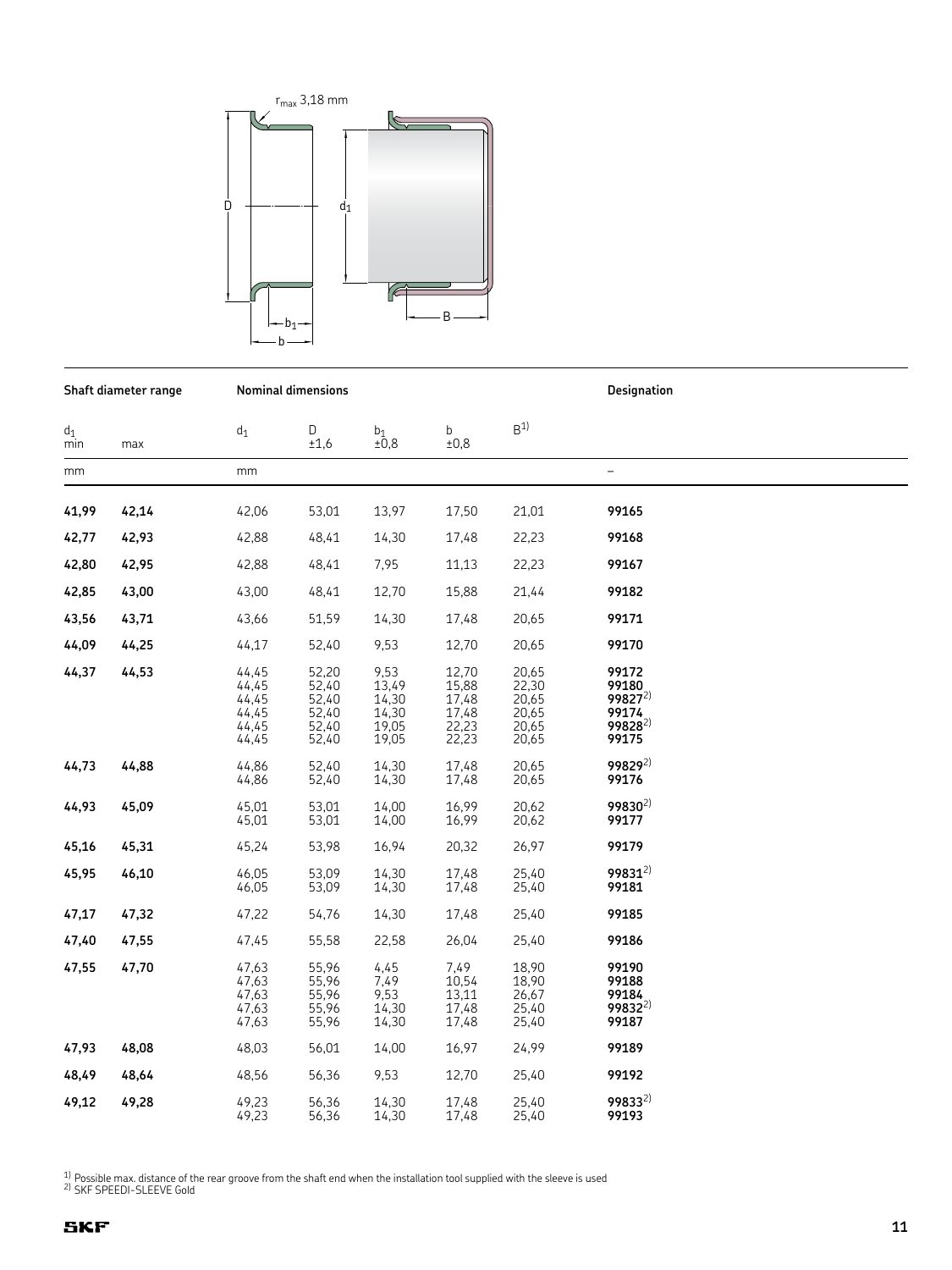

Shaft diameter range

**Nominal dimensions** 

**Designation**  $\mathsf{B}^{1)}$  $d_1$ D  $b_1$ <br>±0,8  $\mathsf b$  $d_1$  $±0,8$  $\overline{min}$  $±1,6$ max  $mm$  $mm$  $\overline{a}$ 41,99 42,14 42,06 53,01 13,97 17,50 21,01 99165 42.77 42.93 42.88 48.41 14.30 17.48 22.23 99168 42,80 7,95 42,95 42,88 48,41 11,13 22,23 99167 42,85 43.00 43,00 48,41 12,70 15.88 21,44 99182 43,56 43,71 43,66 51,59 14,30 17,48 20,65 99171 12,70 44,09 44,25 44,17 52,40 9,53 20,65 99170 44,37 44,53 44,45 52,20 9,53 12,70 20,65 99172  $44,45$ 52,40  $13,49$ 15,88  $22,30$ 99180  $99827^{2}$  $44,45$  $52,40$  $14,30$ 17,48 20.65  $17,48$ <br> $22,23$  $52,40$ <br> $52,40$  $14,30$ <br> $19,05$  $44,45$ 20,65 99174  $99828^{2}$  $44,45$  $20,65$ 44,45 52,40 19,05 22,23 20,65 99175 44,73 44,88 44,86 52,40 14,30 17,48 20,65 99829<sup>2)</sup>  $17,48$ 99176 44,86 52,40  $14,30$ 20,65 99830<sup>2)</sup> 14,00 44,93 45,09 45,01 53,01 16,99 20,62 45,01 53,01 14,00 16,99 20,62 99177 45,16 45,24 53,98 16,94 20,32 26,97 99179 45,31 99831<sup>2)</sup> 45,95 46,05 53,09 14,30 17,48 25,40 46,10 46,05 53,09 14,30 17,48 25,40 99181 47,17 47,32 47,22 54,76 14,30 17,48 25,40 99185 22,58 99186 47,40 47,55 47,45 55,58 26,04 25,40 55,96<br>55,96 47,63 47,55 7,49 18,90 99190 47,70 4,45  $7,49$  $47,63$ 10,54 18,90 99188 47.63 55.96 9.53  $13.11$ 26.67 99184  $55,96$ 998322)  $47,63$  $14,30$  $17,48$  $25,40$ 55,96 25,40 99187 47,63 14,30 17,48 47,93 48,08 48,03 56,01 16,97 99189 14,00 24,99 48,49 9,53 12,70 99192 48,64 48.56 56,36 25,40 998332) 49,12 49,28 49.23 56,36 14,30 17,48 25.40

 $25,40$ 

99193

17,48

 $1/2$  Possible max. distance of the rear groove from the shaft end when the installation tool supplied with the sleeve is used

56,36

 $14,30$ 

49,23

<sup>2)</sup> SKF SPEEDI-SLEEVE Gold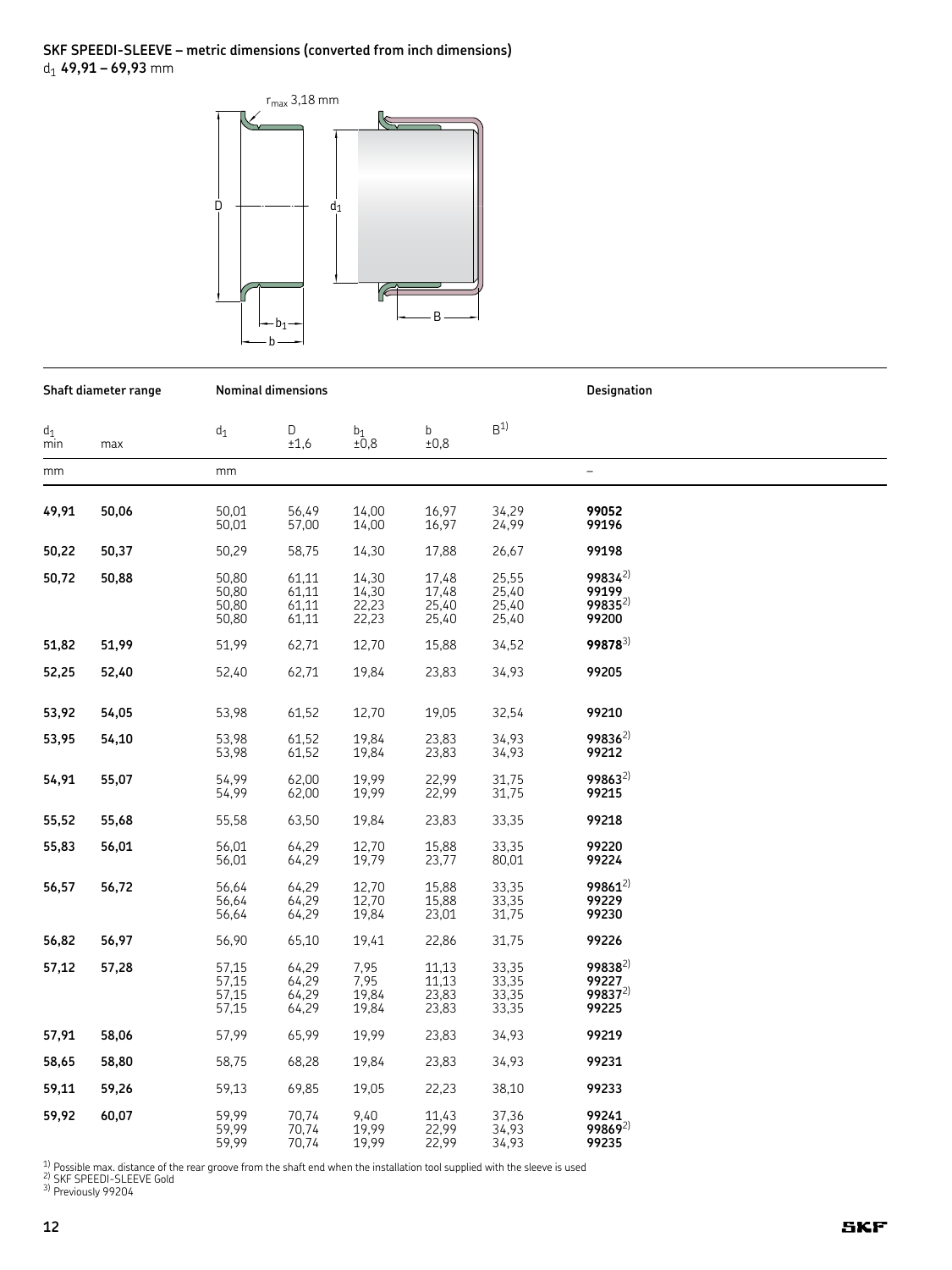# SKF SPEEDI-SLEEVE – metric dimensions (converted from inch dimensions)  $d_1$  49,91 – 69,93 mm



|              | Shaft diameter range |                                  | <b>Nominal dimensions</b>        |                                    |                                  | <b>Designation</b>               |                                                      |  |
|--------------|----------------------|----------------------------------|----------------------------------|------------------------------------|----------------------------------|----------------------------------|------------------------------------------------------|--|
| $d_1$<br>min | max                  | $d_1$                            | D<br>±1,6                        | $b_1$<br>±0,8                      | $\mathbf b$<br>±0,8              | B <sup>1</sup>                   |                                                      |  |
| mm           |                      | mm                               |                                  |                                    |                                  |                                  | $\overline{a}$                                       |  |
| 49,91        | 50,06                | 50,01<br>50,01                   | 56,49<br>57,00                   | 14,00<br>14,00                     | 16,97<br>16,97                   | 34,29<br>24,99                   | 99052<br>99196                                       |  |
| 50,22        | 50,37                | 50,29                            | 58,75                            | 14,30                              | 17,88                            | 26,67                            | 99198                                                |  |
| 50,72        | 50,88                | 50,80<br>50,80<br>50,80<br>50,80 | 61,11<br>61,11<br>61,11<br>61,11 | 14,30<br>$14,30$<br>22,23<br>22,23 | 17,48<br>17,48<br>25,40<br>25,40 | 25,55<br>25,40<br>25,40<br>25,40 | 99834 <sup>2)</sup><br>99199<br>$99835^{2}$<br>99200 |  |
| 51,82        | 51,99                | 51,99                            | 62,71                            | 12,70                              | 15,88                            | 34,52                            | 99878 <sup>3)</sup>                                  |  |
| 52,25        | 52,40                | 52,40                            | 62,71                            | 19,84                              | 23,83                            | 34,93                            | 99205                                                |  |
| 53,92        | 54,05                | 53,98                            | 61,52                            | 12,70                              | 19,05                            | 32,54                            | 99210                                                |  |
| 53,95        | 54,10                | 53,98<br>53,98                   | 61,52<br>61,52                   | 19,84<br>19,84                     | 23,83<br>23,83                   | 34,93<br>34,93                   | 99836 <sup>2)</sup><br>99212                         |  |
| 54,91        | 55,07                | 54.99<br>54,99                   | 62,00<br>62,00                   | 19,99<br>19,99                     | 22,99<br>22,99                   | 31.75<br>31,75                   | $99863^{2}$<br>99215                                 |  |
| 55,52        | 55,68                | 55,58                            | 63,50                            | 19,84                              | 23,83                            | 33,35                            | 99218                                                |  |
| 55,83        | 56,01                | 56,01<br>56,01                   | 64,29<br>64,29                   | 12,70<br>19,79                     | 15,88<br>23,77                   | 33,35<br>80,01                   | 99220<br>99224                                       |  |
| 56,57        | 56,72                | 56,64<br>56,64<br>56,64          | 64,29<br>64,29<br>64,29          | 12,70<br>12,70<br>19,84            | 15,88<br>15,88<br>23,01          | 33,35<br>33,35<br>31,75          | $99861^{2}$<br>99229<br>99230                        |  |
| 56,82        | 56,97                | 56,90                            | 65,10                            | 19,41                              | 22,86                            | 31,75                            | 99226                                                |  |
| 57,12        | 57,28                | 57,15<br>57,15<br>57,15<br>57,15 | 64,29<br>64,29<br>64,29<br>64,29 | 7,95<br>7,95<br>19,84<br>19,84     | 11,13<br>11,13<br>23,83<br>23,83 | 33,35<br>33,35<br>33,35<br>33,35 | $99838^{2}$<br>99227<br>$99837^{2}$<br>99225         |  |
| 57,91        | 58,06                | 57,99                            | 65,99                            | 19,99                              | 23,83                            | 34,93                            | 99219                                                |  |
| 58,65        | 58,80                | 58,75                            | 68,28                            | 19,84                              | 23,83                            | 34,93                            | 99231                                                |  |
| 59,11        | 59,26                | 59,13                            | 69,85                            | 19,05                              | 22,23                            | 38,10                            | 99233                                                |  |
| 59,92        | 60,07                | 59,99<br>59,99<br>59.99          | 70,74<br>70,74<br>70,74          | 9,40<br>19,99<br>19,99             | 11,43<br>22,99<br>22,99          | 37,36<br>34,93<br>34,93          | 99241<br>$99869^{2}$<br>99235                        |  |

<sup>1)</sup> Possible max. distance of the rear groove from the shaft end when the installation tool supplied with the sleeve is used <sup>2)</sup> SKF SPEEDI-SLEEVE Gold<br><sup>2)</sup> Previously 99204<br><sup>3)</sup> Previously 99204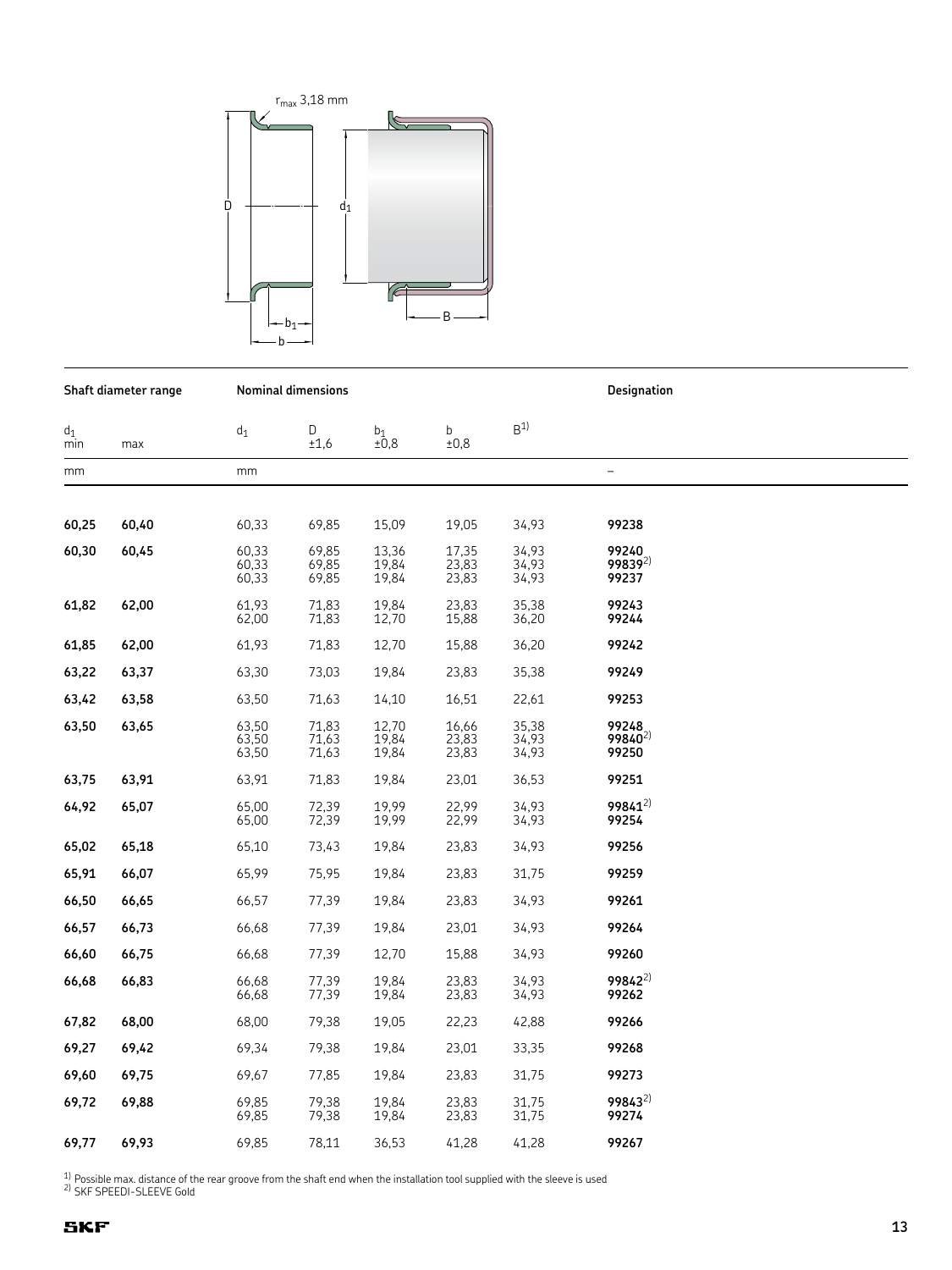

|              | Shaft diameter range |                         | <b>Nominal dimensions</b> |                         |                         | Designation             |                                       |  |
|--------------|----------------------|-------------------------|---------------------------|-------------------------|-------------------------|-------------------------|---------------------------------------|--|
| $d_1$<br>min | max                  | $d_1$                   | D<br>±1,6                 | $_{\pm 0.8}^{b_1}$      | b<br>±0,8               | B <sup>1</sup>          |                                       |  |
| mm           |                      | mm                      |                           |                         |                         |                         | $\overline{\phantom{0}}$              |  |
|              |                      |                         |                           |                         |                         |                         |                                       |  |
| 60,25        | 60,40                | 60,33                   | 69,85                     | 15,09                   | 19,05                   | 34,93                   | 99238                                 |  |
| 60,30        | 60,45                | 60,33<br>60,33<br>60,33 | 69,85<br>69,85<br>69,85   | 13,36<br>19,84<br>19,84 | 17,35<br>23,83<br>23,83 | 34,93<br>34,93<br>34,93 | 99240<br>99839 <sup>2)</sup><br>99237 |  |
| 61,82        | 62,00                | 61,93<br>62,00          | 71,83<br>71,83            | 19,84<br>12,70          | 23,83<br>15,88          | 35,38<br>36,20          | 99243<br>99244                        |  |
| 61,85        | 62,00                | 61,93                   | 71,83                     | 12,70                   | 15,88                   | 36,20                   | 99242                                 |  |
| 63,22        | 63,37                | 63,30                   | 73,03                     | 19,84                   | 23,83                   | 35,38                   | 99249                                 |  |
| 63,42        | 63,58                | 63,50                   | 71,63                     | 14,10                   | 16,51                   | 22,61                   | 99253                                 |  |
| 63,50        | 63,65                | 63,50<br>63,50<br>63,50 | 71,83<br>71,63<br>71,63   | 12,70<br>19,84<br>19,84 | 16,66<br>23,83<br>23,83 | 35,38<br>34,93<br>34,93 | 99248<br>99840 <sup>2)</sup><br>99250 |  |
| 63,75        | 63,91                | 63,91                   | 71,83                     | 19,84                   | 23,01                   | 36,53                   | 99251                                 |  |
| 64,92        | 65,07                | 65,00<br>65,00          | 72,39<br>72,39            | 19,99<br>19,99          | 22,99<br>22,99          | 34,93<br>34,93          | $99841^{2}$<br>99254                  |  |
| 65,02        | 65,18                | 65,10                   | 73,43                     | 19,84                   | 23,83                   | 34,93                   | 99256                                 |  |
| 65,91        | 66,07                | 65,99                   | 75,95                     | 19,84                   | 23,83                   | 31,75                   | 99259                                 |  |
| 66,50        | 66,65                | 66,57                   | 77,39                     | 19,84                   | 23,83                   | 34,93                   | 99261                                 |  |
| 66,57        | 66,73                | 66,68                   | 77,39                     | 19,84                   | 23,01                   | 34,93                   | 99264                                 |  |
| 66,60        | 66,75                | 66,68                   | 77,39                     | 12,70                   | 15,88                   | 34,93                   | 99260                                 |  |
| 66,68        | 66,83                | 66,68<br>66,68          | 77,39<br>77,39            | 19,84<br>19,84          | 23,83<br>23,83          | 34,93<br>34,93          | 99842 <sup>2)</sup><br>99262          |  |
| 67,82        | 68,00                | 68,00                   | 79,38                     | 19,05                   | 22,23                   | 42,88                   | 99266                                 |  |
| 69,27        | 69,42                | 69,34                   | 79,38                     | 19,84                   | 23,01                   | 33,35                   | 99268                                 |  |
| 69,60        | 69,75                | 69,67                   | 77,85                     | 19,84                   | 23,83                   | 31,75                   | 99273                                 |  |
| 69,72        | 69,88                | 69,85<br>69,85          | 79,38<br>79,38            | 19,84<br>19,84          | 23,83<br>23,83          | 31,75<br>31,75          | $99843^{2}$<br>99274                  |  |
| 69,77        | 69,93                | 69,85                   | 78,11                     | 36,53                   | 41,28                   | 41,28                   | 99267                                 |  |

<sup>1)</sup> Possible max. distance of the rear groove from the shaft end when the installation tool supplied with the sleeve is used  $^{2}$  SKF SPEEDI-SLEEVE Gold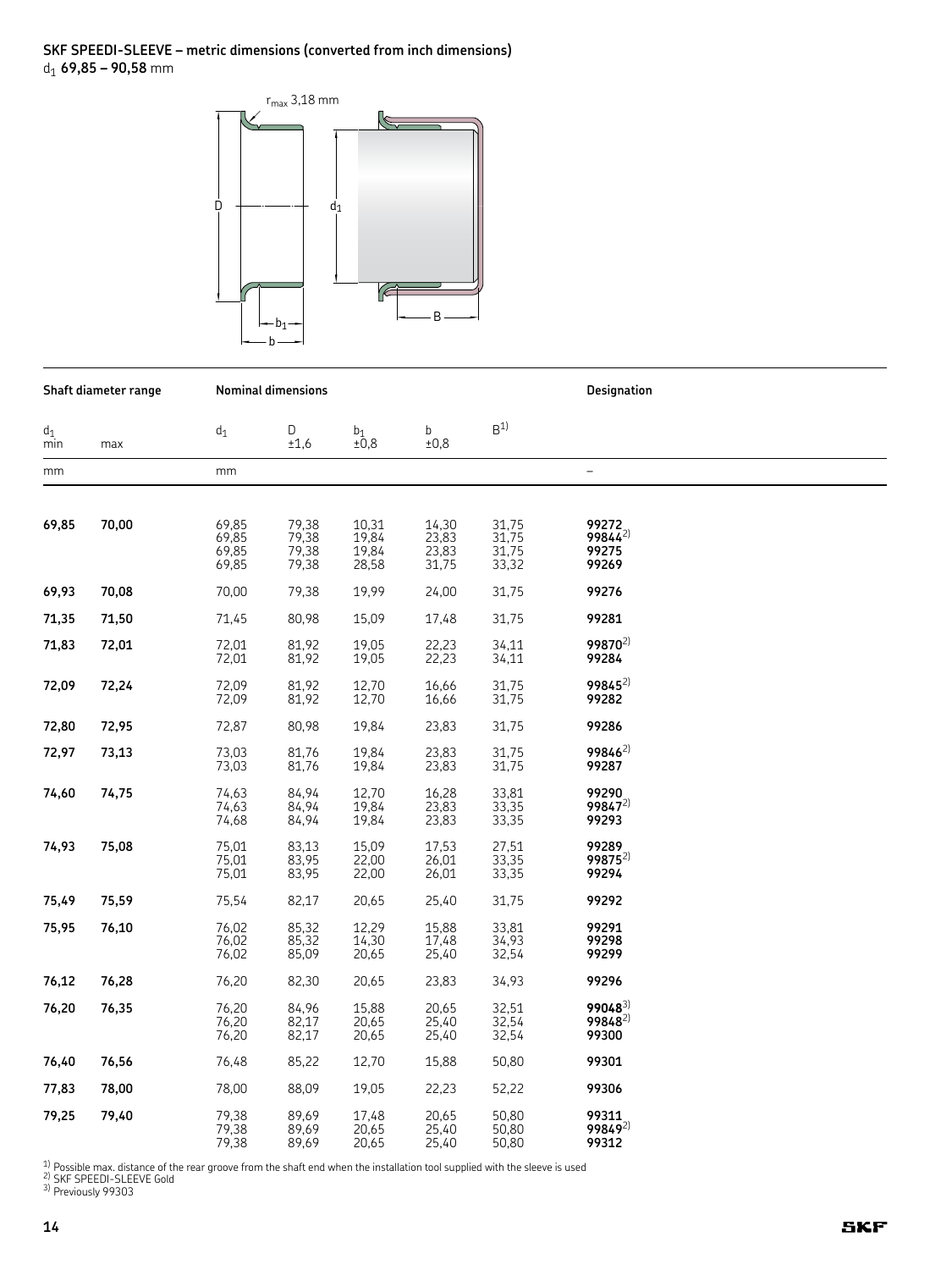#### SKF SPEEDI-SLEEVE - metric dimensions (converted from inch dimensions)  $d_1$  69,85 – 90,58 mm



|              | Shaft diameter range |                                  | <b>Nominal dimensions</b>        |                                  |                                  | <b>Designation</b>               |                                         |
|--------------|----------------------|----------------------------------|----------------------------------|----------------------------------|----------------------------------|----------------------------------|-----------------------------------------|
| $d_1$<br>min | max                  | $d_1$                            | D<br>±1,6                        | b1<br>±0,8                       | b<br>±0,8                        | B <sup>1</sup>                   |                                         |
| mm           |                      | mm                               |                                  |                                  |                                  |                                  | $\overline{a}$                          |
| 69,85        | 70,00                | 69,85<br>69,85<br>69,85<br>69,85 | 79,38<br>79,38<br>79,38<br>79,38 | 10,31<br>19,84<br>19,84<br>28,58 | 14,30<br>23,83<br>23,83<br>31,75 | 31,75<br>31,75<br>31,75<br>33,32 | 99272<br>$99844^{2}$<br>99275<br>99269  |
| 69,93        | 70,08                | 70,00                            | 79,38                            | 19,99                            | 24,00                            | 31,75                            | 99276                                   |
| 71,35        | 71,50                | 71,45                            | 80,98                            | 15,09                            | 17,48                            | 31,75                            | 99281                                   |
| 71,83        | 72,01                | 72,01<br>72,01                   | 81,92<br>81,92                   | 19,05<br>19,05                   | 22,23<br>22,23                   | 34,11<br>34,11                   | $99870^{2}$<br>99284                    |
| 72,09        | 72,24                | 72,09<br>72,09                   | 81,92<br>81,92                   | 12,70<br>12,70                   | 16,66<br>16,66                   | 31,75<br>31,75                   | $99845^{2}$<br>99282                    |
| 72,80        | 72,95                | 72,87                            | 80,98                            | 19,84                            | 23,83                            | 31,75                            | 99286                                   |
| 72,97        | 73,13                | 73,03<br>73,03                   | 81,76<br>81,76                   | 19,84<br>19,84                   | 23,83<br>23,83                   | 31,75<br>31,75                   | $99846^{2}$<br>99287                    |
| 74,60        | 74,75                | 74,63<br>74,63<br>74,68          | 84,94<br>84,94<br>84,94          | 12,70<br>19,84<br>19,84          | 16,28<br>23,83<br>23,83          | 33,81<br>33,35<br>33,35          | 99290<br>99847 <sup>2)</sup><br>99293   |
| 74,93        | 75,08                | 75,01<br>75,01<br>75,01          | 83,13<br>83,95<br>83,95          | 15,09<br>22,00<br>22,00          | 17,53<br>26,01<br>26,01          | 27,51<br>33,35<br>33,35          | 99289<br>$99875^{2}$<br>99294           |
| 75,49        | 75,59                | 75,54                            | 82,17                            | 20,65                            | 25,40                            | 31,75                            | 99292                                   |
| 75,95        | 76,10                | 76,02<br>76,02<br>76,02          | 85,32<br>85,32<br>85,09          | 12,29<br>14,30<br>20,65          | 15,88<br>17,48<br>25,40          | 33,81<br>34,93<br>32,54          | 99291<br>99298<br>99299                 |
| 76,12        | 76,28                | 76,20                            | 82,30                            | 20,65                            | 23,83                            | 34,93                            | 99296                                   |
| 76,20        | 76,35                | 76,20<br>76,20<br>76,20          | 84,96<br>82,17<br>82,17          | 15,88<br>20,65<br>20,65          | 20,65<br>25,40<br>25,40          | 32,51<br>32,54<br>32,54          | 990483)<br>99848 <sup>2)</sup><br>99300 |
| 76,40        | 76,56                | 76,48                            | 85,22                            | 12,70                            | 15,88                            | 50,80                            | 99301                                   |
| 77,83        | 78,00                | 78,00                            | 88,09                            | 19,05                            | 22,23                            | 52,22                            | 99306                                   |
| 79,25        | 79,40                | 79,38<br>79,38<br>79,38          | 89,69<br>89,69<br>89,69          | 17,48<br>20,65<br>20,65          | 20,65<br>25,40<br>25,40          | 50,80<br>50,80<br>50,80          | 99311<br>99849 <sup>2)</sup><br>99312   |

<sup>1)</sup> Possible max. distance of the rear groove from the shaft end when the installation tool supplied with the sleeve is used <sup>2)</sup> SKF SPEEDI-SLEEVE Gold<br><sup>2)</sup> Previously 99303<br><sup>3)</sup> Previously 99303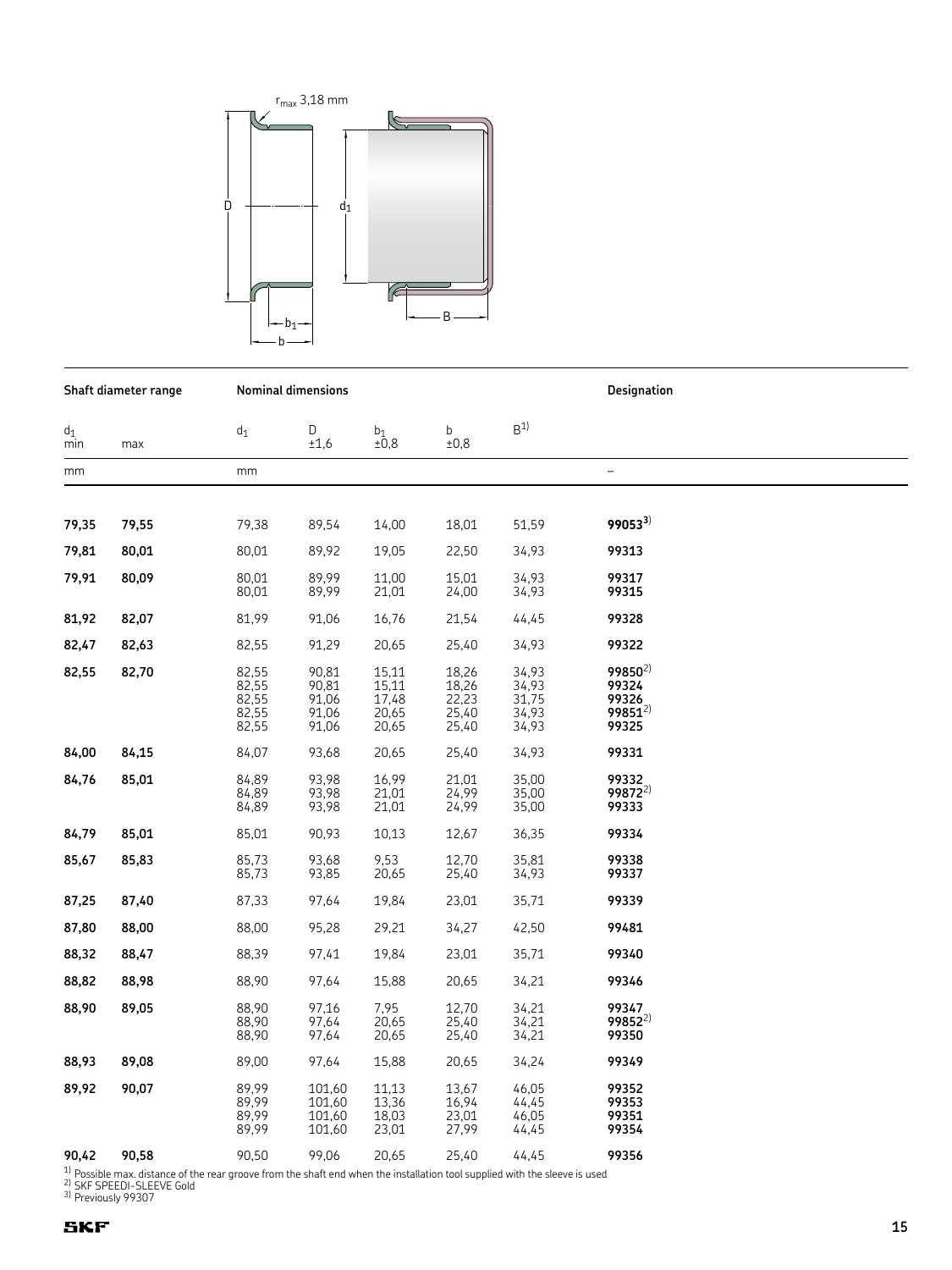

|                       | Shaft diameter range |                | <b>Nominal dimensions</b> |                   |                | Designation    |                          |  |
|-----------------------|----------------------|----------------|---------------------------|-------------------|----------------|----------------|--------------------------|--|
| $\mathsf{d}_1$<br>min | max                  | $d_1$          | D<br>±1,6                 | $_{\pm0,8}^{b_1}$ | b<br>±0,8      | B <sup>1</sup> |                          |  |
| mm                    |                      | mm             |                           |                   |                |                | $\overline{\phantom{0}}$ |  |
|                       |                      |                |                           |                   |                |                |                          |  |
| 79,35                 | 79,55                | 79,38          | 89,54                     | 14,00             | 18,01          | 51,59          | $99053^{3}$              |  |
| 79,81                 | 80,01                | 80,01          | 89,92                     | 19,05             | 22,50          | 34,93          | 99313                    |  |
| 79,91                 | 80,09                | 80,01<br>80,01 | 89,99<br>89,99            | 11,00<br>21,01    | 15,01<br>24,00 | 34,93<br>34,93 | 99317<br>99315           |  |
| 81,92                 | 82,07                | 81,99          | 91,06                     | 16,76             | 21,54          | 44,45          | 99328                    |  |
| 82,47                 | 82,63                | 82,55          | 91,29                     | 20,65             | 25,40          | 34,93          | 99322                    |  |
|                       |                      |                |                           |                   |                |                | $99850^{2}$              |  |
| 82,55                 | 82,70                | 82,55<br>82,55 | 90,81<br>90,81            | 15,11<br>15,11    | 18,26<br>18,26 | 34,93<br>34,93 | 99324                    |  |
|                       |                      | 82,55          | 91,06                     | 17,48             | 22,23          | 31,75          | 99326                    |  |
|                       |                      | 82,55          | 91,06                     | 20,65             | 25,40          | 34,93          | $99851^{2}$              |  |
|                       |                      | 82,55          | 91,06                     | 20,65             | 25,40          | 34,93          | 99325                    |  |
| 84,00                 | 84,15                | 84,07          | 93,68                     | 20,65             | 25,40          | 34,93          | 99331                    |  |
| 84,76                 | 85,01                | 84,89          | 93,98                     | 16,99             | 21,01          | 35,00          | 99332                    |  |
|                       |                      | 84,89          | 93,98                     | 21,01             | 24,99          | 35,00          | $99872^{2}$              |  |
|                       |                      | 84,89          | 93,98                     | 21,01             | 24,99          | 35,00          | 99333                    |  |
|                       |                      |                |                           |                   |                |                |                          |  |
| 84,79                 | 85,01                | 85,01          | 90,93                     | 10,13             | 12,67          | 36,35          | 99334                    |  |
| 85,67                 | 85,83                | 85,73          | 93,68                     | 9,53              | 12,70          | 35,81          | 99338                    |  |
|                       |                      | 85,73          | 93,85                     | 20,65             | 25,40          | 34,93          | 99337                    |  |
| 87,25                 | 87,40                | 87,33          | 97,64                     | 19,84             | 23,01          | 35,71          | 99339                    |  |
|                       |                      |                |                           |                   |                |                |                          |  |
| 87,80                 | 88,00                | 88,00          | 95,28                     | 29,21             | 34,27          | 42,50          | 99481                    |  |
| 88,32                 | 88,47                | 88,39          | 97,41                     | 19,84             | 23,01          | 35,71          | 99340                    |  |
| 88,82                 | 88,98                | 88,90          | 97,64                     | 15,88             | 20,65          | 34,21          | 99346                    |  |
| 88,90                 | 89,05                | 88,90          | 97,16                     | 7,95              | 12,70          | 34,21          | 99347                    |  |
|                       |                      | 88,90          | 97,64                     | 20,65             | 25,40          | 34,21          | $99852^{2}$              |  |
|                       |                      | 88,90          | 97,64                     | 20,65             | 25,40          | 34,21          | 99350                    |  |
| 88,93                 | 89,08                | 89,00          | 97,64                     | 15,88             | 20,65          | 34,24          | 99349                    |  |
| 89,92                 | 90,07                | 89,99          | 101,60                    | 11,13             | 13,67          | 46,05          | 99352                    |  |
|                       |                      | 89,99          | 101,60                    | 13,36             | 16,94          | 44,45          | 99353                    |  |
|                       |                      | 89,99          | 101,60                    | 18,03             | 23,01          | 46,05          | 99351                    |  |
|                       |                      | 89,99          | 101,60                    | 23,01             | 27,99          | 44,45          | 99354                    |  |
| 90,42                 | 90,58                | 90,50          | 99,06                     | 20,65             | 25,40          | 44,45          | 99356                    |  |

**90,42 90,58** 90,50 99,06 20,65 20,40 44,4J<br>
<sup>1)</sup> Possible max. distance of the rear groove from the shaft end when the installation tool supplied with the sleeve is used<br>
<sup>2)</sup> SKF SPEEDI-SLEEVE Gold<br>
<sup>3)</sup> Previously 99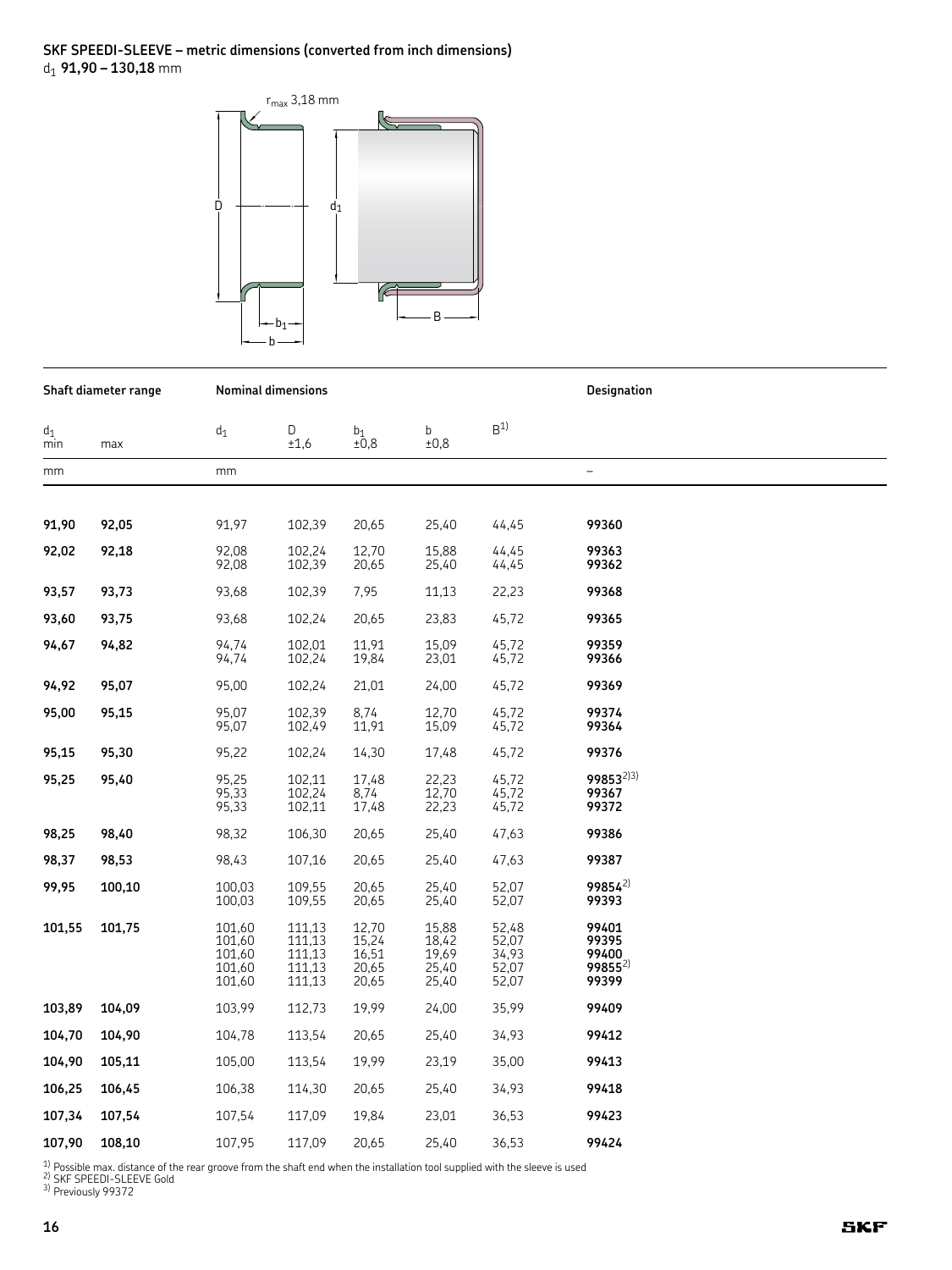#### SKF SPEEDI-SLEEVE - metric dimensions (converted from inch dimensions)  $d_1$  91,90 – 130,18 mm



| Shaft diameter range |        |                                                | Nominal dimensions                             |                                           |                                           | Designation                               |                                                 |  |
|----------------------|--------|------------------------------------------------|------------------------------------------------|-------------------------------------------|-------------------------------------------|-------------------------------------------|-------------------------------------------------|--|
| $d_1$<br>min         | max    | $\mathsf{d}_1$                                 | D<br>±1,6                                      | $_{\pm0,8}^{\mathrm{b}_1}$                | b<br>±0,8                                 | B <sup>1</sup>                            |                                                 |  |
| mm                   |        | mm                                             |                                                |                                           |                                           |                                           | $\overline{\phantom{0}}$                        |  |
|                      |        |                                                |                                                |                                           |                                           |                                           |                                                 |  |
| 91,90                | 92,05  | 91,97                                          | 102,39                                         | 20,65                                     | 25,40                                     | 44,45                                     | 99360                                           |  |
| 92,02                | 92,18  | 92,08<br>92,08                                 | 102,24<br>102,39                               | 12,70<br>20,65                            | 15,88<br>25,40                            | 44,45<br>44,45                            | 99363<br>99362                                  |  |
| 93,57                | 93,73  | 93,68                                          | 102,39                                         | 7,95                                      | 11,13                                     | 22,23                                     | 99368                                           |  |
| 93,60                | 93,75  | 93,68                                          | 102,24                                         | 20,65                                     | 23,83                                     | 45,72                                     | 99365                                           |  |
| 94,67                | 94,82  | 94.74<br>94,74                                 | 102,01<br>102,24                               | 11,91<br>19,84                            | 15,09<br>23,01                            | 45,72<br>45,72                            | 99359<br>99366                                  |  |
| 94,92                | 95,07  | 95,00                                          | 102,24                                         | 21,01                                     | 24,00                                     | 45,72                                     | 99369                                           |  |
| 95,00                | 95,15  | 95,07<br>95,07                                 | 102,39<br>102,49                               | 8,74<br>11,91                             | 12,70<br>15,09                            | 45,72<br>45,72                            | 99374<br>99364                                  |  |
| 95,15                | 95,30  | 95,22                                          | 102,24                                         | 14,30                                     | 17,48                                     | 45,72                                     | 99376                                           |  |
| 95,25                | 95,40  | 95,25<br>95,33<br>95,33                        | 102,11<br>102,24<br>102,11                     | 17,48<br>8,74<br>17,48                    | 22,23<br>12,70<br>22,23                   | 45,72<br>45,72<br>45,72                   | 99853 <sup>2)3)</sup><br>99367<br>99372         |  |
| 98,25                | 98,40  | 98,32                                          | 106,30                                         | 20,65                                     | 25,40                                     | 47,63                                     | 99386                                           |  |
| 98,37                | 98,53  | 98,43                                          | 107,16                                         | 20,65                                     | 25,40                                     | 47,63                                     | 99387                                           |  |
| 99,95                | 100,10 | 100,03<br>100,03                               | 109,55<br>109,55                               | 20,65<br>20,65                            | 25,40<br>25,40                            | 52,07<br>52,07                            | $99854^{2}$<br>99393                            |  |
| 101,55               | 101,75 | 101,60<br>101,60<br>101,60<br>101,60<br>101,60 | 111,13<br>111,13<br>111,13<br>111,13<br>111,13 | 12,70<br>15,24<br>16,51<br>20,65<br>20,65 | 15,88<br>18,42<br>19,69<br>25,40<br>25,40 | 52,48<br>52,07<br>34,93<br>52,07<br>52,07 | 99401<br>99395<br>99400<br>$99855^{2}$<br>99399 |  |
| 103,89               | 104,09 | 103,99                                         | 112,73                                         | 19,99                                     | 24,00                                     | 35,99                                     | 99409                                           |  |
| 104,70               | 104,90 | 104,78                                         | 113,54                                         | 20,65                                     | 25,40                                     | 34,93                                     | 99412                                           |  |
| 104,90               | 105,11 | 105,00                                         | 113,54                                         | 19,99                                     | 23,19                                     | 35,00                                     | 99413                                           |  |
| 106,25               | 106,45 | 106,38                                         | 114,30                                         | 20,65                                     | 25,40                                     | 34,93                                     | 99418                                           |  |
| 107,34               | 107,54 | 107,54                                         | 117,09                                         | 19,84                                     | 23,01                                     | 36,53                                     | 99423                                           |  |
| 107,90               | 108,10 | 107,95                                         | 117,09                                         | 20,65                                     | 25,40                                     | 36,53                                     | 99424                                           |  |

<sup>1)</sup> Possible max. distance of the rear groove from the shaft end when the installation tool supplied with the sleeve is used <sup>2)</sup> SKF SPEEDI-SLEEVE Gold<br><sup>2)</sup> Previously 99372<br><sup>3)</sup> Previously 99372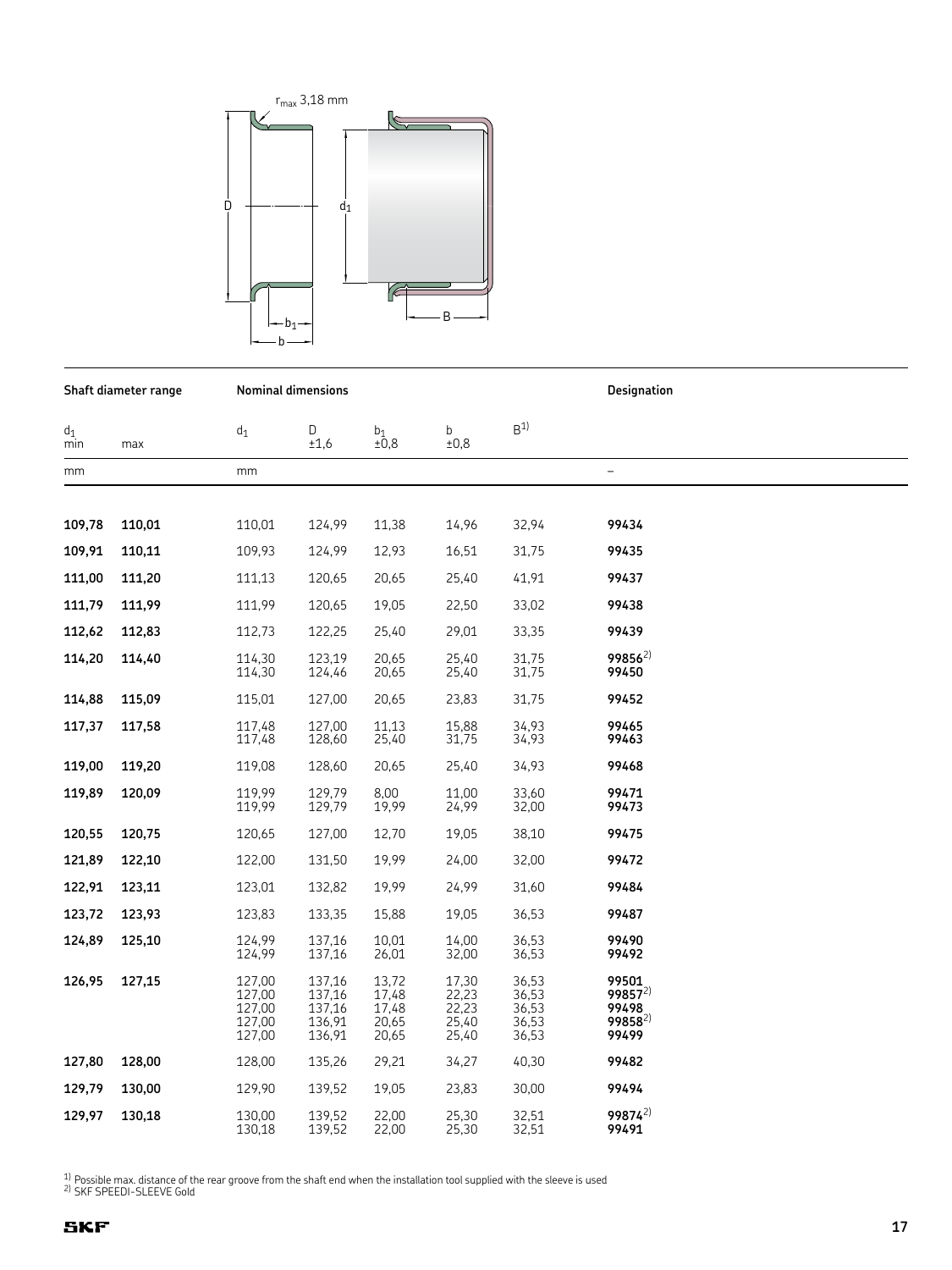

**Designation** Shaft diameter range **Nominal dimensions**  $B<sup>1</sup>$  $d_1$  $d_1$ D  $b_1$ <br>±0,8  $\mathbf b$  $±0,8$  $min$  $±1,6$ max  $mm$  $\frac{1}{2}$  $mm$ 109,78 110,01 110,01 124,99 11,38 14,96 32,94 99434 109,91 109,93 124,99 12,93 16,51 99435 110,11 31,75 99437 111,00 111,20 111,13 120,65 20,65 25,40 41,91 111,79 111,99 111,99 120,65 19.05 22.50 33,02 99438 112,62 112,73 122,25 25,40 29,01 33,35 99439 112,83  $99856^{2}$ 114,20 114,40 114,30 123.19 20,65 25,40 31,75 114,30 124,46  $20,65$  $25,40$  $31,75$ 99450 99452 114,88 115,09 115,01 127,00 20,65 23,83 31,75 117.48 127.00 11.13 15.88 34.93 99465 117.37 117,58 117,48 128,60 25,40 31,75 34,93 99463 119,00 119,20 119,08 128,60 20,65 25,40 34,93 99468 119.99 129.79 8.00 99471 119.89 11.00 33.60 120,09 119,99 129,79 19,99 24,99 32,00 99473 120,55 120,75 120,65 127,00 12,70 19,05 38,10 99475 99472 121.89 122,10 122,00 131.50 19.99 24,00 32.00 122,91 19,99 24,99 99484 123,11 123,01 132,82 31,60 123,72 123,93 123,83 133,35 15,88 19,05 36,53 99487 14,00 124.99 10.01 99490 124,89 137,16 36.53 125,10 124,99 137,16 26,01 36,53 99492 32,00 99501 126,95 127,15 127,00 137,16 13,72 17,30 36,53  $99857^{2}$ 127.00 137.16 17.48  $22.23$ 36.53  $22,23$ <br> $25,40$ 99498 127,00 137,16  $17,48$ 36,53 99858<sup>2)</sup> 136.91 20.65 127.00 36,53 127,00 136,91 20,65  $25,40$ 36,53 99499 127,80 128,00 128,00 135,26 29,21 34,27 40,30 99482 129,79 129,90 139,52 19,05 23,83 30,00 99494 130,00 130,00 139,52 22,00 25,30 32,51 99874<sup>2)</sup> 129,97 130,18 139.52 32.51 130.18 22.00 25.30 99491

 $\frac{1}{2}$  Possible max. distance of the rear groove from the shaft end when the installation tool supplied with the sleeve is used

<sup>2)</sup> SKF SPEEDI-SLEEVE Gold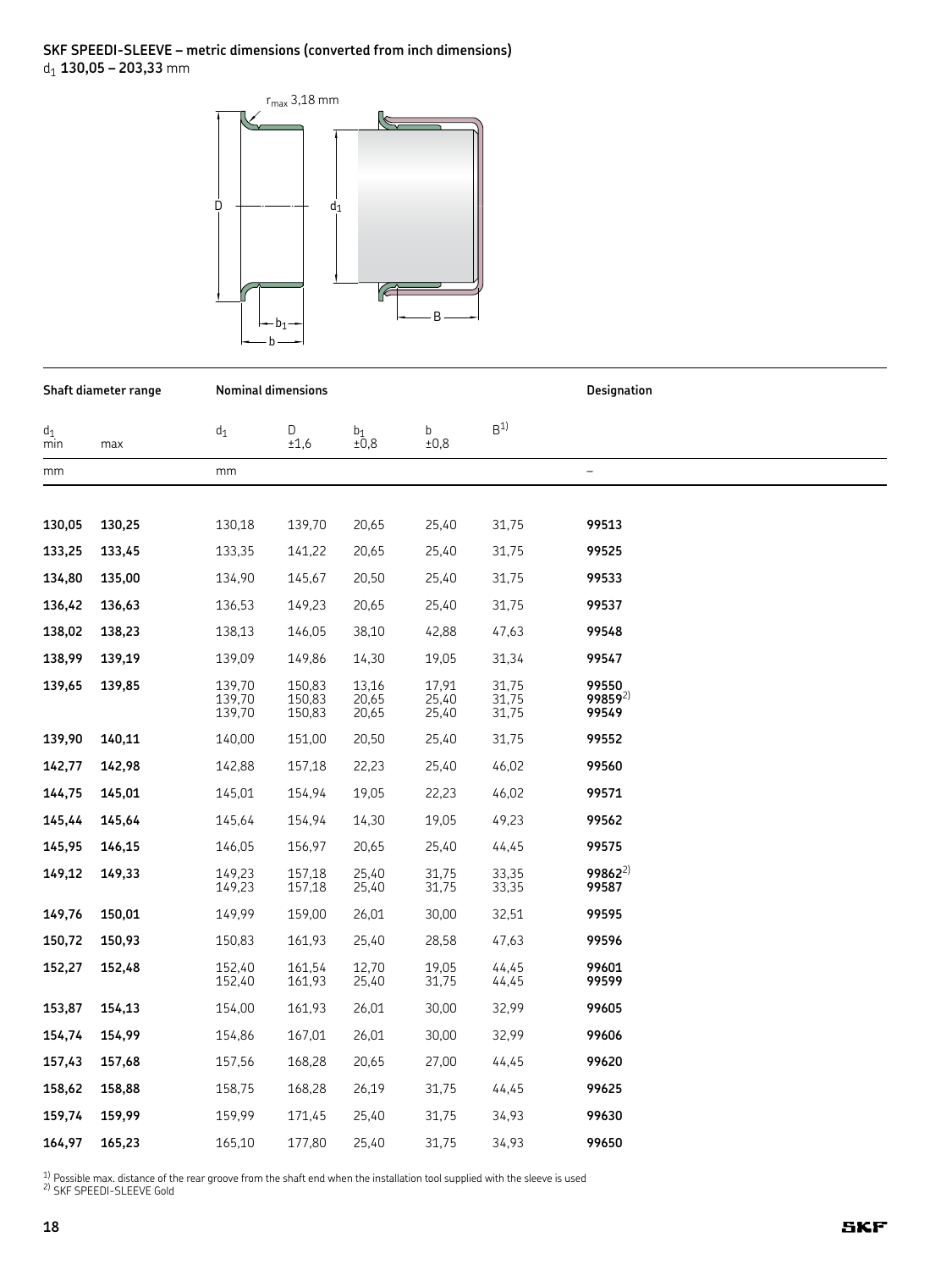#### SKF SPEEDI-SLEEVE – metric dimensions (converted from inch dimensions)  $d_1$  130,05 - 203,33 mm



Shaft diameter range **Nominal dimensions Designation**  $B<sup>1</sup>$  $d_1$  $\mathsf D$  $b_1$ <br> $\pm 0.8$  $\mathbf b$  $d_1$  $±0,8$  $\overline{\text{min}}$  $±1,6$ max  $mm$  $mm$  $\overline{a}$ 130,05 130,25 130,18 139,70 20,65 25,40 31,75 99513 133,25 133,35 141,22 20,65 25,40 31,75 99525 133,45 134,80 134,90 20,50 25,40 99533 135,00 145,67 31,75 136,42 136,63 136,53 149,23 20,65 25,40 31,75 99537 38,10 42,88 138,02 138,23 138,13 146,05 47,63 99548 138,99 139,09 149,86 14,30 19,05 31,34 99547 139,19 139,70 150,83 13,16 17,91 31,75 99550 139,65 139,85 139.70 150.83 31.75  $99859^{2}$ 20.65 25,40 139,70 150,83  $25,40$ 31,75 99549 20,65 139,90 140,11 140,00 151,00 20,50 25,40 31,75 99552 142,77 142,98 142,88 157,18 22,23 25,40 46,02 99560 145.01 154,94 19.05 22.23 99571 144,75 145,01 46.02 145,44 145,64 145,64 154,94 14,30 19,05 49,23 99562 145,95 146,05 156,97 20,65 25,40 99575 146,15 44,45 99862<sup>2)</sup> 149,12 149,33 149,23 25,40 31,75 33,35 157,18 31,75 149,23 157,18 25,40 33,35 99587 149,76 150,01 149,99 159,00 26,01 30,00 32,51 99595 150,72 150,83 161,93 25,40 28,58 99596 150,93 47,63 152,27 152,48 152,40 161,54 12,70 19,05 44,45 99601 152,40 161,93  $25,40$ 31,75  $44,45$ 99599 154,00 161,93 30,00 32,99 99605 153,87 154,13 26,01 154,74 154,99 154,86 167,01 26,01 30,00 32,99 99606 157,43 157,68 157,56 168,28 20,65 27,00 44,45 99620 158,62 158,75 168,28 31,75 44,45 158,88 26,19 99625 159,74 159,99 159,99 171,45 25,40 31,75 34,93 99630 164,97 177,80 31,75 34,93 99650 165,23 165,10 25,40

 $1)$  Possible max. distance of the rear groove from the shaft end when the installation tool supplied with the sleeve is used <sup>2</sup> SKF SPEEDI-SLEEVE Gold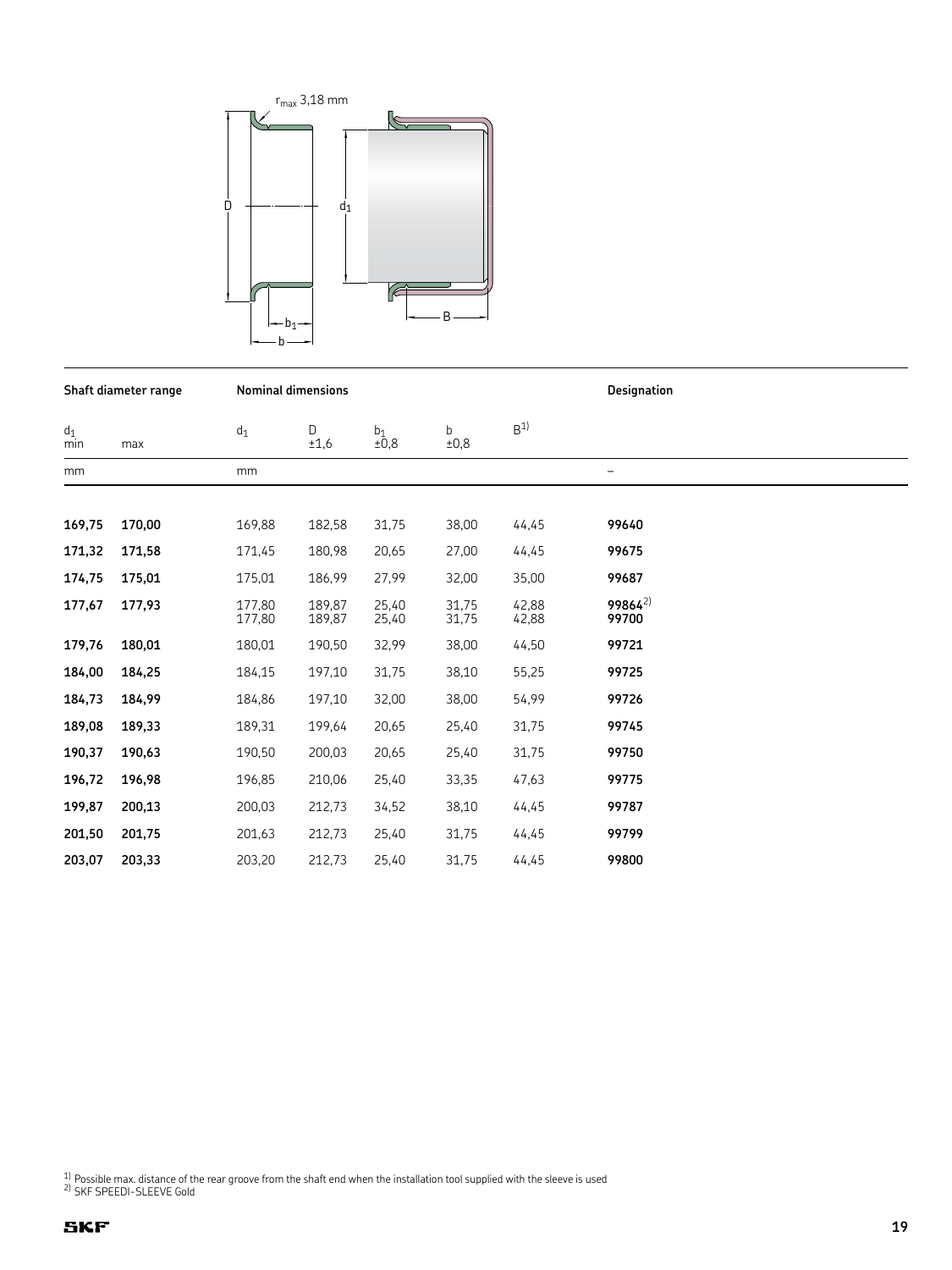

|              | Shaft diameter range |                  | <b>Nominal dimensions</b> |                            |                | Designation    |                              |  |
|--------------|----------------------|------------------|---------------------------|----------------------------|----------------|----------------|------------------------------|--|
| $d_1$<br>min | max                  | $\mathsf{d}_1$   | D<br>±1,6                 | $_{\pm0,8}^{\mathrm{b}_1}$ | b<br>±0,8      | B <sup>1</sup> |                              |  |
| mm           |                      | mm               |                           |                            |                |                | —                            |  |
| 169,75       | 170,00               | 169,88           | 182,58                    | 31,75                      | 38,00          | 44,45          | 99640                        |  |
| 171,32       | 171,58               | 171,45           | 180,98                    | 20,65                      | 27,00          | 44,45          | 99675                        |  |
| 174,75       | 175,01               | 175,01           | 186,99                    | 27,99                      | 32,00          | 35,00          | 99687                        |  |
| 177,67       | 177,93               | 177,80<br>177,80 | 189.87<br>189,87          | 25,40<br>25,40             | 31,75<br>31,75 | 42,88<br>42,88 | 99864 <sup>2)</sup><br>99700 |  |
| 179,76       | 180,01               | 180,01           | 190,50                    | 32,99                      | 38,00          | 44,50          | 99721                        |  |
| 184,00       | 184,25               | 184,15           | 197,10                    | 31,75                      | 38,10          | 55,25          | 99725                        |  |
| 184,73       | 184,99               | 184,86           | 197,10                    | 32,00                      | 38,00          | 54,99          | 99726                        |  |
| 189,08       | 189,33               | 189,31           | 199,64                    | 20,65                      | 25,40          | 31,75          | 99745                        |  |
| 190,37       | 190,63               | 190,50           | 200,03                    | 20,65                      | 25,40          | 31,75          | 99750                        |  |
| 196,72       | 196,98               | 196,85           | 210,06                    | 25,40                      | 33,35          | 47,63          | 99775                        |  |
| 199,87       | 200,13               | 200,03           | 212,73                    | 34,52                      | 38,10          | 44,45          | 99787                        |  |
| 201,50       | 201,75               | 201,63           | 212,73                    | 25,40                      | 31,75          | 44,45          | 99799                        |  |
| 203,07       | 203,33               | 203,20           | 212,73                    | 25,40                      | 31,75          | 44,45          | 99800                        |  |

<sup>1)</sup> Possible max. distance of the rear groove from the shaft end when the installation tool supplied with the sleeve is used  $^{2}$  SKF SPEEDI-SLEEVE Gold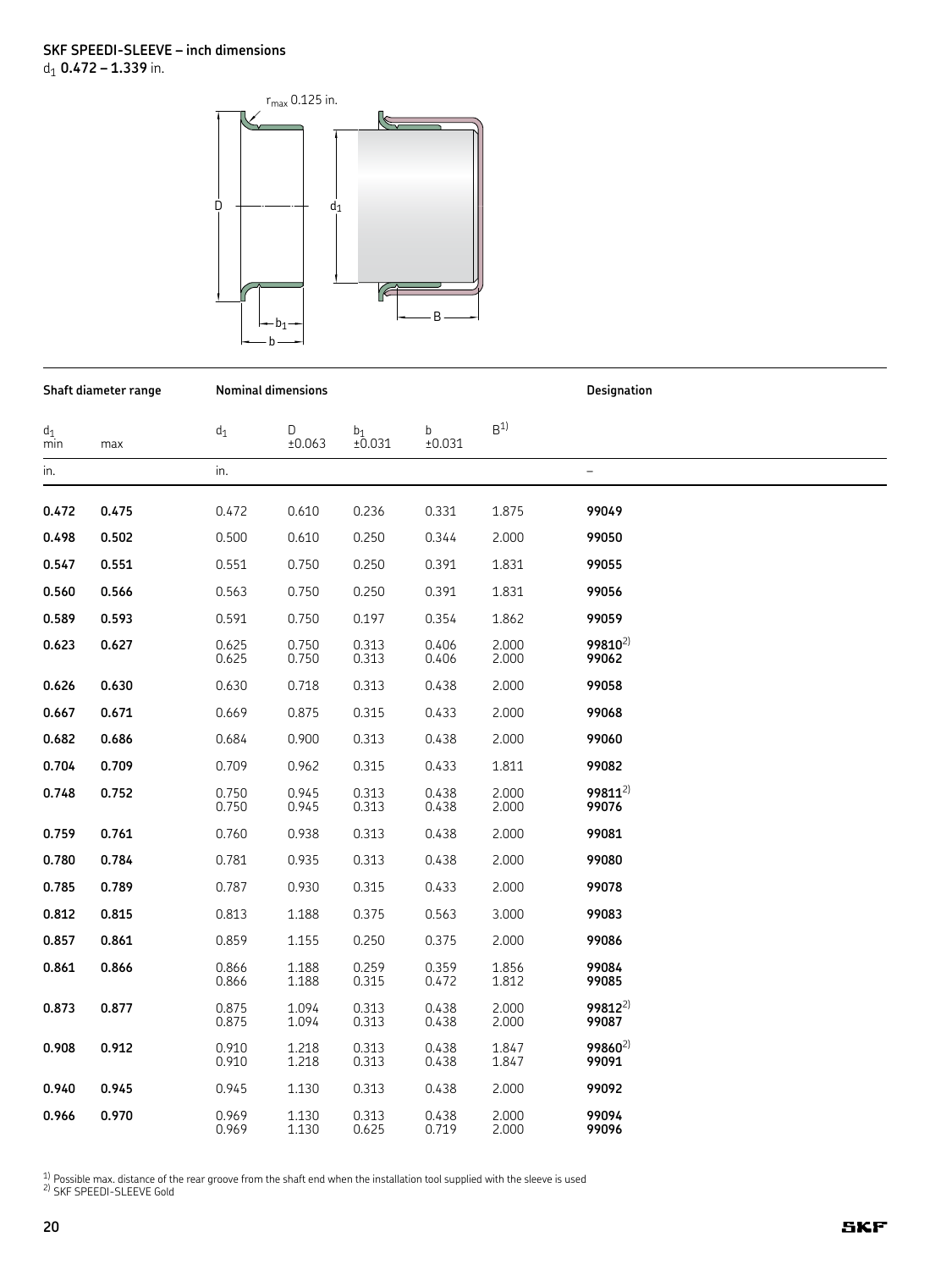

|              | Shaft diameter range |                | <b>Nominal dimensions</b> |                          |                | Designation    |                              |  |
|--------------|----------------------|----------------|---------------------------|--------------------------|----------------|----------------|------------------------------|--|
| $d_1$<br>min | max                  | $d_1$          | D<br>±0.063               | b <sub>1</sub><br>±0.031 | b<br>±0.031    | B <sup>1</sup> |                              |  |
| in.          |                      | in.            |                           |                          |                |                | $\qquad \qquad -$            |  |
| 0.472        | 0.475                | 0.472          | 0.610                     | 0.236                    | 0.331          | 1.875          | 99049                        |  |
| 0.498        | 0.502                | 0.500          | 0.610                     | 0.250                    | 0.344          | 2.000          | 99050                        |  |
| 0.547        | 0.551                | 0.551          | 0.750                     | 0.250                    | 0.391          | 1.831          | 99055                        |  |
| 0.560        | 0.566                | 0.563          | 0.750                     | 0.250                    | 0.391          | 1.831          | 99056                        |  |
| 0.589        | 0.593                | 0.591          | 0.750                     | 0.197                    | 0.354          | 1.862          | 99059                        |  |
| 0.623        | 0.627                | 0.625<br>0.625 | 0.750<br>0.750            | 0.313<br>0.313           | 0.406<br>0.406 | 2.000<br>2.000 | 99810 <sup>2)</sup><br>99062 |  |
| 0.626        | 0.630                | 0.630          | 0.718                     | 0.313                    | 0.438          | 2.000          | 99058                        |  |
| 0.667        | 0.671                | 0.669          | 0.875                     | 0.315                    | 0.433          | 2.000          | 99068                        |  |
| 0.682        | 0.686                | 0.684          | 0.900                     | 0.313                    | 0.438          | 2.000          | 99060                        |  |
| 0.704        | 0.709                | 0.709          | 0.962                     | 0.315                    | 0.433          | 1.811          | 99082                        |  |
| 0.748        | 0.752                | 0.750<br>0.750 | 0.945<br>0.945            | 0.313<br>0.313           | 0.438<br>0.438 | 2.000<br>2.000 | $99811^{2}$<br>99076         |  |
| 0.759        | 0.761                | 0.760          | 0.938                     | 0.313                    | 0.438          | 2.000          | 99081                        |  |
| 0.780        | 0.784                | 0.781          | 0.935                     | 0.313                    | 0.438          | 2.000          | 99080                        |  |
| 0.785        | 0.789                | 0.787          | 0.930                     | 0.315                    | 0.433          | 2.000          | 99078                        |  |
| 0.812        | 0.815                | 0.813          | 1.188                     | 0.375                    | 0.563          | 3.000          | 99083                        |  |
| 0.857        | 0.861                | 0.859          | 1.155                     | 0.250                    | 0.375          | 2.000          | 99086                        |  |
| 0.861        | 0.866                | 0.866<br>0.866 | 1.188<br>1.188            | 0.259<br>0.315           | 0.359<br>0.472 | 1.856<br>1.812 | 99084<br>99085               |  |
| 0.873        | 0.877                | 0.875<br>0.875 | 1.094<br>1.094            | 0.313<br>0.313           | 0.438<br>0.438 | 2.000<br>2.000 | $99812^{2}$<br>99087         |  |
| 0.908        | 0.912                | 0.910<br>0.910 | 1.218<br>1.218            | 0.313<br>0.313           | 0.438<br>0.438 | 1.847<br>1.847 | 99860 <sup>2)</sup><br>99091 |  |
| 0.940        | 0.945                | 0.945          | 1.130                     | 0.313                    | 0.438          | 2.000          | 99092                        |  |
| 0.966        | 0.970                | 0.969<br>0.969 | 1.130<br>1.130            | 0.313<br>0.625           | 0.438<br>0.719 | 2.000<br>2.000 | 99094<br>99096               |  |

<sup>1)</sup> Possible max. distance of the rear groove from the shaft end when the installation tool supplied with the sleeve is used  $\frac{2}{1}$  SKF SPEEDI-SLEEVE Gold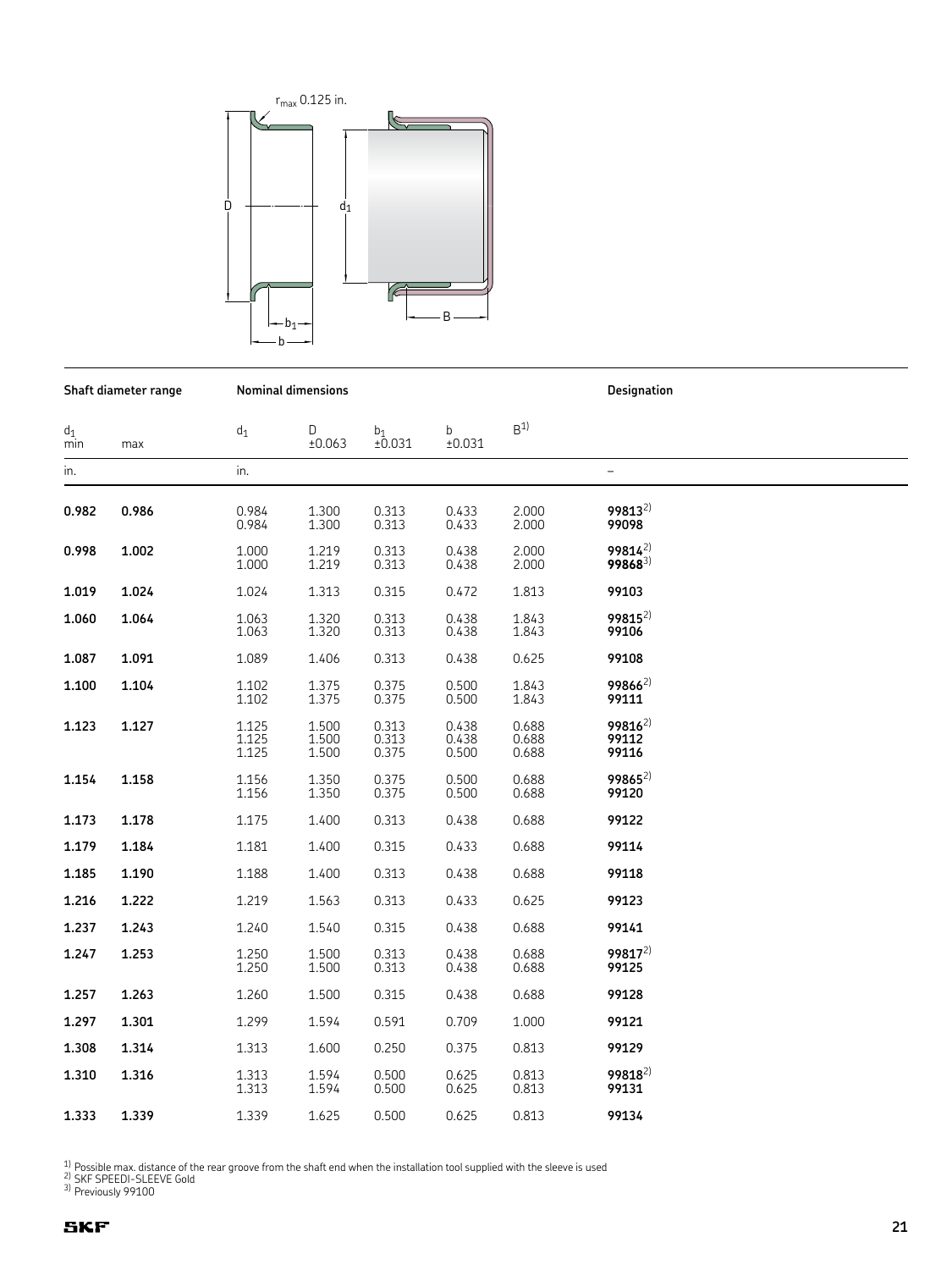

**Shaft diameter range Nominal dimensions Designation**

 $\mathsf{d}_1$  d<sub>1</sub> D  $\mathsf{b}_1$  b  $\mathsf{B}^{1}$ min max ±0.063 ±0.031 ±0.031 in. in. – **0.982 0.986** 0.984 1.300 0.313 0.433 2.000 **99813**2) 0.984 1.300 0.313 0.433 2.000 **99098** 0.998 **0.998 1.002** 1.000 1.219 0.313 0.438 2.000 **99814**2) 1.000 1.219 0.313 0.438 2.000 **99868**3) **1.019 1.024** 1.024 1.313 0.315 0.472 1.813 **99103 1.060 1.064** 1.063 1.320 0.313 0.438 1.843 **99815**2) 1.063 1.320 0.313 0.438 1.843 **99106 1.087 1.091** 1.089 1.406 0.313 0.438 0.625 **99108 1.100 1.104** 1.102 1.375 0.375 0.500 1.843 **99866**2) 1.102 1.375 0.375 0.500 1.843 **99111 1.123 1.127** 1.125 1.500 0.313 0.438 0.688 **99816**2) 1.125 1.500 0.313 0.438 0.688 **99112** 1.125 1.500 0.375 0.500 0.688 **99116 1.154 1.158** 1.156 1.350 0.375 0.500 0.688 **99865**2) 1.156 1.350 0.375 0.500 0.688 **99120 1.173 1.178** 1.175 1.400 0.313 0.438 0.688 **99122 1.179 1.184** 1.181 1.400 0.315 0.433 0.688 **99114 1.185 1.190** 1.188 1.400 0.313 0.438 0.688 **99118 1.216 1.222** 1.219 1.563 0.313 0.433 0.625 **99123 1.237 1.243** 1.240 1.540 0.315 0.438 0.688 **99141 1.247 1.253** 1.250 1.500 0.313 0.438 0.688 **99817**2) 1.250 1.500 0.313 0.438 0.688 **99125 1.257 1.263** 1.260 1.500 0.315 0.438 0.688 **99128 1.297 1.301** 1.299 1.594 0.591 0.709 1.000 **99121 1.308 1.314** 1.313 1.600 0.250 0.375 0.813 **99129 1.310 1.316** 1.313 1.594 0.500 0.625 0.813 **99818**2) 1.313 1.594 0.500 0.625 0.813 **99131**

<sup>1)</sup> Possible max. distance of the rear groove from the shaft end when the installation tool supplied with the sleeve is used  $\frac{2}{3}$  SKF SPEEDI-SLEEVE Gold

1.625 **1.333 1.339** 1.339 1.625 0.500 0.625 0.813 **99134**

3) Previously 99100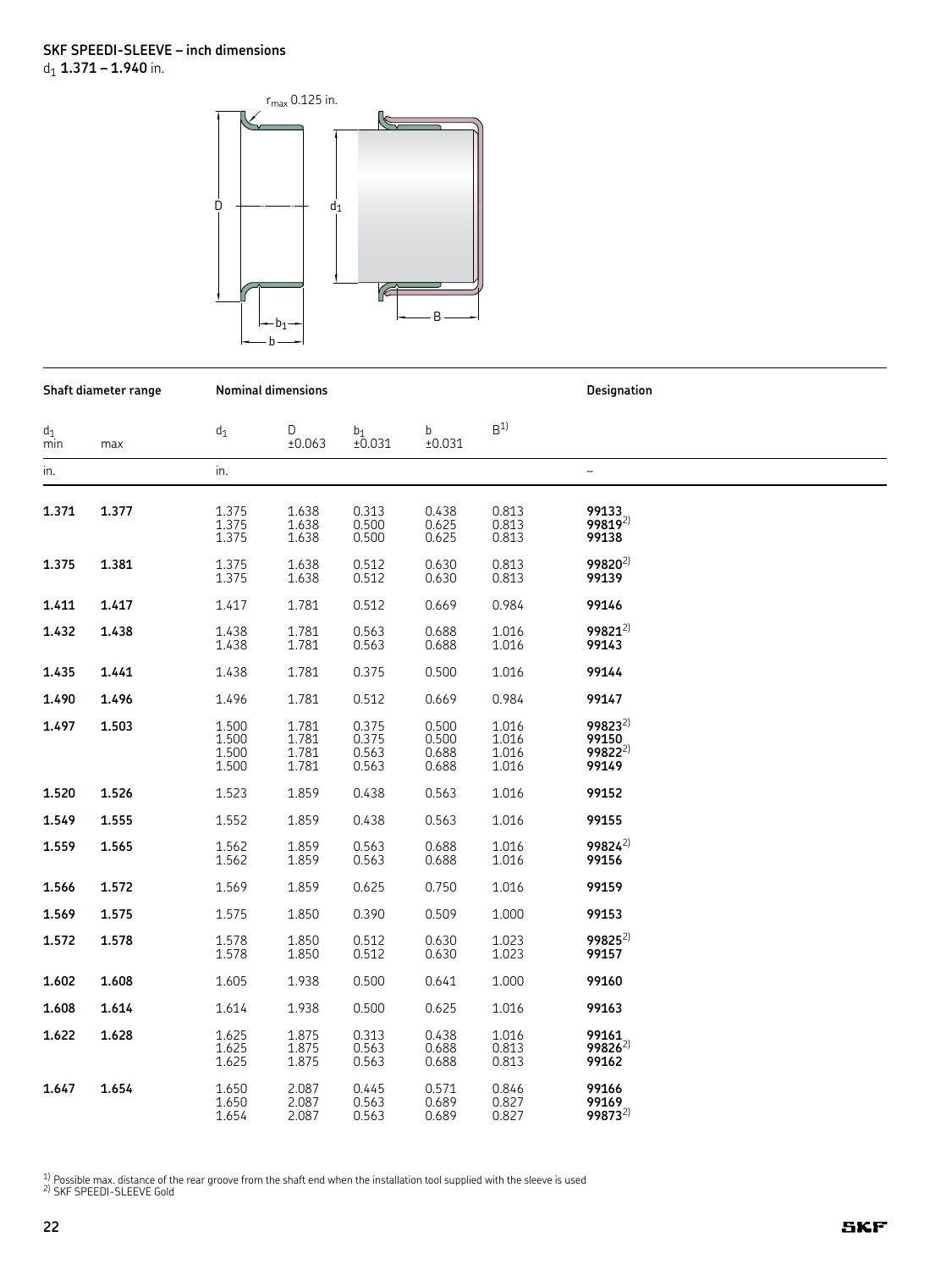

|              | Shaft diameter range |                                  | <b>Nominal dimensions</b>        |                                  |                                  | Designation                      |                                                      |
|--------------|----------------------|----------------------------------|----------------------------------|----------------------------------|----------------------------------|----------------------------------|------------------------------------------------------|
| $d_1$<br>min | max                  | $\mathsf{d}_1$                   | D<br>±0.063                      | b1<br>±0.031                     | $\mathbf b$<br>±0.031            | B <sup>1</sup>                   |                                                      |
| in.          |                      | in.                              |                                  |                                  |                                  |                                  | $\qquad \qquad -$                                    |
| 1.371        | 1.377                | 1.375<br>1.375<br>1.375          | 1.638<br>1.638<br>1.638          | 0.313<br>0.500<br>0.500          | 0.438<br>0.625<br>0.625          | 0.813<br>0.813<br>0.813          | 99133<br>99819 <sup>2)</sup><br>99138                |
| 1.375        | 1.381                | 1.375<br>1.375                   | 1.638<br>1.638                   | 0.512<br>0.512                   | 0.630<br>0.630                   | 0.813<br>0.813                   | 99820 <sup>2)</sup><br>99139                         |
| 1.411        | 1.417                | 1.417                            | 1.781                            | 0.512                            | 0.669                            | 0.984                            | 99146                                                |
| 1.432        | 1.438                | 1.438<br>1.438                   | 1.781<br>1.781                   | 0.563<br>0.563                   | 0.688<br>0.688                   | 1.016<br>1.016                   | 99821 <sup>2)</sup><br>99143                         |
| 1.435        | 1.441                | 1.438                            | 1.781                            | 0.375                            | 0.500                            | 1.016                            | 99144                                                |
| 1.490        | 1.496                | 1.496                            | 1.781                            | 0.512                            | 0.669                            | 0.984                            | 99147                                                |
| 1.497        | 1.503                | 1.500<br>1.500<br>1.500<br>1.500 | 1.781<br>1.781<br>1.781<br>1.781 | 0.375<br>0.375<br>0.563<br>0.563 | 0.500<br>0.500<br>0.688<br>0.688 | 1.016<br>1.016<br>1.016<br>1.016 | $99823^{2}$<br>99150<br>99822 <sup>2)</sup><br>99149 |
| 1.520        | 1.526                | 1.523                            | 1.859                            | 0.438                            | 0.563                            | 1.016                            | 99152                                                |
| 1.549        | 1.555                | 1.552                            | 1.859                            | 0.438                            | 0.563                            | 1.016                            | 99155                                                |
| 1.559        | 1.565                | 1.562<br>1.562                   | 1.859<br>1.859                   | 0.563<br>0.563                   | 0.688<br>0.688                   | 1.016<br>1.016                   | 99824 <sup>2)</sup><br>99156                         |
| 1.566        | 1.572                | 1.569                            | 1.859                            | 0.625                            | 0.750                            | 1.016                            | 99159                                                |
| 1.569        | 1.575                | 1.575                            | 1.850                            | 0.390                            | 0.509                            | 1.000                            | 99153                                                |
| 1.572        | 1.578                | 1.578<br>1.578                   | 1.850<br>1.850                   | 0.512<br>0.512                   | 0.630<br>0.630                   | 1.023<br>1.023                   | 99825 <sup>2)</sup><br>99157                         |
| 1.602        | 1.608                | 1.605                            | 1.938                            | 0.500                            | 0.641                            | 1.000                            | 99160                                                |
| 1.608        | 1.614                | 1.614                            | 1.938                            | 0.500                            | 0.625                            | 1.016                            | 99163                                                |
| 1.622        | 1.628                | 1.625<br>1.625<br>1.625          | 1.875<br>1.875<br>1.875          | 0.313<br>0.563<br>0.563          | 0.438<br>0.688<br>0.688          | 1.016<br>0.813<br>0.813          | 99161<br>$99826^{2}$<br>99162                        |
| 1.647        | 1.654                | 1.650<br>1.650<br>1.654          | 2.087<br>2.087<br>2.087          | 0.445<br>0.563<br>0.563          | 0.571<br>0.689<br>0.689          | 0.846<br>0.827<br>0.827          | 99166<br>99169<br>99873 <sup>2)</sup>                |

<sup>1)</sup> Possible max. distance of the rear groove from the shaft end when the installation tool supplied with the sleeve is used  $2$ ) SKF SPEEDI-SLEEVE Gold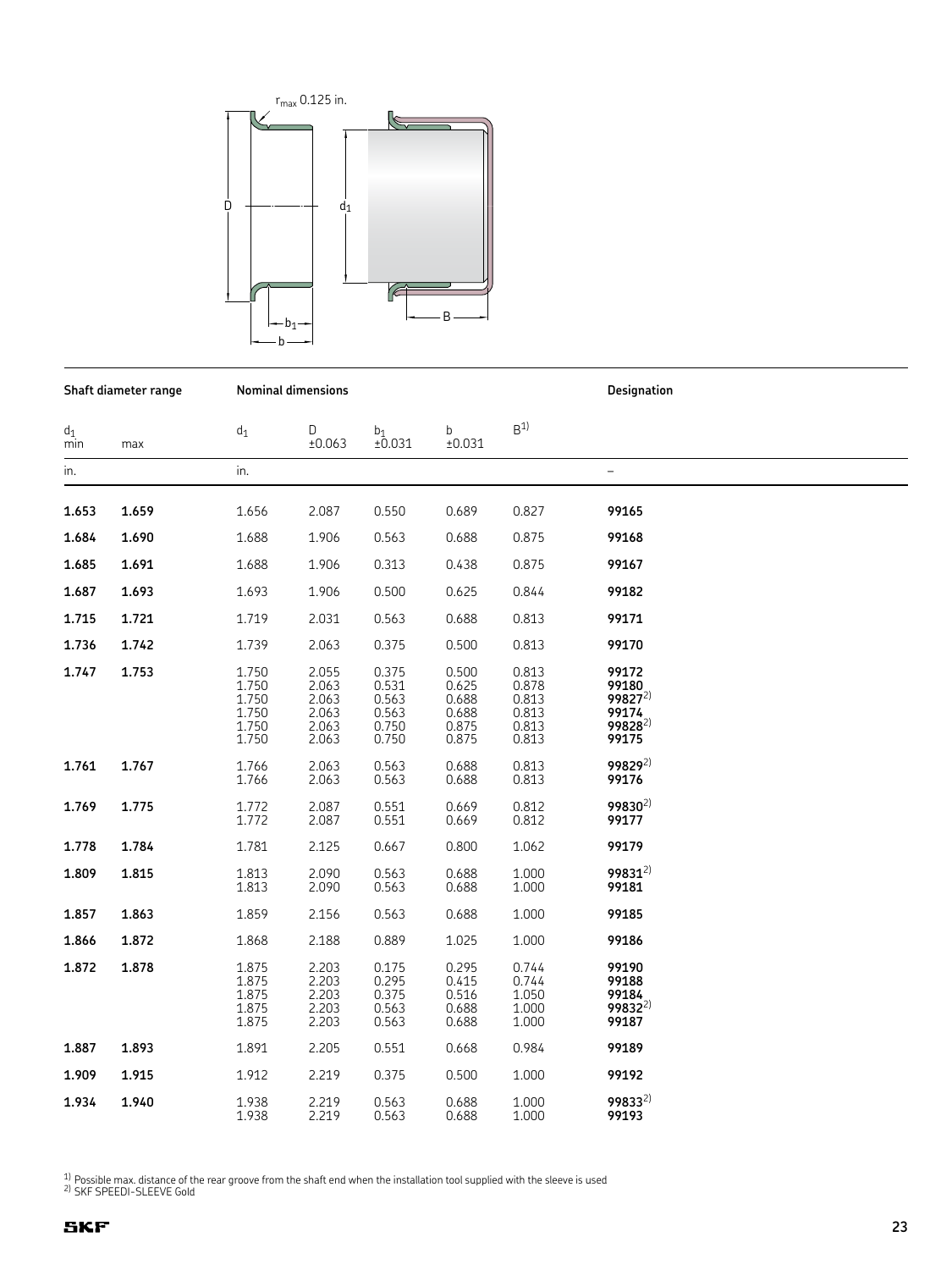

**Shaft diameter range Nominal dimensions Designation**

 $\mathsf{d}_1$  d<sub>1</sub> D  $\mathsf{b}_1$  b  $\mathsf{B}^{1}$ min max ±0.063 ±0.031 ±0.031 in. in. – **1.653 1.659** 1.656 2.087 0.550 0.689 0.827 **99165 1.684 1.690** 1.688 1.906 0.563 0.688 0.875 **99168 1.685 1.691** 1.688 1.906 0.313 0.438 0.875 **99167 1.687 1.693** 1.693 1.906 0.500 0.625 0.844 **99182 1.715 1.721** 1.719 2.031 0.563 0.688 0.813 **99171 1.736 1.742** 1.739 2.063 0.375 0.500 0.813 **99170 1.747 1.753** 1.750 2.055 0.375 0.500 0.813 **99172** 1.750 2.063 0.531 0.625 0.878 **99180** 1.750 2.063 0.563 0.688 0.813 **99827**2) 1.750 2.063 0.563 0.688 0.813 **99174** 1.750 2.063 0.750 0.875 0.813 **99828**2) 1.750 2.063 0.750 0.875 0.813 **99175 1.761 1.767** 1.766 2.063 0.563 0.688 0.813 **99829**2) 1.766 2.063 0.563 0.688 0.813 **99176 1.769 1.775** 1.772 2.087 0.551 0.669 0.812 **99830**2) 1.772 2.087 0.551 0.669 0.812 **99177 1.778 1.784** 1.781 2.125 0.667 0.800 1.062 **99179** 2.090 **1.809 1.815** 1.813 2.090 0.563 0.688 1.000 **99831**2) 1.813 2.090 0.563 0.688 1.000 **99181 1.857 1.863** 1.859 2.156 0.563 0.688 1.000 **99185 1.866 1.872** 1.868 2.188 0.889 1.025 1.000 **99186 1.872 1.878** 1.875 2.203 0.175 0.295 0.744 **99190** 1.875 2.203 0.295 0.415 0.744 **99188** 1.875 2.203 0.375 0.516 1.050 **99184** 1.875 2.203 0.563 0.688 1.000 **99832**2) 1.875 2.203 0.563 0.688 1.000 **99187 1.887 1.893** 1.891 2.205 0.551 0.668 0.984 **99189** 2.219 **1.909 1.915** 1.912 2.219 0.375 0.500 1.000 **99192 1.934 1.940** 1.938 2.219 0.563 0.688 1.000 **99833**2) 1.938 2.219 0.563 0.688 1.000 **99193**

 $1)$  Possible max. distance of the rear groove from the shaft end when the installation tool supplied with the sleeve is used  $2)$  SKF SPEEDI-SLEEVE Gold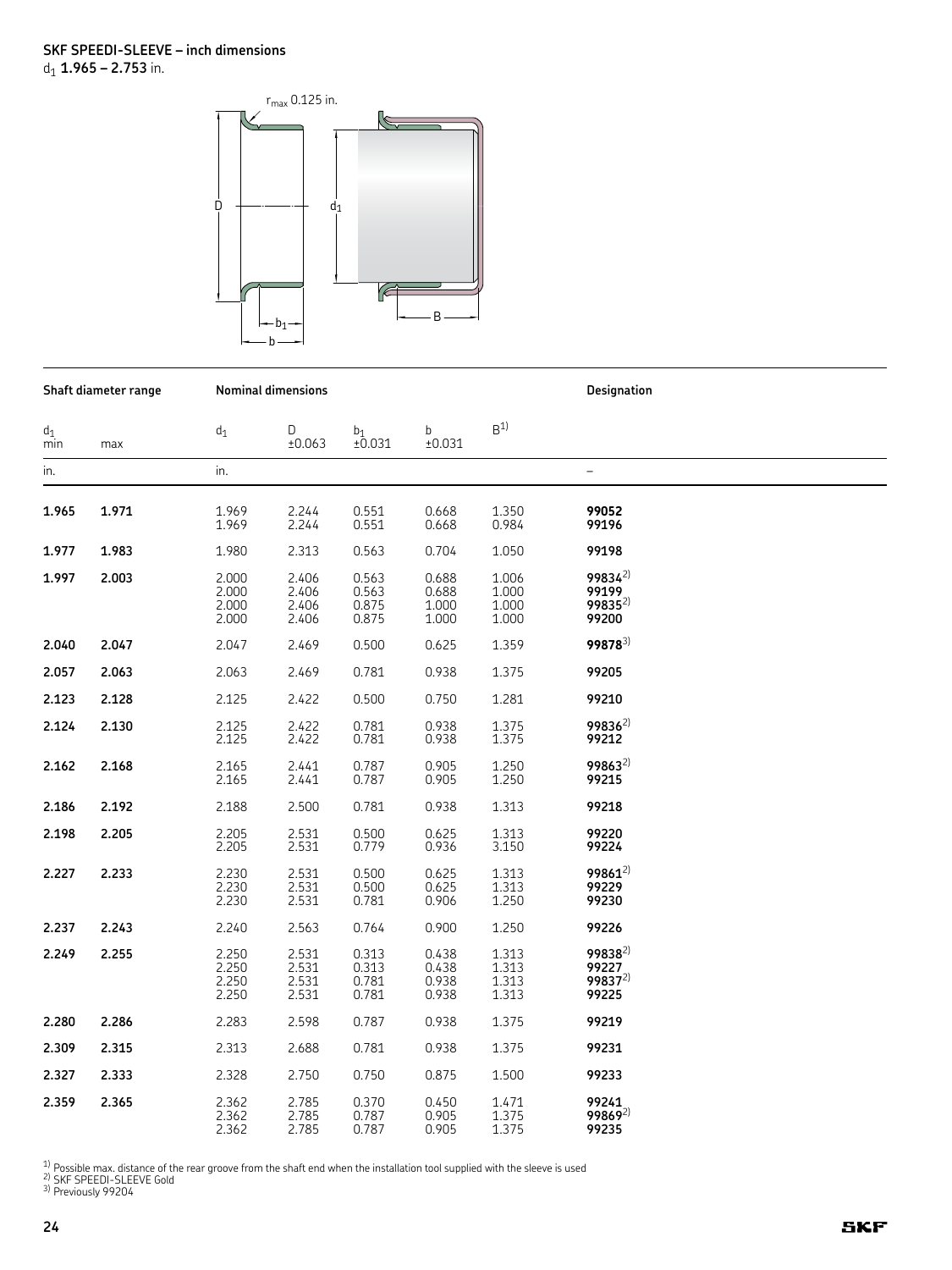

| Shaft diameter range |       |                                  | <b>Nominal dimensions</b>        |                                  |                                  | Designation                      |                                                      |  |
|----------------------|-------|----------------------------------|----------------------------------|----------------------------------|----------------------------------|----------------------------------|------------------------------------------------------|--|
| $d_1$<br>min         | max   | $d_1$                            | D<br>±0.063                      | $b_1$<br>±0.031                  | $\mathbf b$<br>±0.031            | B <sup>1</sup>                   |                                                      |  |
| in.                  |       | in.                              |                                  |                                  |                                  |                                  | $\overline{\phantom{0}}$                             |  |
| 1.965                | 1.971 | 1.969<br>1.969                   | 2.244<br>2.244                   | 0.551<br>0.551                   | 0.668<br>0.668                   | 1.350<br>0.984                   | 99052<br>99196                                       |  |
| 1.977                | 1.983 | 1.980                            | 2.313                            | 0.563                            | 0.704                            | 1.050                            | 99198                                                |  |
| 1.997                | 2.003 | 2.000<br>2.000<br>2.000<br>2.000 | 2.406<br>2.406<br>2.406<br>2.406 | 0.563<br>0.563<br>0.875<br>0.875 | 0.688<br>0.688<br>1.000<br>1.000 | 1.006<br>1.000<br>1.000<br>1.000 | $99834^{2}$<br>99199<br>$99835^{2}$<br>99200         |  |
| 2.040                | 2.047 | 2.047                            | 2.469                            | 0.500                            | 0.625                            | 1.359                            | 99878 <sup>3)</sup>                                  |  |
| 2.057                | 2.063 | 2.063                            | 2.469                            | 0.781                            | 0.938                            | 1.375                            | 99205                                                |  |
| 2.123                | 2.128 | 2.125                            | 2.422                            | 0.500                            | 0.750                            | 1.281                            | 99210                                                |  |
| 2.124                | 2.130 | 2.125<br>2.125                   | 2.422<br>2.422                   | 0.781<br>0.781                   | 0.938<br>0.938                   | 1.375<br>1.375                   | $99836^{2}$<br>99212                                 |  |
| 2.162                | 2.168 | 2.165<br>2.165                   | 2.441<br>2.441                   | 0.787<br>0.787                   | 0.905<br>0.905                   | 1.250<br>1.250                   | 99863 <sup>2)</sup><br>99215                         |  |
| 2.186                | 2.192 | 2.188                            | 2.500                            | 0.781                            | 0.938                            | 1.313                            | 99218                                                |  |
| 2.198                | 2.205 | 2.205<br>2.205                   | 2.531<br>2.531                   | 0.500<br>0.779                   | 0.625<br>0.936                   | 1.313<br>3.150                   | 99220<br>99224                                       |  |
| 2.227                | 2.233 | 2.230<br>2.230<br>2.230          | 2.531<br>2.531<br>2.531          | 0.500<br>0.500<br>0.781          | 0.625<br>0.625<br>0.906          | 1.313<br>1.313<br>1.250          | 99861 <sup>2)</sup><br>99229<br>99230                |  |
| 2.237                | 2.243 | 2.240                            | 2.563                            | 0.764                            | 0.900                            | 1.250                            | 99226                                                |  |
| 2.249                | 2.255 | 2.250<br>2.250<br>2.250<br>2.250 | 2.531<br>2.531<br>2.531<br>2.531 | 0.313<br>0.313<br>0.781<br>0.781 | 0.438<br>0.438<br>0.938<br>0.938 | 1.313<br>1.313<br>1.313<br>1.313 | $99838^{2}$<br>99227<br>99837 <sup>2)</sup><br>99225 |  |
| 2.280                | 2.286 | 2.283                            | 2.598                            | 0.787                            | 0.938                            | 1.375                            | 99219                                                |  |
| 2.309                | 2.315 | 2.313                            | 2.688                            | 0.781                            | 0.938                            | 1.375                            | 99231                                                |  |
| 2.327                | 2.333 | 2.328                            | 2.750                            | 0.750                            | 0.875                            | 1.500                            | 99233                                                |  |
| 2.359                | 2.365 | 2.362<br>2.362<br>2.362          | 2.785<br>2.785<br>2.785          | 0.370<br>0.787<br>0.787          | 0.450<br>0.905<br>0.905          | 1.471<br>1.375<br>1.375          | 99241<br>$99869^{2}$<br>99235                        |  |

<sup>1)</sup> Possible max. distance of the rear groove from the shaft end when the installation tool supplied with the sleeve is used<br><sup>2)</sup> SKF SPEEDI-SLEEVE Gold<br><sup>3)</sup> Previously 99204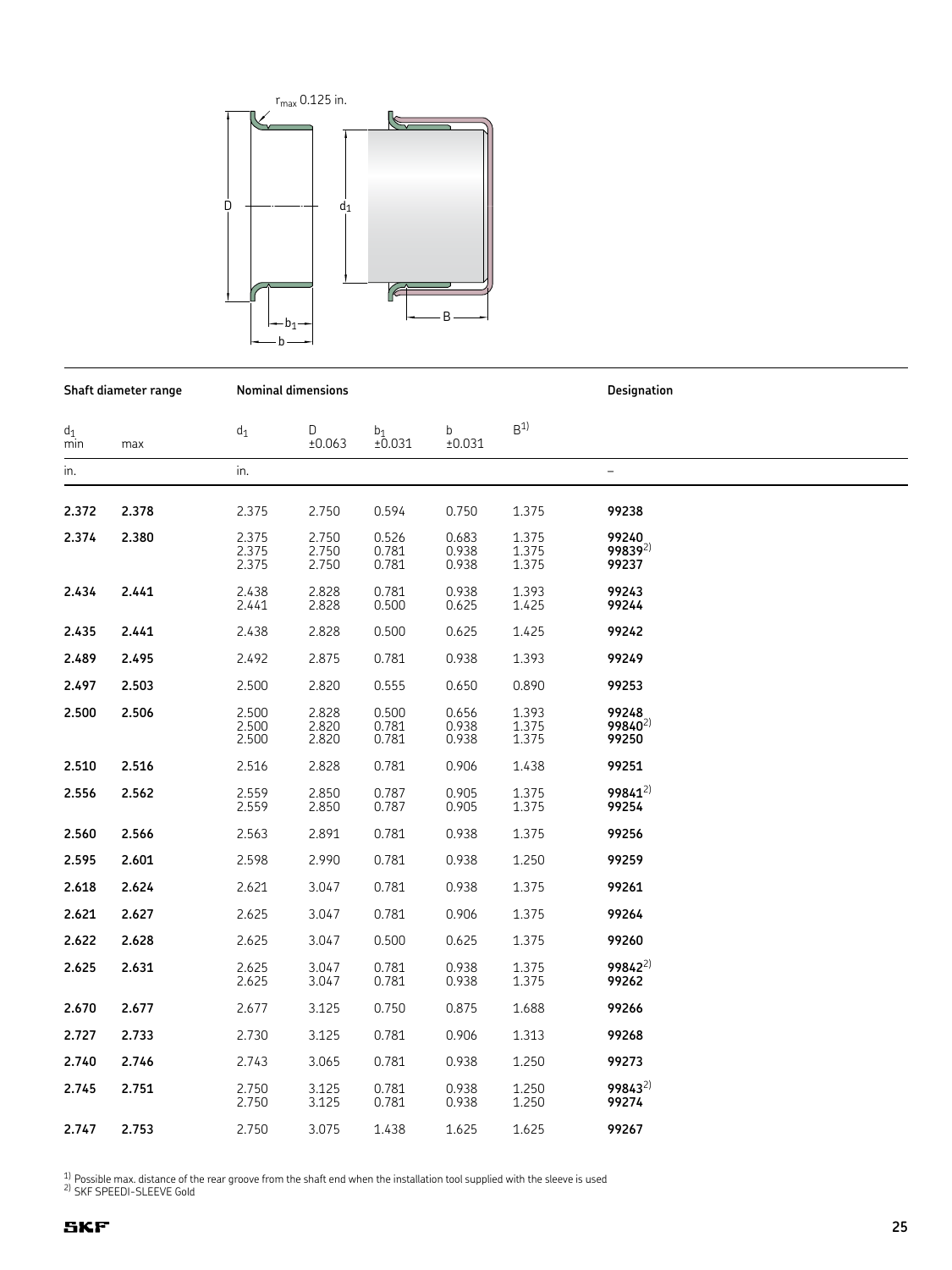

**Shaft diameter range Nominal dimensions Designation**

 $\mathsf{d}_1$  d<sub>1</sub> D  $\mathsf{b}_1$  b  $\mathsf{B}^{1}$ min max ±0.063 ±0.031 ±0.031 in. in. – **2.372 2.378** 2.375 2.750 0.594 0.750 1.375 **99238 2.374 2.380** 2.375 2.750 0.526 0.683 1.375 **99240** 2.375 2.750 0.781 0.938 1.375 **99839**2) 2.375 2.750 0.781 0.938 1.375 **99237 2.434 2.441** 2.438 2.828 0.781 0.938 1.393 **99243** 2.441 2.828 0.500 0.625 1.425 **99244 2.435 2.441** 2.438 2.828 0.500 0.625 1.425 **99242 2.489 2.495** 2.492 2.875 0.781 0.938 1.393 **99249 2.497 2.503** 2.500 2.820 0.555 0.650 0.890 **99253 2.500 2.506** 2.500 2.828 0.500 0.656 1.393 **99248** 2.500 2.820 0.781 0.938 1.375 **99840**2) 2.500 2.820 0.781 0.938 1.375 **99250 2.510 2.516** 2.516 2.828 0.781 0.906 1.438 **99251 2.556 2.562** 2.559 2.850 0.787 0.905 1.375 **99841**2) 2.559 2.850 0.787 0.905 1.375 **99254 2.560 2.566** 2.563 2.891 0.781 0.938 1.375 **99256 2.595 2.601** 2.598 2.990 0.781 0.938 1.250 **99259 2.618 2.624** 2.621 3.047 0.781 0.938 1.375 **99261 2.621 2.627** 2.625 3.047 0.781 0.906 1.375 **99264** 3.047 **2.622 2.628** 2.625 3.047 0.500 0.625 1.375 **99260 2.625 2.631** 2.625 3.047 0.781 0.938 1.375 **99842**2) 2.625 3.047 0.781 0.938 1.375 **99262 2.670 2.677** 2.677 3.125 0.750 0.875 1.688 **99266 2.727 2.733** 2.730 3.125 0.781 0.906 1.313 **99268 2.740 2.746** 2.743 3.065 0.781 0.938 1.250 **99273 2.745 2.751** 2.750 3.125 0.781 0.938 1.250 **99843**2) 2.750 3.125 0.781 0.938 1.250 **99274**

<sup>1)</sup> Possible max. distance of the rear groove from the shaft end when the installation tool supplied with the sleeve is used  $^{2}$ ) SKF SPEEDI-SLEEVE Gold

**2.747 2.753** 2.750 3.075 1.438 1.625 1.625 **99267**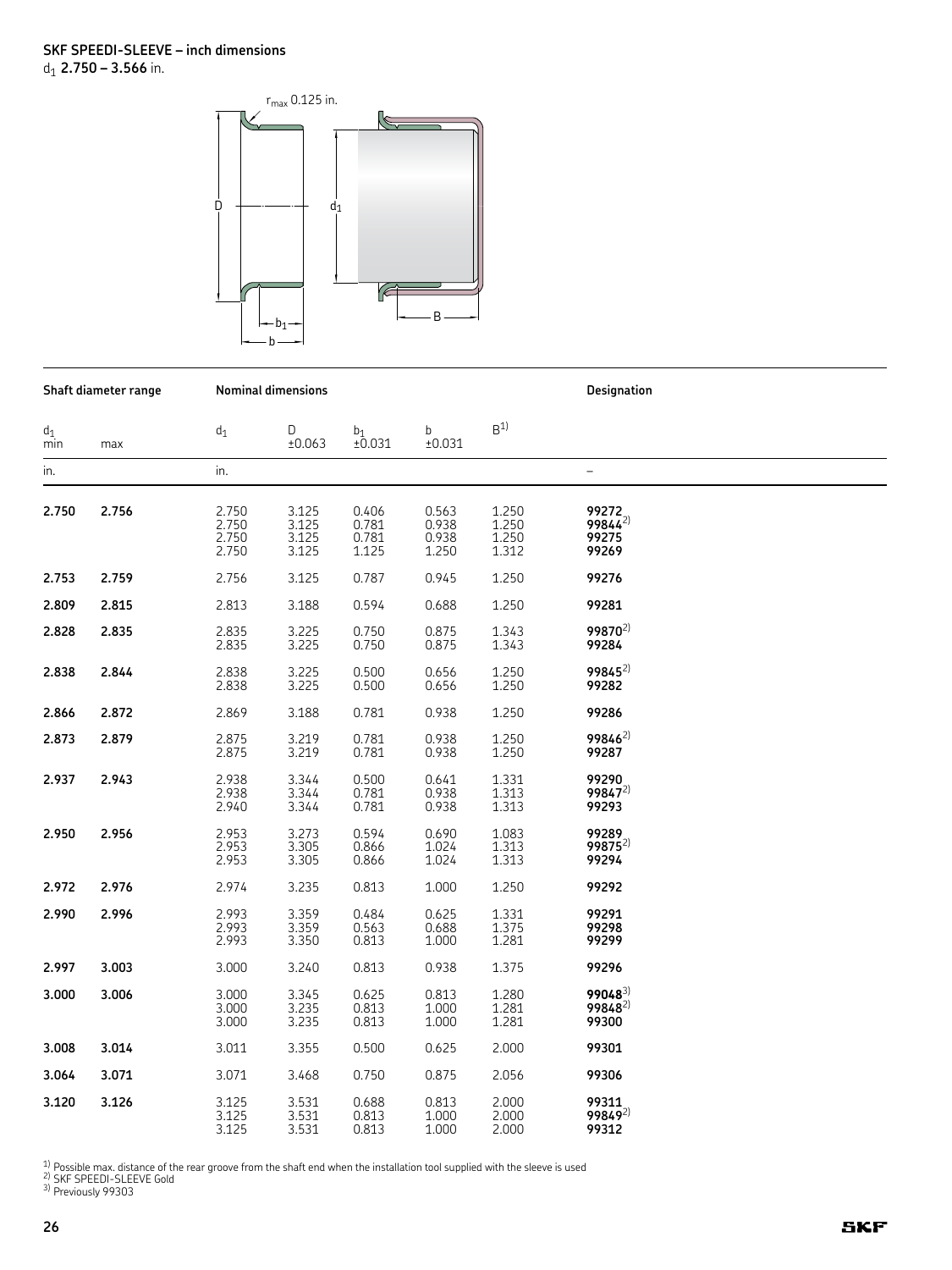

|              | Shaft diameter range |                                  | <b>Nominal dimensions</b>        |                                  |                                  |                                      | Designation                            |
|--------------|----------------------|----------------------------------|----------------------------------|----------------------------------|----------------------------------|--------------------------------------|----------------------------------------|
| $d_1$<br>min | max                  | $d_1$                            | D<br>±0.063                      | $b_1$<br>±0.031                  | b<br>±0.031                      | B <sup>1</sup>                       |                                        |
| in.          |                      | in.                              |                                  |                                  |                                  |                                      | $\overline{\phantom{0}}$               |
| 2.750        | 2.756                | 2.750<br>2.750<br>2.750<br>2.750 | 3.125<br>3.125<br>3.125<br>3.125 | 0.406<br>0.781<br>0.781<br>1.125 | 0.563<br>0.938<br>0.938<br>1.250 | 1.250<br>$1.250$<br>$1.250$<br>1.312 | 99272<br>$99844^{2}$<br>99275<br>99269 |
| 2.753        | 2.759                | 2.756                            | 3.125                            | 0.787                            | 0.945                            | 1.250                                | 99276                                  |
| 2.809        | 2.815                | 2.813                            | 3.188                            | 0.594                            | 0.688                            | 1.250                                | 99281                                  |
| 2.828        | 2.835                | 2.835<br>2.835                   | 3.225<br>3.225                   | 0.750<br>0.750                   | 0.875<br>0.875                   | 1.343<br>1.343                       | $99870^{2}$<br>99284                   |
| 2.838        | 2.844                | 2.838<br>2.838                   | 3.225<br>3.225                   | 0.500<br>0.500                   | 0.656<br>0.656                   | 1.250<br>1.250                       | $99845^{2}$<br>99282                   |
| 2.866        | 2.872                | 2.869                            | 3.188                            | 0.781                            | 0.938                            | 1.250                                | 99286                                  |
| 2.873        | 2.879                | 2.875<br>2.875                   | 3.219<br>3.219                   | 0.781<br>0.781                   | 0.938<br>0.938                   | 1.250<br>1.250                       | 99846 <sup>2)</sup><br>99287           |
| 2.937        | 2.943                | 2.938<br>2.938<br>2.940          | 3.344<br>3.344<br>3.344          | 0.500<br>0.781<br>0.781          | 0.641<br>0.938<br>0.938          | 1.331<br>1.313<br>1.313              | 99290<br>$99847^{2}$<br>99293          |
| 2.950        | 2.956                | 2.953<br>2.953<br>2.953          | 3.273<br>3.305<br>3.305          | 0.594<br>0.866<br>0.866          | 0.690<br>1.024<br>1.024          | 1.083<br>1.313<br>1.313              | 99289<br>$99875^{2}$<br>99294          |
| 2.972        | 2.976                | 2.974                            | 3.235                            | 0.813                            | 1.000                            | 1.250                                | 99292                                  |
| 2.990        | 2.996                | 2.993<br>2.993<br>2.993          | 3.359<br>3.359<br>3.350          | 0.484<br>0.563<br>0.813          | 0.625<br>0.688<br>1.000          | 1.331<br>1.375<br>1.281              | 99291<br>99298<br>99299                |
| 2.997        | 3.003                | 3.000                            | 3.240                            | 0.813                            | 0.938                            | 1.375                                | 99296                                  |
| 3.000        | 3.006                | 3.000<br>3.000<br>3.000          | 3.345<br>3.235<br>3.235          | 0.625<br>0.813<br>0.813          | 0.813<br>1.000<br>1.000          | 1.280<br>1.281<br>1.281              | $99048^{3}$<br>$99848^{2}$<br>99300    |
| 3.008        | 3.014                | 3.011                            | 3.355                            | 0.500                            | 0.625                            | 2.000                                | 99301                                  |
| 3.064        | 3.071                | 3.071                            | 3.468                            | 0.750                            | 0.875                            | 2.056                                | 99306                                  |
| 3.120        | 3.126                | 3.125<br>3.125<br>3.125          | 3.531<br>3.531<br>3.531          | 0.688<br>0.813<br>0.813          | 0.813<br>1.000<br>1.000          | 2.000<br>2.000<br>2.000              | 99311<br>$99849^{2}$<br>99312          |

<sup>1)</sup> Possible max. distance of the rear groove from the shaft end when the installation tool supplied with the sleeve is used<br><sup>2)</sup> SKF SPEEDI-SLEEVE Gold<br><sup>3)</sup> Previously 99303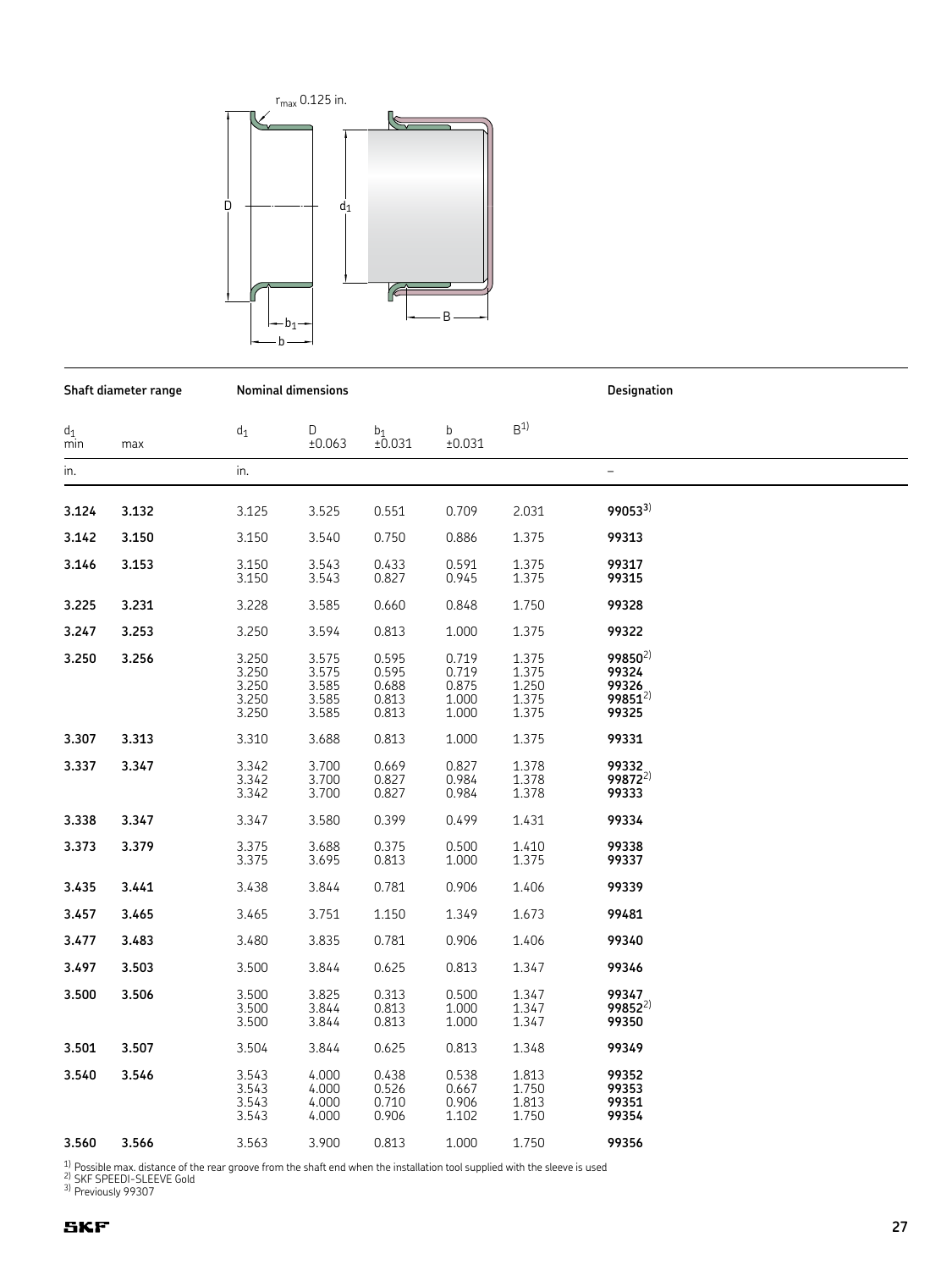

**Shaft diameter range Nominal dimensions Designation**

 $\mathsf{d}_1$  d<sub>1</sub> D  $\mathsf{b}_1$  b  $\mathsf{B}^{1}$ min max ±0.063 ±0.031 ±0.031 in. in. – **3.124 3.132** 3.125 3.525 0.551 0.709 2.031 **990533**)  **3.142 3.150** 3.150 3.540 0.750 0.886 1.375 **99313 3.146 3.153** 3.150 3.543 0.433 0.591 1.375 **99317** 3.150 3.543 0.827 0.945 1.375 **99315 3.225 3.231** 3.228 3.585 0.660 0.848 1.750 **99328 3.247 3.253** 3.250 3.594 0.813 1.000 1.375 **99322 3.250 3.256** 3.250 3.575 0.595 0.719 1.375 **99850**2) 3.250 3.575 0.595 0.719 1.375 **99324** 3.250 3.585 0.688 0.875 1.250 **99326** 3.250 3.585 0.813 1.000 1.375 **99851**2) 3.250 3.585 0.813 1.000 1.375 **99325 3.307 3.313** 3.310 3.688 0.813 1.000 1.375 **99331 3.337 3.347** 3.342 3.700 0.669 0.827 1.378 **99332** 3.342 3.700 0.827 0.984 1.378 **99872**2) 3.342 3.700 0.827 0.984 1.378 **99333 3.338 3.347** 3.347 3.580 0.399 0.499 1.431 **99334 3.373 3.379** 3.375 3.688 0.375 0.500 1.410 **99338** 3.375 3.695 0.813 1.000 1.375 **99337 3.435 3.441** 3.438 3.844 0.781 0.906 1.406 **99339 3.457 3.465** 3.465 3.751 1.150 1.349 1.673 **99481 3.477 3.483** 3.480 3.835 0.781 0.906 1.406 **99340 3.497 3.503** 3.500 3.844 0.625 0.813 1.347 **99346 3.500 3.506** 3.500 3.825 0.313 0.500 1.347 **99347** 3.500 3.844 0.813 1.000 1.347 **99852**2) 3.500 3.844 0.813 1.000 1.347 **99350 3.501 3.507** 3.504 3.844 0.625 0.813 1.348 **99349 3.540 3.546** 3.543 4.000 0.438 0.538 1.813 **99352** 3.543 4.000 0.526 0.667 1.750 **99353** 3.543 4.000 0.710 0.906 1.813 **99351** 3.543 4.000 0.906 1.102 1.750 **99354 3.560 3.566** 3.563 3.900 0.813 1.000 1.750 **99356**

1) Possible max. distance of the rear groove from the shaft end when the installation tool supplied with the sleeve is used 2) SKF SPEEDI-SLEEVE Gold

3) Previously 99307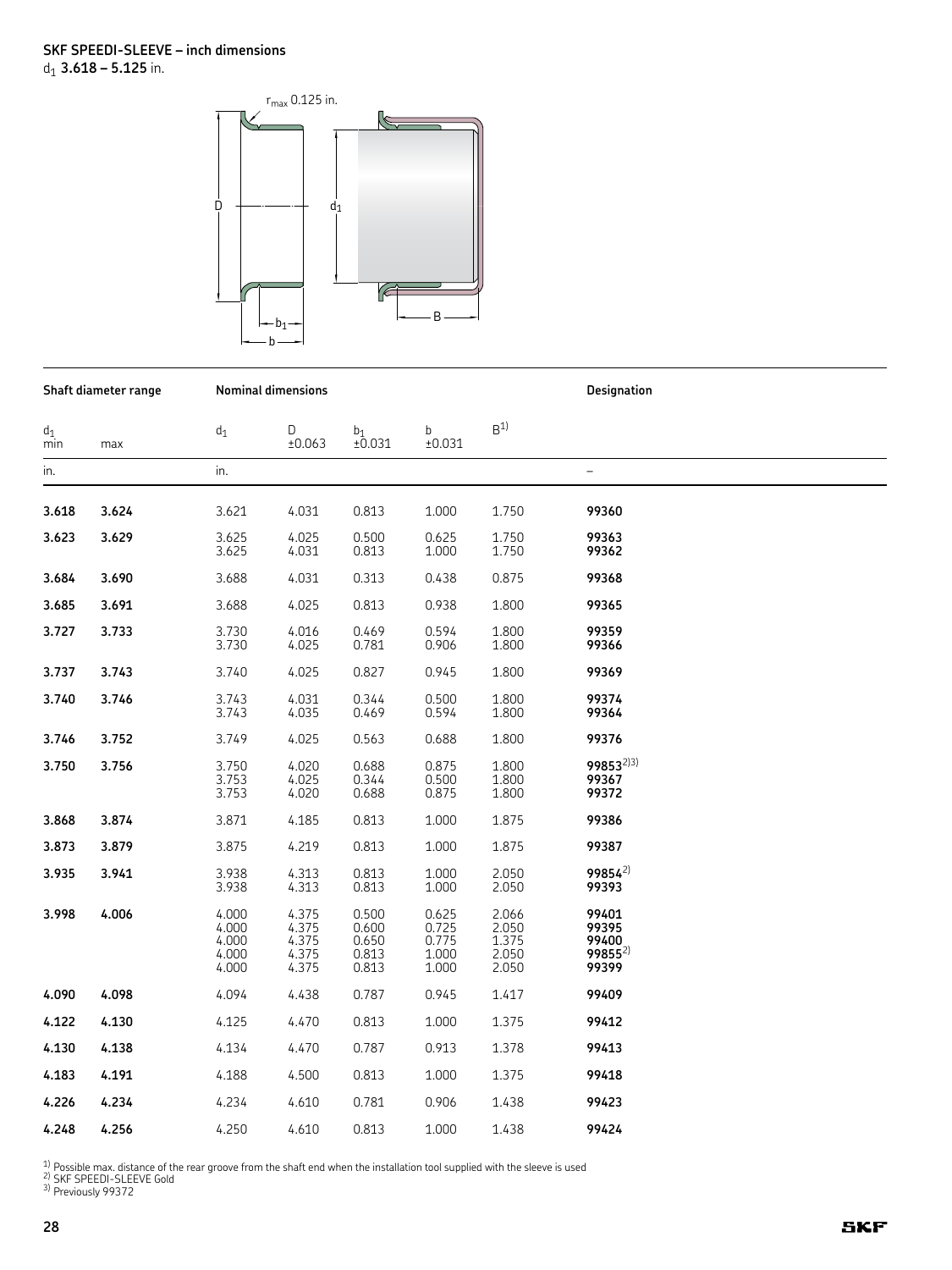

| Shaft diameter range |       |                                           | <b>Nominal dimensions</b>                 |                                           |                                           | Designation                               |                                                 |  |
|----------------------|-------|-------------------------------------------|-------------------------------------------|-------------------------------------------|-------------------------------------------|-------------------------------------------|-------------------------------------------------|--|
| $d_1$<br>min         | max   | $d_1$                                     | D<br>±0.063                               | b <sub>1</sub><br>±0.031                  | b<br>±0.031                               | B <sup>1</sup>                            |                                                 |  |
| in.                  |       | in.                                       |                                           |                                           |                                           |                                           |                                                 |  |
| 3.618                | 3.624 | 3.621                                     | 4.031                                     | 0.813                                     | 1.000                                     | 1.750                                     | 99360                                           |  |
| 3.623                | 3.629 | 3.625<br>3.625                            | 4.025<br>4.031                            | 0.500<br>0.813                            | 0.625<br>1.000                            | 1.750<br>1.750                            | 99363<br>99362                                  |  |
| 3.684                | 3.690 | 3.688                                     | 4.031                                     | 0.313                                     | 0.438                                     | 0.875                                     | 99368                                           |  |
| 3.685                | 3.691 | 3.688                                     | 4.025                                     | 0.813                                     | 0.938                                     | 1.800                                     | 99365                                           |  |
| 3.727                | 3.733 | 3.730<br>3.730                            | 4.016<br>4.025                            | 0.469<br>0.781                            | 0.594<br>0.906                            | 1.800<br>1.800                            | 99359<br>99366                                  |  |
| 3.737                | 3.743 | 3.740                                     | 4.025                                     | 0.827                                     | 0.945                                     | 1.800                                     | 99369                                           |  |
| 3.740                | 3.746 | 3.743<br>3.743                            | 4.031<br>4.035                            | 0.344<br>0.469                            | 0.500<br>0.594                            | 1.800<br>1.800                            | 99374<br>99364                                  |  |
| 3.746                | 3.752 | 3.749                                     | 4.025                                     | 0.563                                     | 0.688                                     | 1.800                                     | 99376                                           |  |
| 3.750                | 3.756 | 3.750<br>3.753<br>3.753                   | 4.020<br>4.025<br>4.020                   | 0.688<br>0.344<br>0.688                   | 0.875<br>0.500<br>0.875                   | 1.800<br>1.800<br>1.800                   | 998532)3)<br>99367<br>99372                     |  |
| 3.868                | 3.874 | 3.871                                     | 4.185                                     | 0.813                                     | 1.000                                     | 1.875                                     | 99386                                           |  |
| 3.873                | 3.879 | 3.875                                     | 4.219                                     | 0.813                                     | 1.000                                     | 1.875                                     | 99387                                           |  |
| 3.935                | 3.941 | 3.938<br>3.938                            | 4.313<br>4.313                            | 0.813<br>0.813                            | 1.000<br>1.000                            | 2.050<br>2.050                            | $99854^{2}$<br>99393                            |  |
| 3.998                | 4.006 | 4.000<br>4.000<br>4.000<br>4.000<br>4.000 | 4.375<br>4.375<br>4.375<br>4.375<br>4.375 | 0.500<br>0.600<br>0.650<br>0.813<br>0.813 | 0.625<br>0.725<br>0.775<br>1.000<br>1.000 | 2.066<br>2.050<br>1.375<br>2.050<br>2.050 | 99401<br>99395<br>99400<br>$99855^{2}$<br>99399 |  |
| 4.090                | 4.098 | 4.094                                     | 4.438                                     | 0.787                                     | 0.945                                     | 1.417                                     | 99409                                           |  |
| 4.122                | 4.130 | 4.125                                     | 4.470                                     | 0.813                                     | 1.000                                     | 1.375                                     | 99412                                           |  |
| 4.130                | 4.138 | 4.134                                     | 4.470                                     | 0.787                                     | 0.913                                     | 1.378                                     | 99413                                           |  |
| 4.183                | 4.191 | 4.188                                     | 4.500                                     | 0.813                                     | 1.000                                     | 1.375                                     | 99418                                           |  |
| 4.226                | 4.234 | 4.234                                     | 4.610                                     | 0.781                                     | 0.906                                     | 1.438                                     | 99423                                           |  |
| 4.248                | 4.256 | 4.250                                     | 4.610                                     | 0.813                                     | 1.000                                     | 1.438                                     | 99424                                           |  |

<sup>1)</sup> Possible max. distance of the rear groove from the shaft end when the installation tool supplied with the sleeve is used<br><sup>2)</sup> SKF SPEEDI-SLEEVE Gold<br><sup>3)</sup> Previously 99372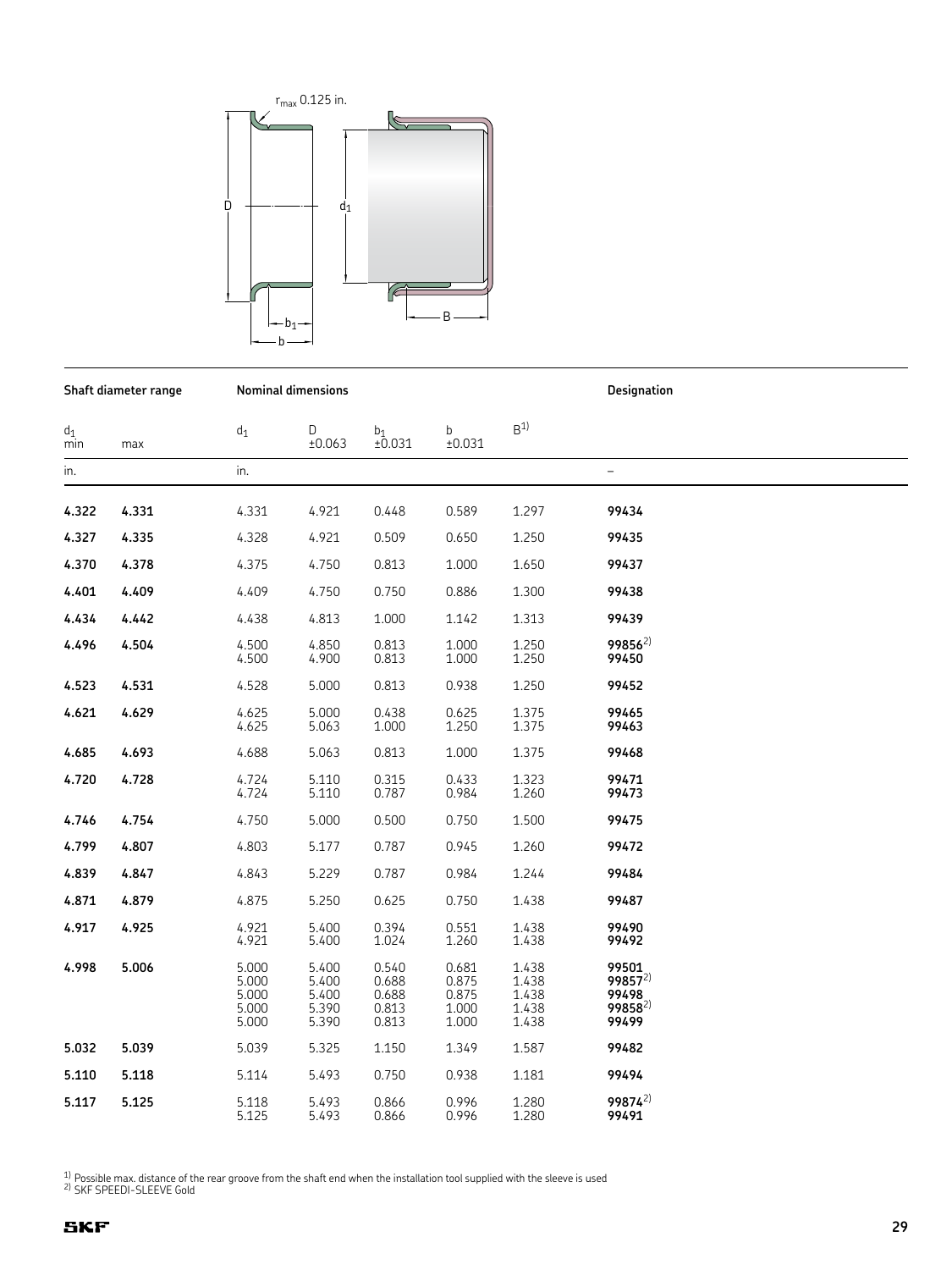

**Shaft diameter range Nominal dimensions Designation**

 $\mathsf{d}_1$  d<sub>1</sub> D  $\mathsf{b}_1$  b  $\mathsf{B}^{1}$ min max ±0.063 ±0.031 ±0.031 in. in. – **4.322 4.331** 4.331 4.921 0.448 0.589 1.297 **99434 4.327 4.335** 4.328 4.921 0.509 0.650 1.250 **99435 4.370 4.378** 4.375 4.750 0.813 1.000 1.650 **99437 4.401 4.409** 4.409 4.750 0.750 0.886 1.300 **99438 4.434 4.442** 4.438 4.813 1.000 1.142 1.313 **99439 4.496 4.504** 4.500 4.850 0.813 1.000 1.250 **99856**2) 4.500 4.900 0.813 1.000 1.250 **99450 4.523 4.531** 4.528 5.000 0.813 0.938 1.250 **99452 4.621 4.629** 4.625 5.000 0.438 0.625 1.375 **99465** 4.625 5.063 1.000 1.250 1.375 **99463 4.685 4.693** 4.688 5.063 0.813 1.000 1.375 **99468 4.720 4.728** 4.724 5.110 0.315 0.433 1.323 **99471** 4.724 5.110 0.787 0.984 1.260 **99473 4.746 4.754** 4.750 5.000 0.500 0.750 1.500 **99475 4.799 4.807** 4.803 5.177 0.787 0.945 1.260 **99472 4.839 4.847** 4.843 5.229 0.787 0.984 1.244 **99484 4.871 4.879** 4.875 5.250 0.625 0.750 1.438 **99487 4.917 4.925** 4.921 5.400 0.394 0.551 1.438 **99490** 4.921 5.400 1.024 1.260 1.438 **99492 4.998 5.006** 5.000 5.400 0.540 0.681 1.438 **99501** 5.000 5.400 0.688 0.875 1.438 **99857**2) 5.000 5.400 0.688 0.875 1.438 **99498** 5.000 5.390 0.813 1.000 1.438 **99858**2) 5.000 5.390 0.813 1.000 1.438 **99499 5.032 5.039** 5.039 5.325 1.150 1.349 1.587 **99482 5.110 5.118** 5.114 5.493 0.750 0.938 1.181 **99494 5.117 5.125** 5.118 5.493 0.866 0.996 1.280 **99874**2) 5.125 5.493 0.866 0.996 1.280 **99491**

 $1)$  Possible max. distance of the rear groove from the shaft end when the installation tool supplied with the sleeve is used  $2)$  SKF SPEEDI-SLEEVE Gold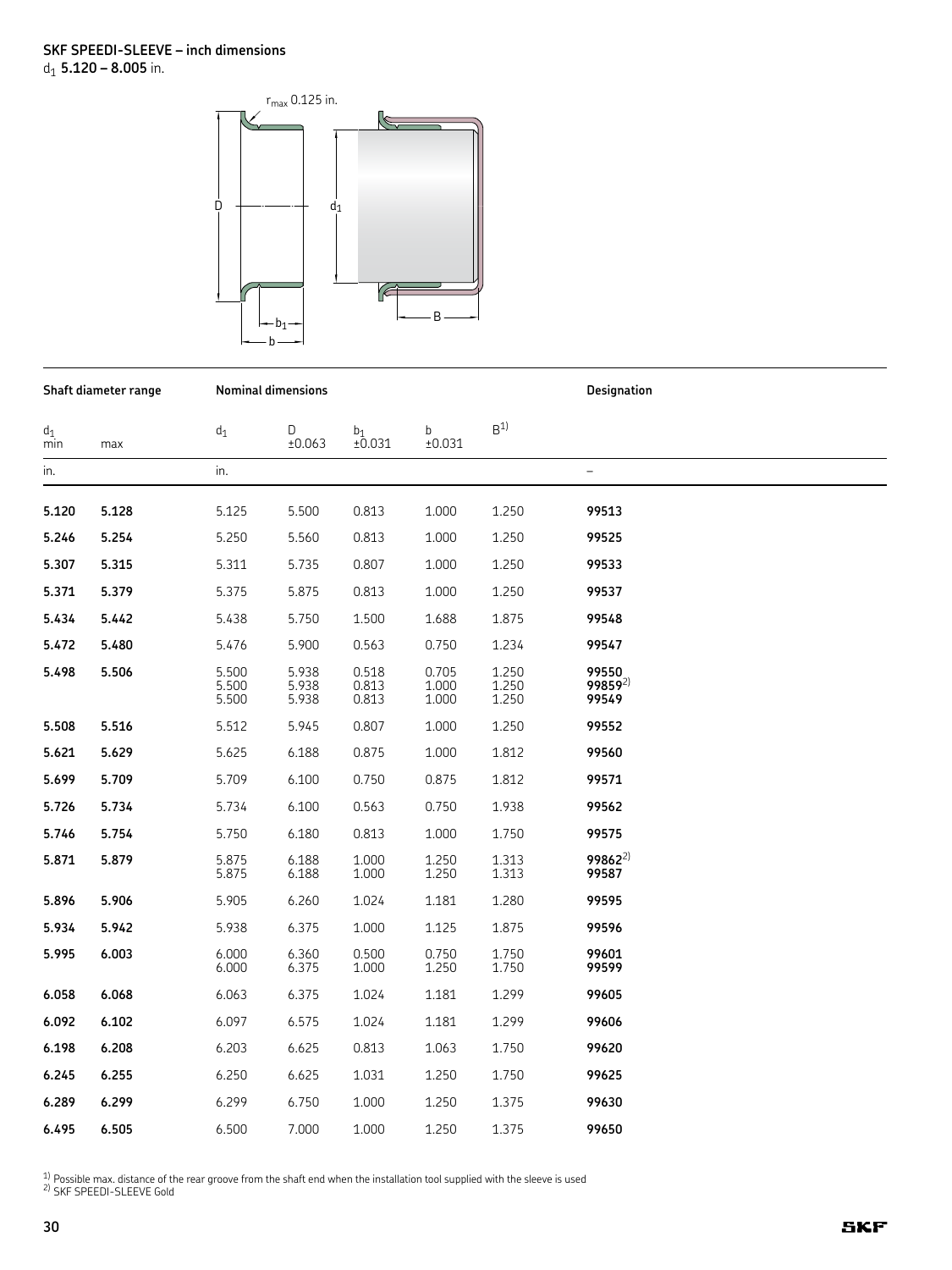

| Shaft diameter range |       |                         | <b>Nominal dimensions</b> |                         |                         | Designation             |                                       |  |
|----------------------|-------|-------------------------|---------------------------|-------------------------|-------------------------|-------------------------|---------------------------------------|--|
| $d_1$<br>min         | max   | $d_1$                   | D<br>±0.063               | $b_1$<br>±0.031         | b<br>±0.031             | B <sup>1</sup>          |                                       |  |
| in.                  |       | in.                     |                           |                         |                         |                         | $\overline{\phantom{0}}$              |  |
| 5.120                | 5.128 | 5.125                   | 5.500                     | 0.813                   | 1.000                   | 1.250                   | 99513                                 |  |
| 5.246                | 5.254 | 5.250                   | 5.560                     | 0.813                   | 1.000                   | 1.250                   | 99525                                 |  |
| 5.307                | 5.315 | 5.311                   | 5.735                     | 0.807                   | 1.000                   | 1.250                   | 99533                                 |  |
| 5.371                | 5.379 | 5.375                   | 5.875                     | 0.813                   | 1.000                   | 1.250                   | 99537                                 |  |
| 5.434                | 5.442 | 5.438                   | 5.750                     | 1.500                   | 1.688                   | 1.875                   | 99548                                 |  |
| 5.472                | 5.480 | 5.476                   | 5.900                     | 0.563                   | 0.750                   | 1.234                   | 99547                                 |  |
| 5.498                | 5.506 | 5.500<br>5.500<br>5.500 | 5.938<br>5.938<br>5.938   | 0.518<br>0.813<br>0.813 | 0.705<br>1.000<br>1.000 | 1.250<br>1.250<br>1.250 | 99550<br>99859 <sup>2)</sup><br>99549 |  |
| 5.508                | 5.516 | 5.512                   | 5.945                     | 0.807                   | 1.000                   | 1.250                   | 99552                                 |  |
| 5.621                | 5.629 | 5.625                   | 6.188                     | 0.875                   | 1.000                   | 1.812                   | 99560                                 |  |
| 5.699                | 5.709 | 5.709                   | 6.100                     | 0.750                   | 0.875                   | 1.812                   | 99571                                 |  |
| 5.726                | 5.734 | 5.734                   | 6.100                     | 0.563                   | 0.750                   | 1.938                   | 99562                                 |  |
| 5.746                | 5.754 | 5.750                   | 6.180                     | 0.813                   | 1.000                   | 1.750                   | 99575                                 |  |
| 5.871                | 5.879 | 5.875<br>5.875          | 6.188<br>6.188            | 1.000<br>1.000          | 1.250<br>1.250          | 1.313<br>1.313          | $99862^{2}$<br>99587                  |  |
| 5.896                | 5.906 | 5.905                   | 6.260                     | 1.024                   | 1.181                   | 1.280                   | 99595                                 |  |
| 5.934                | 5.942 | 5.938                   | 6.375                     | 1.000                   | 1.125                   | 1.875                   | 99596                                 |  |
| 5.995                | 6.003 | 6.000<br>6.000          | 6.360<br>6.375            | 0.500<br>1.000          | 0.750<br>1.250          | 1.750<br>1.750          | 99601<br>99599                        |  |
| 6.058                | 6.068 | 6.063                   | 6.375                     | 1.024                   | 1.181                   | 1.299                   | 99605                                 |  |
| 6.092                | 6.102 | 6.097                   | 6.575                     | 1.024                   | 1.181                   | 1.299                   | 99606                                 |  |
| 6.198                | 6.208 | 6.203                   | 6.625                     | 0.813                   | 1.063                   | 1.750                   | 99620                                 |  |
| 6.245                | 6.255 | 6.250                   | 6.625                     | 1.031                   | 1.250                   | 1.750                   | 99625                                 |  |
| 6.289                | 6.299 | 6.299                   | 6.750                     | 1.000                   | 1.250                   | 1.375                   | 99630                                 |  |
| 6.495                | 6.505 | 6.500                   | 7.000                     | 1.000                   | 1.250                   | 1.375                   | 99650                                 |  |

<sup>1)</sup> Possible max. distance of the rear groove from the shaft end when the installation tool supplied with the sleeve is used  $\frac{2}{1}$  SKF SPEEDI-SLEEVE Gold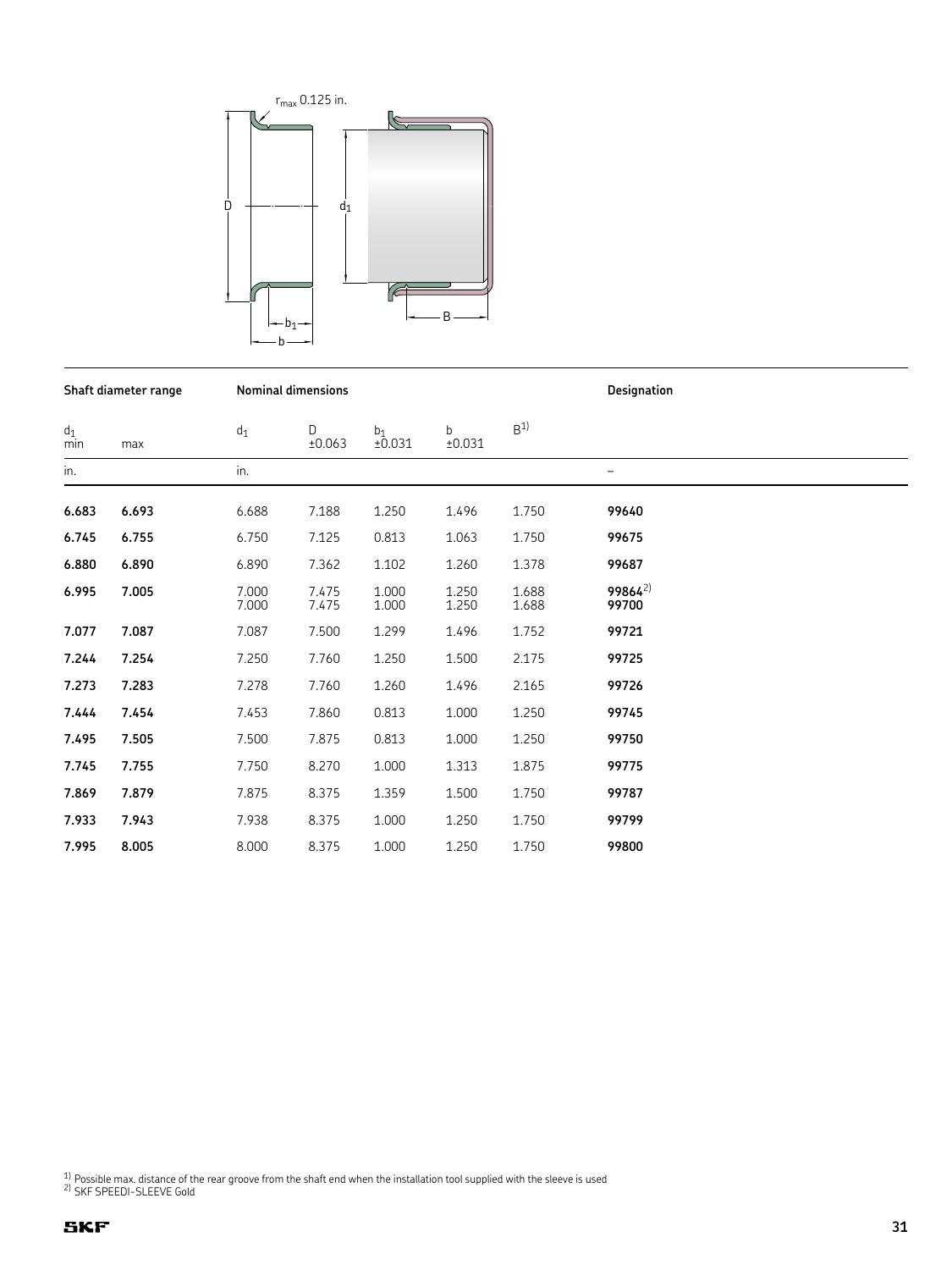

**Shaft diameter range Nominal dimensions Designation**

| $d_1$<br>min | max   | $d_1$          | D<br>±0.063    | $_{+0.031}^{b_1}$ | b<br>±0.031    | B <sup>1</sup> |                      |
|--------------|-------|----------------|----------------|-------------------|----------------|----------------|----------------------|
| in.          |       | in.            |                |                   |                |                | $\qquad \qquad -$    |
| 6.683        | 6.693 | 6.688          | 7.188          | 1.250             | 1.496          | 1.750          | 99640                |
| 6.745        | 6.755 | 6.750          | 7.125          | 0.813             | 1.063          | 1.750          | 99675                |
| 6.880        | 6.890 | 6.890          | 7.362          | 1.102             | 1.260          | 1.378          | 99687                |
|              |       |                |                |                   |                |                |                      |
| 6.995        | 7.005 | 7.000<br>7.000 | 7.475<br>7.475 | 1.000<br>1.000    | 1.250<br>1.250 | 1.688<br>1.688 | $99864^{2}$<br>99700 |
| 7.077        | 7.087 | 7.087          | 7.500          | 1.299             | 1.496          | 1.752          | 99721                |
| 7.244        | 7.254 | 7.250          | 7.760          | 1.250             | 1.500          | 2.175          | 99725                |
| 7.273        | 7.283 | 7.278          | 7.760          | 1.260             | 1.496          | 2.165          | 99726                |
| 7.444        | 7.454 | 7.453          | 7.860          | 0.813             | 1.000          | 1.250          | 99745                |
| 7.495        | 7.505 | 7.500          | 7.875          | 0.813             | 1.000          | 1.250          | 99750                |
| 7.745        | 7.755 | 7.750          | 8.270          | 1.000             | 1.313          | 1.875          | 99775                |
| 7.869        | 7.879 | 7.875          | 8.375          | 1.359             | 1.500          | 1.750          | 99787                |
| 7.933        | 7.943 | 7.938          | 8.375          | 1.000             | 1.250          | 1.750          | 99799                |
| 7.995        | 8.005 | 8.000          | 8.375          | 1.000             | 1.250          | 1.750          | 99800                |

<sup>1)</sup> Possible max. distance of the rear groove from the shaft end when the installation tool supplied with the sleeve is used  $^{2}$  SKF SPEEDI-SLEEVE Gold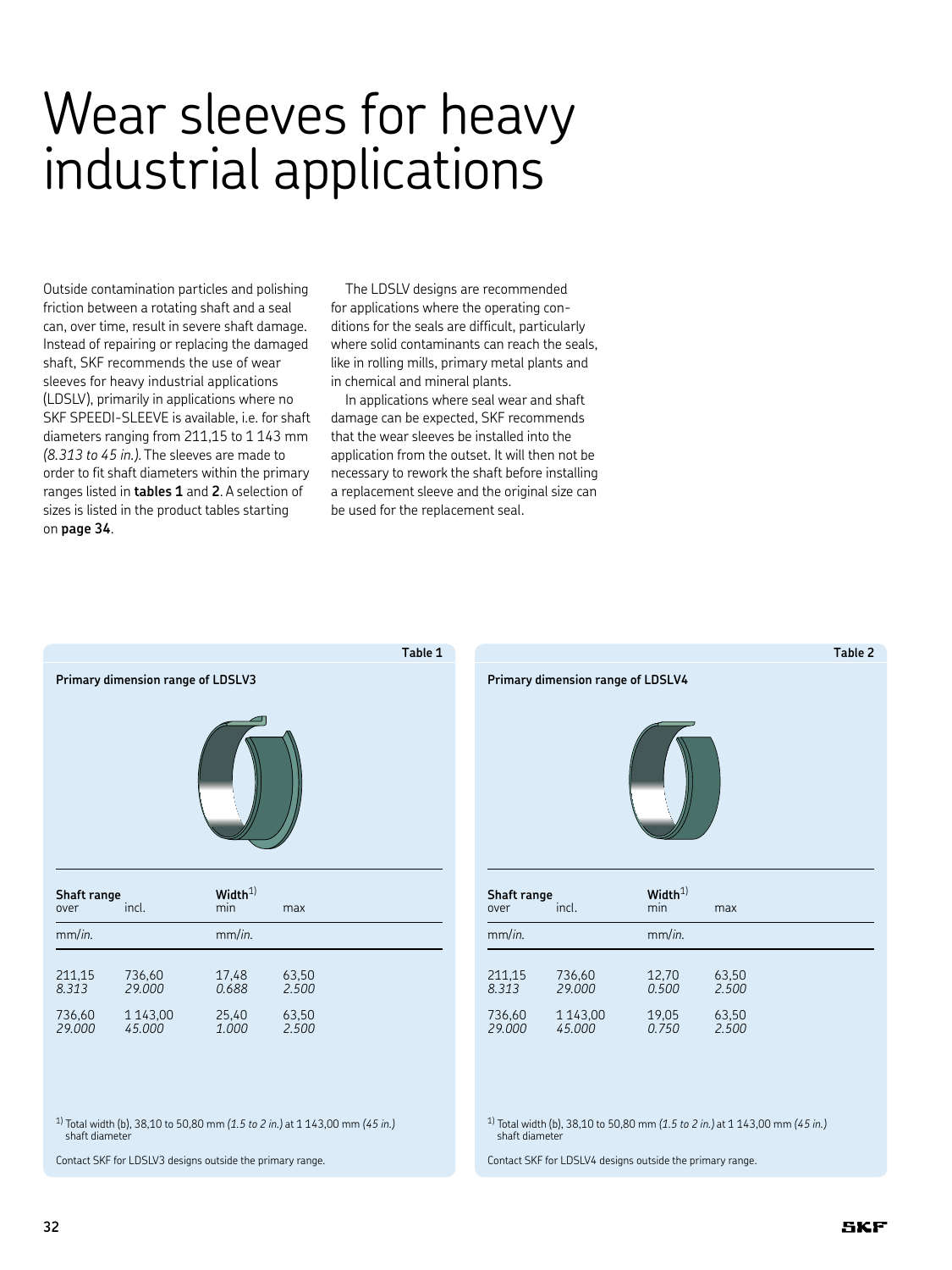# Wear sleeves for heavy industrial applications

Outside contamination particles and polishing friction between a rotating shaft and a seal can, over time, result in severe shaft damage. Instead of repairing or replacing the damaged shaft, SKF recommends the use of wear sleeves for heavy industrial applications (LDSLV), primarily in applications where no SKF SPEEDI-SLEEVE is available, i.e. for shaft diameters ranging from 211,15 to 1 143 mm *(8.313 to 45 in.)*. The sleeves are made to order to fit shaft diameters within the primary ranges listed in **tables 1** and **2**. A selection of sizes is listed in the product tables starting on **page 34**.

The LDSLV designs are recommended for applications where the operating conditions for the seals are difficult, particularly where solid contaminants can reach the seals. like in rolling mills, primary metal plants and in chemical and mineral plants.

In applications where seal wear and shaft damage can be expected, SKF recommends that the wear sleeves be installed into the application from the outset. It will then not be necessary to rework the shaft before installing a replacement sleeve and the original size can be used for the replacement seal.





| Shaft range<br>over | incl.         | Width <sup>1</sup><br>min | max   |
|---------------------|---------------|---------------------------|-------|
| mm/in.              |               | mm/in.                    |       |
| 211,15              | 736,60        | 12,70                     | 63.50 |
| 8.313               | 29,000        | 0.500                     | 2.500 |
| 736,60              | 1 1 4 3 , 0 0 | 19,05                     | 63,50 |
| 29.000              | 45.000        | 0.750                     | 2.500 |

1) Total width (b), 38,10 to 50,80 mm *(1.5 to 2 in.)* at 1 143,00 mm *(45 in.)* shaft diameter

Contact SKF for LDSLV4 designs outside the primary range.

1) Total width (b), 38,10 to 50,80 mm *(1.5 to 2 in.)* at 1 143,00 mm *(45 in.)* shaft diameter

Contact SKF for LDSLV3 designs outside the primary range.

736,60 1 143,00 25,40 63,50

*29.000 45.000 1.000 2.500*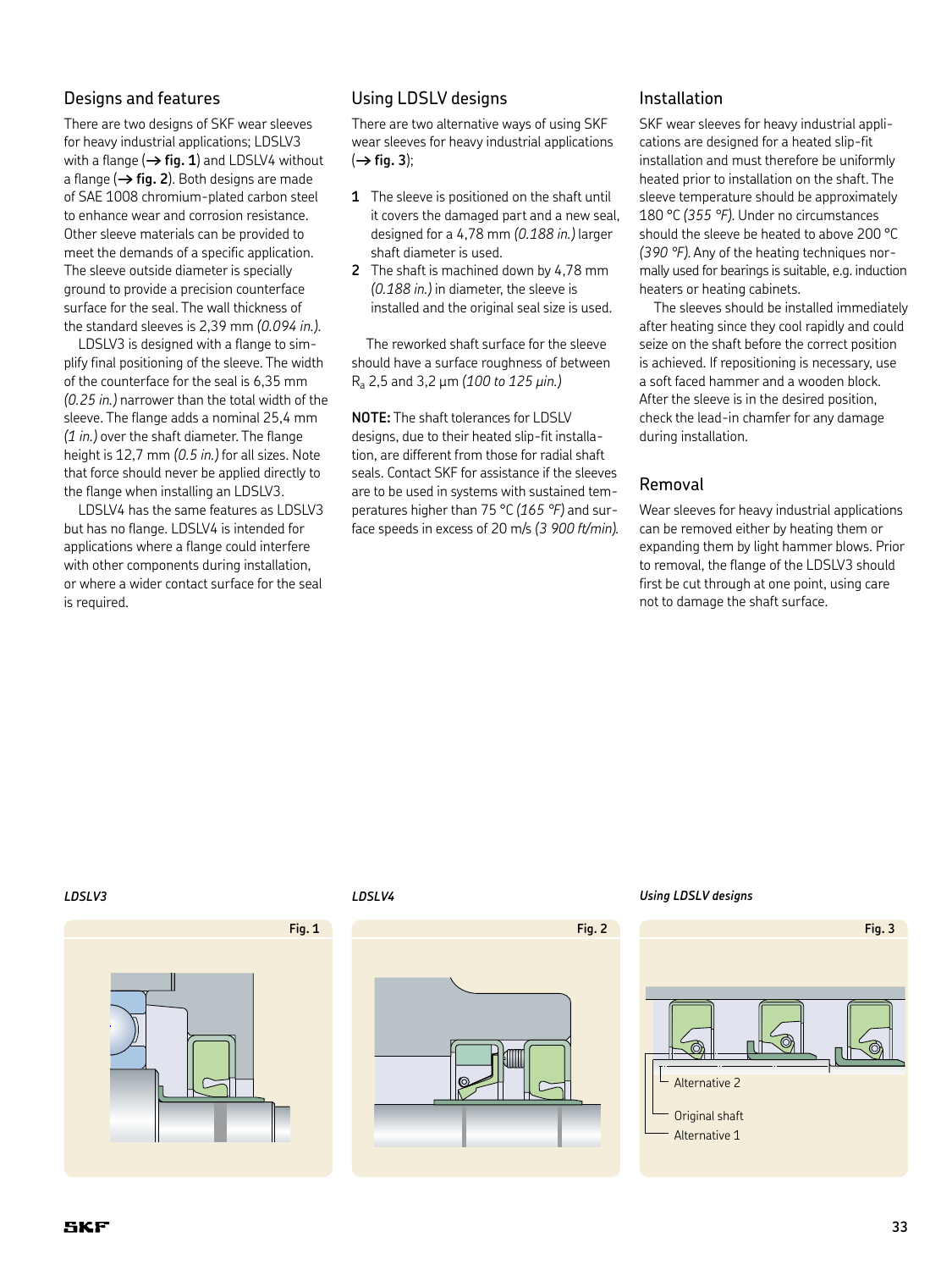#### Designs and features

There are two designs of SKF wear sleeves for heavy industrial applications; LDSLV3 with a flange  $(\rightarrow$  **fig. 1**) and LDSLV4 without a flange  $(\rightarrow$  fig. 2). Both designs are made of SAE 1008 chromium-plated carbon steel to enhance wear and corrosion resistance. Other sleeve materials can be provided to meet the demands of a specific application. The sleeve outside diameter is specially ground to provide a precision counterface surface for the seal. The wall thickness of the standard sleeves is 2,39 mm *(0.094 in.)*.

LDSLV3 is designed with a flange to simplify final positioning of the sleeve. The width of the counterface for the seal is 6,35 mm *(0.25 in.)* narrower than the total width of the sleeve. The flange adds a nominal 25,4 mm *(1 in.)* over the shaft diameter. The flange height is 12,7 mm *(0.5 in.)* for all sizes. Note that force should never be applied directly to the flange when installing an LDSLV3.

LDSLV4 has the same features as LDSLV3 but has no flange. LDSLV4 is intended for applications where a flange could interfere with other components during installation, or where a wider contact surface for the seal is required.

#### Using LDSLV designs

There are two alternative ways of using SKF wear sleeves for heavy industrial applications  $(\rightarrow$  fig. 3);

- **1** The sleeve is positioned on the shaft until it covers the damaged part and a new seal, designed for a 4,78 mm *(0.188 in.)* larger shaft diameter is used.
- **2** The shaft is machined down by 4,78 mm *(0.188 in.)* in diameter, the sleeve is installed and the original seal size is used.

The reworked shaft surface for the sleeve should have a surface roughness of between Ra 2,5 and 3,2 µm *(100 to 125 µin.)*

**NOTE:** The shaft tolerances for LDSLV designs, due to their heated slip-fit installation, are different from those for radial shaft seals. Contact SKF for assistance if the sleeves are to be used in systems with sustained temperatures higher than 75 °C *(165 °F)* and surface speeds in excess of 20 m/s *(3 900 ft/min).*

#### Installation

SKF wear sleeves for heavy industrial applications are designed for a heated slip-fit installation and must therefore be uniformly heated prior to installation on the shaft. The sleeve temperature should be approximately 180 °C *(355 °F)*. Under no circumstances should the sleeve be heated to above 200 °C *(390 °F)*. Any of the heating techniques normally used for bearings is suitable, e.g. induction heaters or heating cabinets.

The sleeves should be installed immediately after heating since they cool rapidly and could seize on the shaft before the correct position is achieved. If repositioning is necessary, use a soft faced hammer and a wooden block. After the sleeve is in the desired position, check the lead-in chamfer for any damage during installation.

#### Removal

Wear sleeves for heavy industrial applications can be removed either by heating them or expanding them by light hammer blows. Prior to removal, the flange of the LDSLV3 should first be cut through at one point, using care not to damage the shaft surface.





#### *LDSLV3 LDSLV4 Using LDSLV designs*

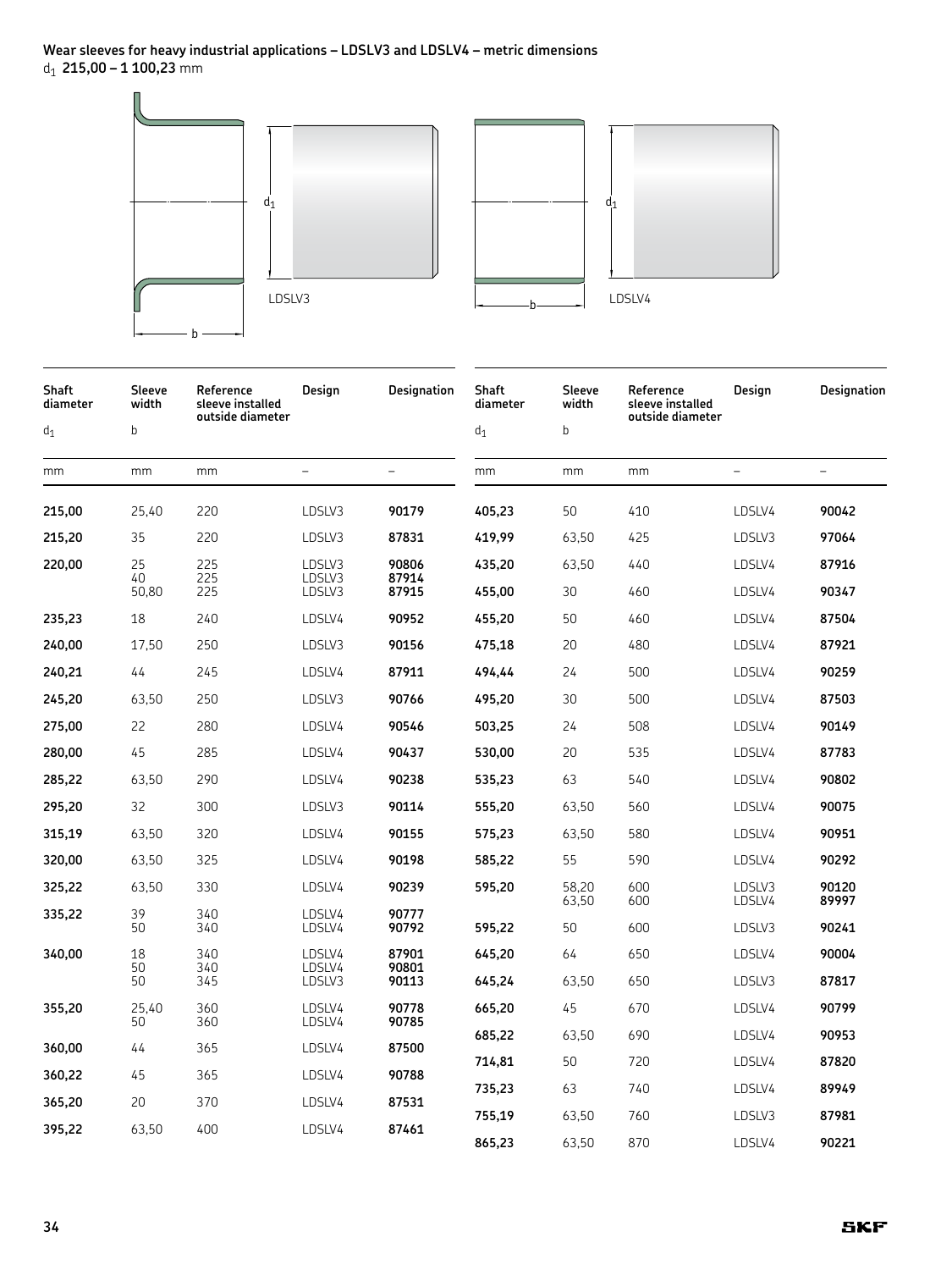

| Shaft<br>diameter<br>$d_1$ | Sleeve<br>width<br>b | Reference<br>sleeve installed<br>outside diameter | Design                     | <b>Designation</b>      | Shaft<br>diameter<br>$\mathsf{d}_1$ | Sleeve<br>width<br>b | Reference<br>sleeve installed<br>outside diameter | Design            | Designation       |
|----------------------------|----------------------|---------------------------------------------------|----------------------------|-------------------------|-------------------------------------|----------------------|---------------------------------------------------|-------------------|-------------------|
| mm                         | mm                   | mm                                                | $\qquad \qquad -$          | $\qquad \qquad -$       | mm                                  | mm                   | mm                                                | $\qquad \qquad -$ | $\qquad \qquad -$ |
| 215,00                     | 25,40                | 220                                               | LDSLV3                     | 90179                   | 405,23                              | 50                   | 410                                               | LDSLV4            | 90042             |
| 215,20                     | 35                   | 220                                               | LDSLV3                     | 87831                   | 419,99                              | 63,50                | 425                                               | LDSLV3            | 97064             |
| 220,00                     | 25<br>40<br>50,80    | 225<br>225<br>225                                 | LDSLV3<br>LDSLV3<br>LDSLV3 | 90806<br>87914<br>87915 | 435,20<br>455,00                    | 63,50<br>30          | 440<br>460                                        | LDSLV4<br>LDSLV4  | 87916<br>90347    |
| 235,23                     | 18                   | 240                                               | LDSLV4                     | 90952                   | 455,20                              | 50                   | 460                                               | LDSLV4            | 87504             |
| 240,00                     | 17,50                | 250                                               | LDSLV3                     | 90156                   | 475,18                              | 20                   | 480                                               | LDSLV4            | 87921             |
| 240,21                     | 44                   | 245                                               | LDSLV4                     | 87911                   | 494,44                              | 24                   | 500                                               | LDSLV4            | 90259             |
| 245,20                     | 63,50                | 250                                               | LDSLV3                     | 90766                   | 495,20                              | 30                   | 500                                               | LDSLV4            | 87503             |
| 275,00                     | 22                   | 280                                               | LDSLV4                     | 90546                   | 503,25                              | 24                   | 508                                               | LDSLV4            | 90149             |
| 280,00                     | 45                   | 285                                               | LDSLV4                     | 90437                   | 530,00                              | 20                   | 535                                               | LDSLV4            | 87783             |
| 285,22                     | 63,50                | 290                                               | LDSLV4                     | 90238                   | 535,23                              | 63                   | 540                                               | LDSLV4            | 90802             |
| 295,20                     | 32                   | 300                                               | LDSLV3                     | 90114                   | 555,20                              | 63,50                | 560                                               | LDSLV4            | 90075             |
| 315,19                     | 63,50                | 320                                               | LDSLV4                     | 90155                   | 575,23                              | 63,50                | 580                                               | LDSLV4            | 90951             |
| 320,00                     | 63,50                | 325                                               | LDSLV4                     | 90198                   | 585,22                              | 55                   | 590                                               | LDSLV4            | 90292             |
| 325,22                     | 63,50                | 330                                               | LDSLV4                     | 90239                   | 595,20                              | 58,20<br>63,50       | 600<br>600                                        | LDSLV3<br>LDSLV4  | 90120<br>89997    |
| 335,22                     | 39<br>50             | 340<br>340                                        | LDSLV4<br>LDSLV4           | 90777<br>90792          | 595,22                              | 50                   | 600                                               | LDSLV3            | 90241             |
| 340,00                     | 18<br>50             | 340<br>340                                        | LDSLV4<br>LDSLV4           | 87901<br>90801          | 645,20                              | 64                   | 650                                               | LDSLV4            | 90004             |
|                            | 50                   | 345                                               | LDSLV3                     | 90113                   | 645,24                              | 63,50                | 650                                               | LDSLV3            | 87817             |
| 355,20                     | 25,40<br>50          | 360<br>360                                        | LDSLV4<br>LDSLV4           | 90778<br>90785          | 665,20                              | 45                   | 670                                               | LDSLV4            | 90799             |
| 360,00                     | 44                   | 365                                               | LDSLV4                     | 87500                   | 685,22                              | 63,50                | 690                                               | LDSLV4            | 90953             |
| 360,22                     | 45                   | 365                                               | LDSLV4                     | 90788                   | 714,81                              | 50                   | 720                                               | LDSLV4            | 87820             |
| 365,20                     | 20                   | 370                                               | LDSLV4                     | 87531                   | 735,23                              | 63                   | 740                                               | LDSLV4            | 89949             |
| 395,22                     | 63,50                | 400                                               | LDSLV4                     | 87461                   | 755,19                              | 63,50                | 760                                               | LDSLV3            | 87981             |
|                            |                      |                                                   |                            |                         | 865,23                              | 63,50                | 870                                               | LDSLV4            | 90221             |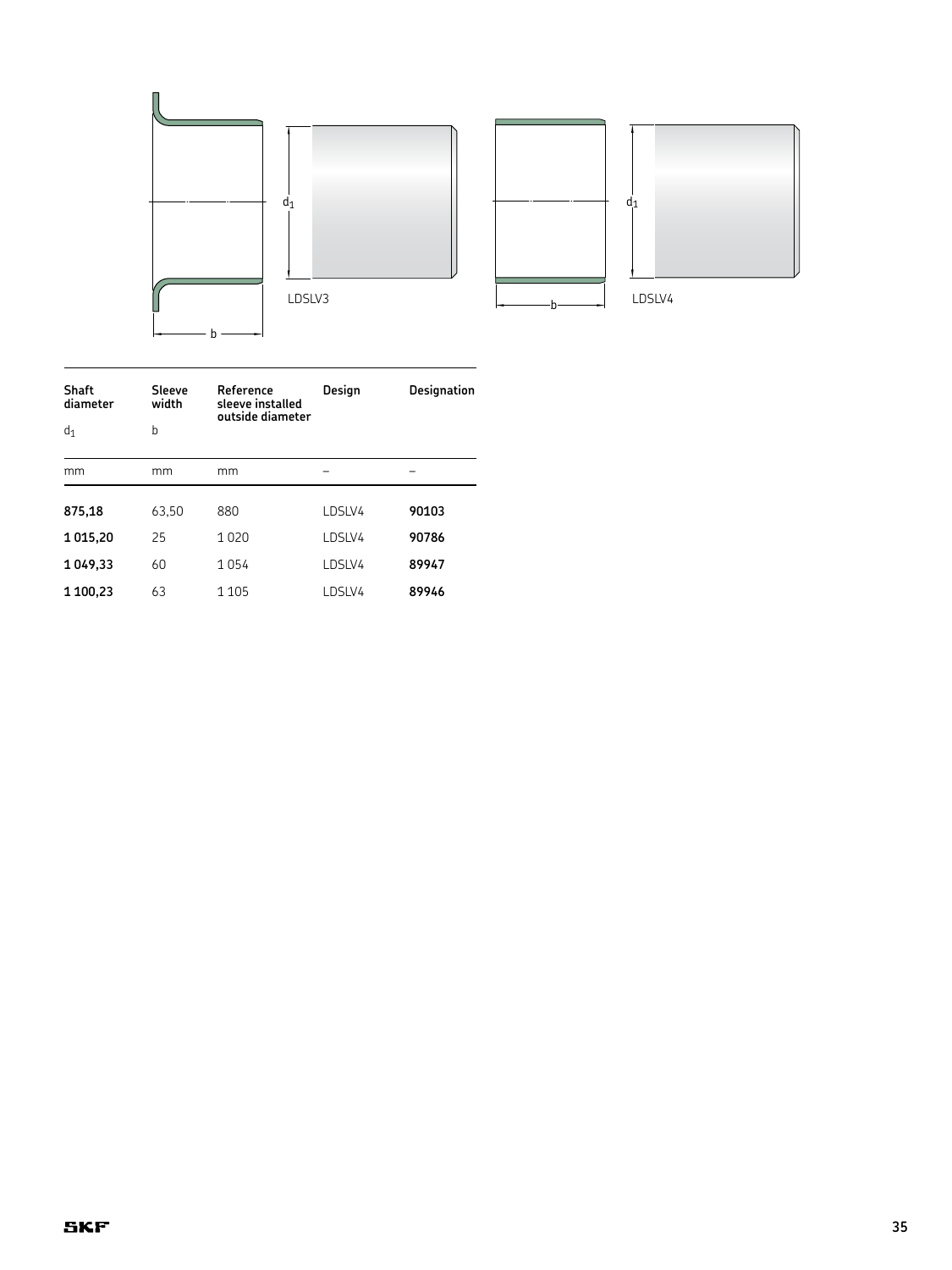

| Shaft<br>diameter | Sleeve<br>width | Reference<br>sleeve installed<br>outside diameter | Design | <b>Designation</b> |  |
|-------------------|-----------------|---------------------------------------------------|--------|--------------------|--|
| $d_1$             | b               |                                                   |        |                    |  |
| mm                | mm              | mm                                                |        |                    |  |
| 875,18            | 63,50           | 880                                               | LDSLV4 | 90103              |  |
| 1015,20           | 25              | 1020                                              | LDSLV4 | 90786              |  |
| 1049,33           | 60              | 1054                                              | LDSLV4 | 89947              |  |
| 1 100,23          | 63              | 1 1 0 5                                           | LDSLV4 | 89946              |  |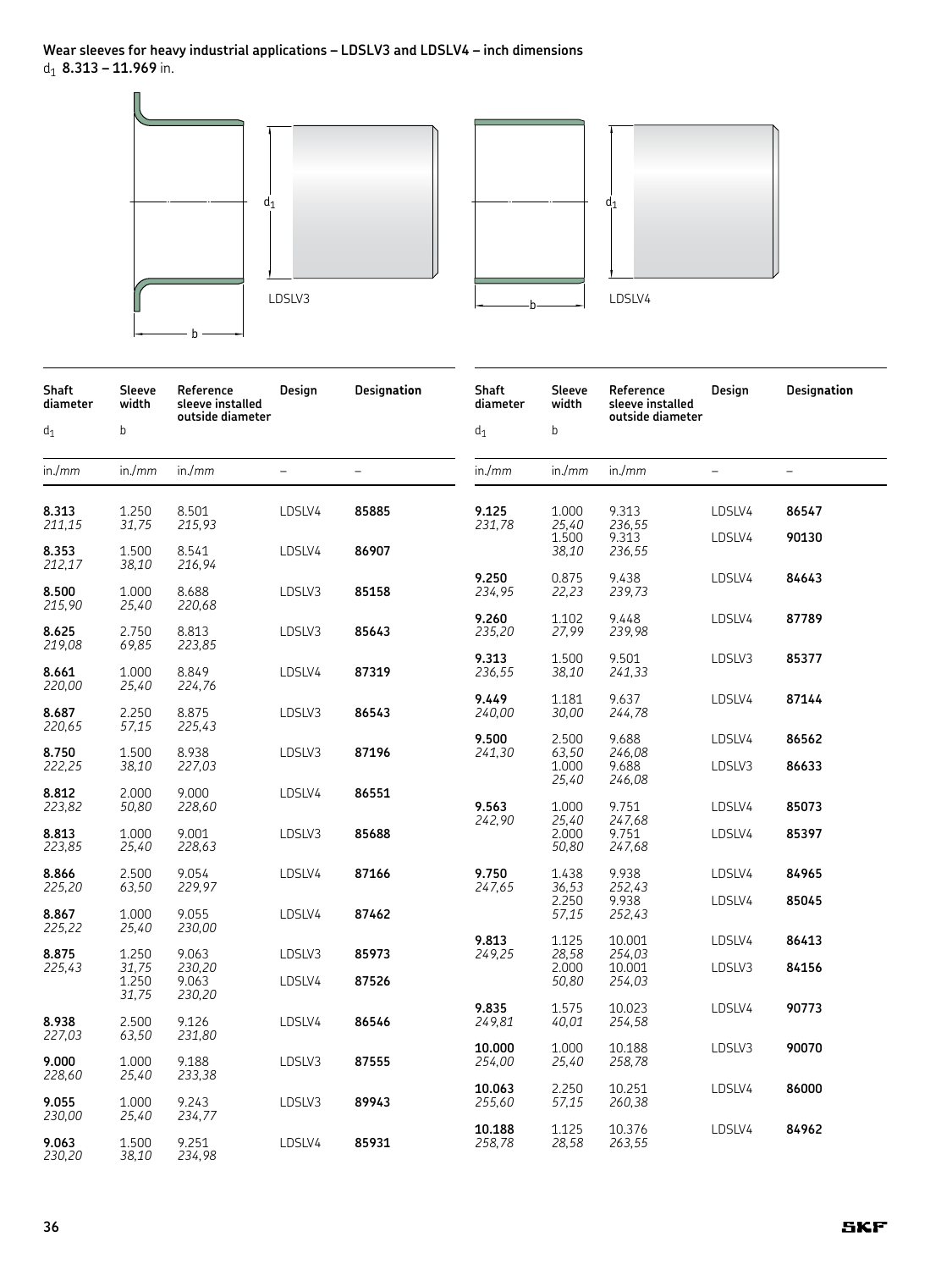**Wear sleeves for heavy industrial applications – LDSLV3 and LDSLV4 – inch dimensions** d1 **8.313 – 11.969** in.



| <b>Shaft</b><br>diameter | Sleeve<br>width | Reference<br>sleeve installed<br>outside diameter | Design                   | Designation              | Shaft<br>diameter | Sleeve<br>width         | Reference<br>sleeve installed<br>outside diameter | Design            | Designation              |
|--------------------------|-----------------|---------------------------------------------------|--------------------------|--------------------------|-------------------|-------------------------|---------------------------------------------------|-------------------|--------------------------|
| $d_1$                    | $\sf b$         |                                                   |                          |                          | $d_1$             | $\mathsf b$             |                                                   |                   |                          |
| in./mm                   | in/mm           | in./mm                                            | $\overline{\phantom{0}}$ | $\overline{\phantom{0}}$ | in./mm            | in./mm                  | in./mm                                            | $\qquad \qquad -$ | $\overline{\phantom{0}}$ |
| 8.313<br>211,15          | 1.250<br>31,75  | 8.501<br>215,93                                   | LDSLV4                   | 85885                    | 9.125<br>231,78   | 1.000<br>25,40          | 9.313<br>236,55                                   | LDSLV4            | 86547                    |
| 8.353<br>212,17          | 1.500<br>38,10  | 8.541<br>216,94                                   | LDSLV4                   | 86907                    |                   | 1.500<br>38,10          | 9.313<br>236,55                                   | LDSLV4            | 90130                    |
| 8.500<br>215,90          | 1.000<br>25,40  | 8.688<br>220,68                                   | LDSLV3                   | 85158                    | 9.250<br>234,95   | 0.875<br>22,23          | 9.438<br>239,73                                   | LDSLV4            | 84643                    |
| 8.625<br>219,08          | 2.750<br>69,85  | 8.813<br>223,85                                   | LDSLV3                   | 85643                    | 9.260<br>235,20   | 1.102<br>27,99          | 9.448<br>239,98                                   | LDSLV4            | 87789                    |
| 8.661<br>220,00          | 1.000<br>25,40  | 8.849<br>224,76                                   | LDSLV4                   | 87319                    | 9.313<br>236,55   | 1.500<br>38,10          | 9.501<br>241,33                                   | LDSLV3            | 85377                    |
| 8.687<br>220,65          | 2.250<br>57,15  | 8.875<br>225,43                                   | LDSLV3                   | 86543                    | 9.449<br>240,00   | 1.181<br>30,00          | 9.637<br>244,78                                   | LDSLV4            | 87144                    |
| 8.750<br>222,25          | 1.500<br>38,10  | 8.938<br>227,03                                   | LDSLV3                   | 87196                    | 9.500<br>241,30   | 2.500<br>63,50<br>1.000 | 9.688<br>246,08<br>9.688                          | LDSLV4<br>LDSLV3  | 86562<br>86633           |
| 8.812<br>223,82          | 2.000<br>50,80  | 9.000<br>228,60                                   | LDSLV4                   | 86551                    | 9.563             | 25,40<br>1.000          | 246,08<br>9.751                                   | LDSLV4            | 85073                    |
| 8.813<br>223,85          | 1.000<br>25,40  | 9.001<br>228,63                                   | LDSLV3                   | 85688                    | 242,90            | 25,40<br>2.000<br>50,80 | 247,68<br>9.751<br>247,68                         | LDSLV4            | 85397                    |
| 8.866<br>225,20          | 2.500<br>63,50  | 9.054<br>229,97                                   | LDSLV4                   | 87166                    | 9.750<br>247,65   | 1.438<br>36,53          | 9.938<br>252,43                                   | LDSLV4            | 84965                    |
| 8.867<br>225,22          | 1.000<br>25,40  | 9.055<br>230,00                                   | LDSLV4                   | 87462                    |                   | 2.250<br>57,15          | 9.938<br>252,43                                   | LDSLV4            | 85045                    |
| 8.875<br>225,43          | 1.250<br>31,75  | 9.063<br>230,20                                   | LDSLV3                   | 85973                    | 9.813<br>249,25   | 1.125<br>28,58<br>2.000 | 10.001<br>254,03<br>10.001                        | LDSLV4<br>LDSLV3  | 86413<br>84156           |
|                          | 1.250<br>31,75  | 9.063<br>230,20                                   | LDSLV4                   | 87526                    | 9.835             | 50,80<br>1.575          | 254,03<br>10.023                                  | LDSLV4            | 90773                    |
| 8.938<br>227,03          | 2.500<br>63,50  | 9.126<br>231,80                                   | LDSLV4                   | 86546                    | 249,81            | 40,01                   | 254,58                                            |                   |                          |
| 9.000<br>228,60          | 1.000<br>25,40  | 9.188<br>233,38                                   | LDSLV3                   | 87555                    | 10.000<br>254,00  | 1.000<br>25,40          | 10.188<br>258,78                                  | LDSLV3            | 90070                    |
| 9.055<br>230,00          | 1.000<br>25,40  | 9.243<br>234,77                                   | LDSLV3                   | 89943                    | 10.063<br>255,60  | 2.250<br>57,15          | 10.251<br>260,38                                  | LDSLV4            | 86000                    |
| 9.063<br>230,20          | 1.500<br>38,10  | 9.251<br>234,98                                   | LDSLV4                   | 85931                    | 10.188<br>258,78  | 1.125<br>28,58          | 10.376<br>263,55                                  | LDSLV4            | 84962                    |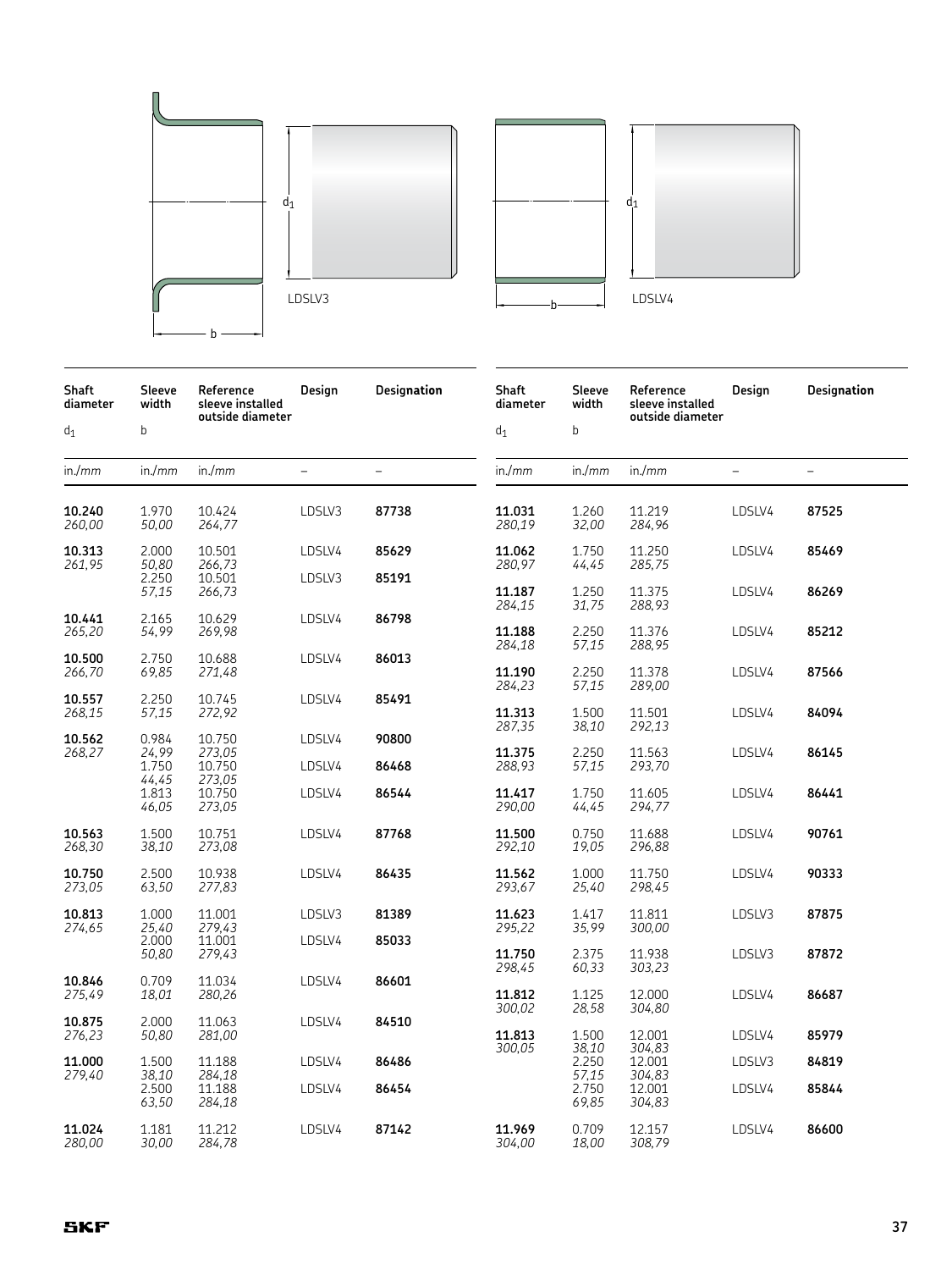



| Shaft<br>diameter | Sleeve<br>width         | Reference<br>sleeve installed<br>outside diameter | Design                   | Designation       | Shaft<br>diameter | Sleeve<br>width         | Reference<br>sleeve installed<br>outside diameter | Design                   | Designation       |
|-------------------|-------------------------|---------------------------------------------------|--------------------------|-------------------|-------------------|-------------------------|---------------------------------------------------|--------------------------|-------------------|
| $d_1$             | b                       |                                                   |                          |                   | $d_1$             | b                       |                                                   |                          |                   |
| in./mm            | in/mm                   | in./mm                                            | $\overline{\phantom{0}}$ | $\qquad \qquad -$ | in/mm             | in./mm                  | in./mm                                            | $\overline{\phantom{0}}$ | $\qquad \qquad -$ |
| 10.240<br>260,00  | 1.970<br>50,00          | 10.424<br>264,77                                  | LDSLV3                   | 87738             | 11.031<br>280,19  | 1.260<br>32,00          | 11.219<br>284,96                                  | LDSLV4                   | 87525             |
| 10.313<br>261,95  | 2.000<br>50,80          | 10.501<br>266,73                                  | LDSLV4                   | 85629             | 11.062<br>280,97  | 1.750<br>44,45          | 11.250<br>285,75                                  | LDSLV4                   | 85469             |
|                   | 2.250<br>57,15          | 10.501<br>266,73                                  | LDSLV3                   | 85191             | 11.187<br>284,15  | 1.250<br>31,75          | 11.375<br>288,93                                  | LDSLV4                   | 86269             |
| 10.441<br>265,20  | 2.165<br>54,99          | 10.629<br>269,98                                  | LDSLV4                   | 86798             | 11.188<br>284,18  | 2.250<br>57,15          | 11.376<br>288,95                                  | LDSLV4                   | 85212             |
| 10.500<br>266,70  | 2.750<br>69,85          | 10.688<br>271,48                                  | LDSLV4                   | 86013             | 11.190<br>284,23  | 2.250<br>57,15          | 11.378<br>289,00                                  | LDSLV4                   | 87566             |
| 10.557<br>268,15  | 2.250<br>57,15          | 10.745<br>272,92                                  | LDSLV4                   | 85491             | 11.313<br>287,35  | 1.500<br>38,10          | 11.501<br>292,13                                  | LDSLV4                   | 84094             |
| 10.562<br>268,27  | 0.984<br>24,99<br>1.750 | 10.750<br>273,05<br>10.750                        | LDSLV4<br>LDSLV4         | 90800<br>86468    | 11.375<br>288,93  | 2.250<br>57,15          | 11.563<br>293,70                                  | LDSLV4                   | 86145             |
|                   | 44,45<br>1.813<br>46,05 | 273,05<br>10.750<br>273,05                        | LDSLV4                   | 86544             | 11.417<br>290,00  | 1.750<br>44,45          | 11.605<br>294,77                                  | LDSLV4                   | 86441             |
| 10.563<br>268,30  | 1.500<br>38,10          | 10.751<br>273,08                                  | LDSLV4                   | 87768             | 11.500<br>292,10  | 0.750<br>19,05          | 11.688<br>296,88                                  | LDSLV4                   | 90761             |
| 10.750<br>273,05  | 2.500<br>63,50          | 10.938<br>277,83                                  | LDSLV4                   | 86435             | 11.562<br>293,67  | 1.000<br>25,40          | 11.750<br>298,45                                  | LDSLV4                   | 90333             |
| 10.813<br>274,65  | 1.000<br>25,40          | 11.001<br>279,43                                  | LDSLV3                   | 81389             | 11.623<br>295,22  | 1.417<br>35,99          | 11.811<br>300,00                                  | LDSLV3                   | 87875             |
|                   | 2.000<br>50,80          | 11.001<br>279,43                                  | LDSLV4                   | 85033             | 11.750<br>298,45  | 2.375<br>60,33          | 11.938<br>303,23                                  | LDSLV3                   | 87872             |
| 10.846<br>275,49  | 0.709<br>18,01          | 11.034<br>280,26                                  | LDSLV4                   | 86601             | 11.812<br>300,02  | 1.125<br>28,58          | 12.000<br>304,80                                  | LDSLV4                   | 86687             |
| 10.875<br>276,23  | 2.000<br>50,80          | 11.063<br>281,00                                  | LDSLV4                   | 84510             | 11.813            | 1.500                   | 12.001                                            | LDSLV4                   | 85979             |
| 11.000<br>279,40  | 1.500<br>38,10          | 11.188<br>284,18                                  | LDSLV4                   | 86486             | 300,05            | 38,10<br>2.250<br>57,15 | 304,83<br>12.001<br>304,83                        | LDSLV3                   | 84819             |
|                   | 2.500<br>63,50          | 11.188<br>284,18                                  | LDSLV4                   | 86454             |                   | 2.750<br>69,85          | 12.001<br>304,83                                  | LDSLV4                   | 85844             |
| 11.024<br>280,00  | 1.181<br>30,00          | 11.212<br>284,78                                  | LDSLV4                   | 87142             | 11.969<br>304,00  | 0.709<br>18,00          | 12.157<br>308,79                                  | LDSLV4                   | 86600             |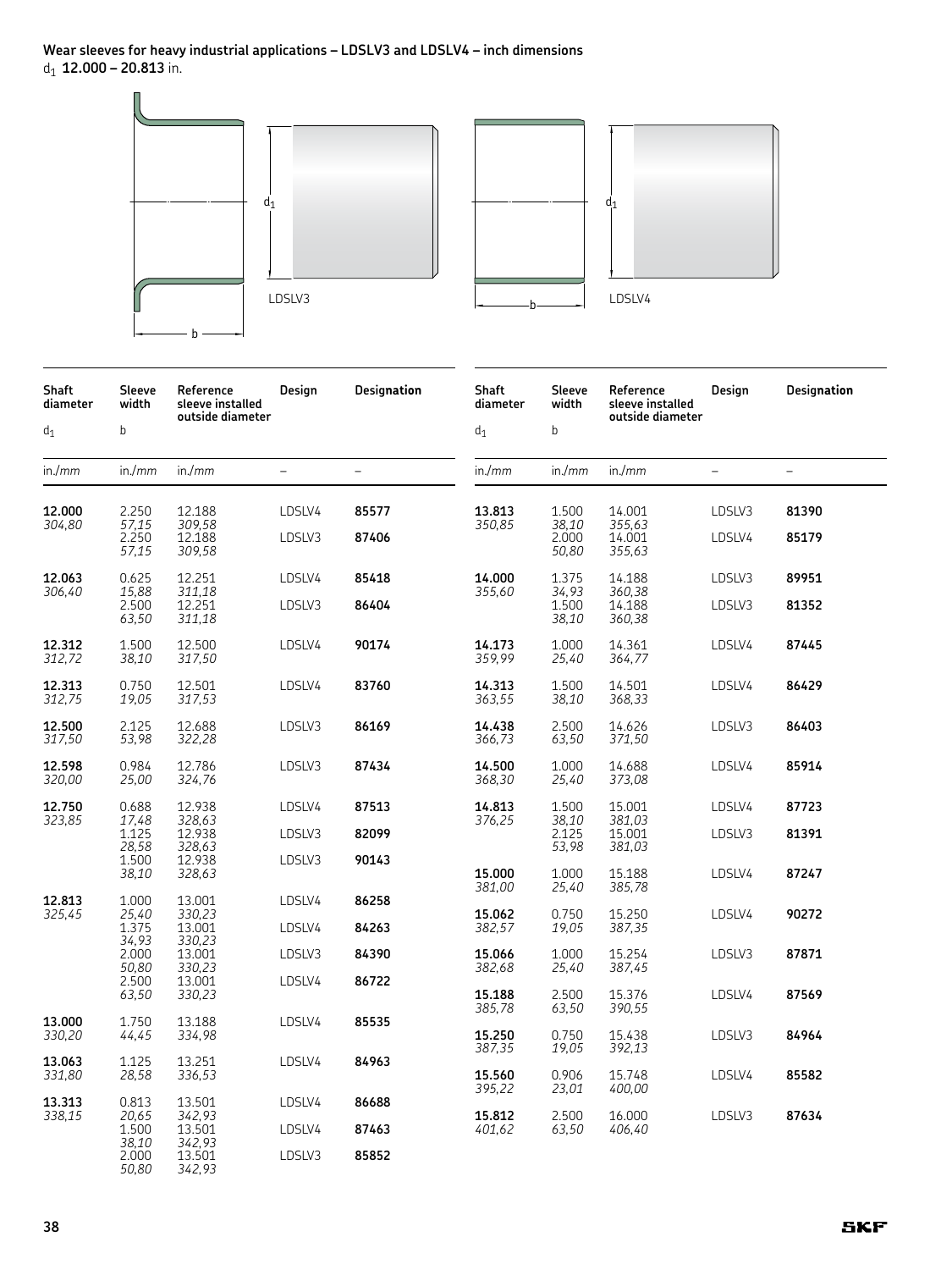**Wear sleeves for heavy industrial applications – LDSLV3 and LDSLV4 – inch dimensions** d1 **12.000 – 20.813** in.



| <b>Shaft</b><br>diameter | Sleeve<br>width         | Reference<br>sleeve installed<br>outside diameter | Design | <b>Designation</b> | <b>Shaft</b><br>diameter | Sleeve<br>width | Reference<br>sleeve installed<br>outside diameter | Design | Designation |
|--------------------------|-------------------------|---------------------------------------------------|--------|--------------------|--------------------------|-----------------|---------------------------------------------------|--------|-------------|
| $\mathsf{d}_1$           | $\mathsf b$             |                                                   |        |                    | $\mathsf{d}_1$           | $\mathsf b$     |                                                   |        |             |
| in./mm                   | in./mm                  | in./mm                                            |        |                    | in/mm                    | in./mm          | in./mm                                            |        |             |
| 12.000<br>304,80         | 2.250<br>57,15          | 12.188<br>309,58                                  | LDSLV4 | 85577              | 13.813<br>350,85         | 1.500<br>38,10  | 14.001<br>355,63                                  | LDSLV3 | 81390       |
|                          | 2.250<br>57,15          | 12.188<br>309,58                                  | LDSLV3 | 87406              |                          | 2.000<br>50,80  | 14.001<br>355,63                                  | LDSLV4 | 85179       |
| 12.063<br>306,40         | 0.625<br>15,88          | 12.251<br>311,18                                  | LDSLV4 | 85418              | 14.000<br>355,60         | 1.375<br>34,93  | 14.188<br>360,38                                  | LDSLV3 | 89951       |
|                          | 2.500<br>63,50          | 12.251<br>311,18                                  | LDSLV3 | 86404              |                          | 1.500<br>38,10  | 14.188<br>360,38                                  | LDSLV3 | 81352       |
| 12.312<br>312,72         | 1.500<br>38,10          | 12.500<br>317,50                                  | LDSLV4 | 90174              | 14.173<br>359,99         | 1.000<br>25,40  | 14.361<br>364,77                                  | LDSLV4 | 87445       |
| 12.313<br>312,75         | 0.750<br>19,05          | 12.501<br>317,53                                  | LDSLV4 | 83760              | 14.313<br>363,55         | 1.500<br>38,10  | 14.501<br>368,33                                  | LDSLV4 | 86429       |
| 12.500<br>317,50         | 2.125<br>53,98          | 12.688<br>322,28                                  | LDSLV3 | 86169              | 14.438<br>366,73         | 2.500<br>63,50  | 14.626<br>371,50                                  | LDSLV3 | 86403       |
| 12.598<br>320,00         | 0.984<br>25,00          | 12.786<br>324,76                                  | LDSLV3 | 87434              | 14.500<br>368,30         | 1.000<br>25,40  | 14.688<br>373,08                                  | LDSLV4 | 85914       |
| 12.750<br>323,85         | 0.688<br>17,48          | 12.938<br>328,63                                  | LDSLV4 | 87513              | 14.813<br>376,25         | 1.500<br>38,10  | 15.001<br>381,03                                  | LDSLV4 | 87723       |
|                          | 1.125<br>28,58          | 12.938<br>328,63                                  | LDSLV3 | 82099              |                          | 2.125<br>53,98  | 15.001<br>381,03                                  | LDSLV3 | 81391       |
|                          | 1.500<br>38,10          | 12.938<br>328,63                                  | LDSLV3 | 90143              | 15.000<br>381,00         | 1.000<br>25,40  | 15.188<br>385,78                                  | LDSLV4 | 87247       |
| 12.813<br>325,45         | 1.000<br>25,40          | 13.001<br>330,23                                  | LDSLV4 | 86258              | 15.062                   | 0.750           | 15.250                                            | LDSLV4 | 90272       |
|                          | 1.375<br>34,93          | 13.001<br>330,23                                  | LDSLV4 | 84263              | 382,57                   | 19,05           | 387,35                                            |        |             |
|                          | 2.000<br>50,80          | 13.001<br>330,23                                  | LDSLV3 | 84390              | 15.066<br>382,68         | 1.000<br>25,40  | 15.254<br>387,45                                  | LDSLV3 | 87871       |
|                          | 2.500<br>63,50          | 13.001<br>330,23                                  | LDSLV4 | 86722              | 15.188<br>385,78         | 2.500<br>63,50  | 15.376<br>390,55                                  | LDSLV4 | 87569       |
| 13.000<br>330,20         | 1.750<br>44,45          | 13.188<br>334,98                                  | LDSLV4 | 85535              | 15.250                   | 0.750           | 15.438                                            | LDSLV3 | 84964       |
| 13.063<br>331,80         | 1.125<br>28,58          | 13.251<br>336,53                                  | LDSLV4 | 84963              | 387,35<br>15.560         | 19,05<br>0.906  | 392,13<br>15.748                                  | LDSLV4 | 85582       |
| 13.313                   | 0.813                   | 13.501                                            | LDSLV4 | 86688              | 395,22                   | 23,01           | 400,00                                            |        |             |
| 338,15                   | 20,65<br>1.500<br>38,10 | 342,93<br>13.501<br>342,93                        | LDSLV4 | 87463              | 15.812<br>401,62         | 2.500<br>63,50  | 16.000<br>406,40                                  | LDSLV3 | 87634       |
|                          | 2.000<br>50,80          | 13.501<br>342,93                                  | LDSLV3 | 85852              |                          |                 |                                                   |        |             |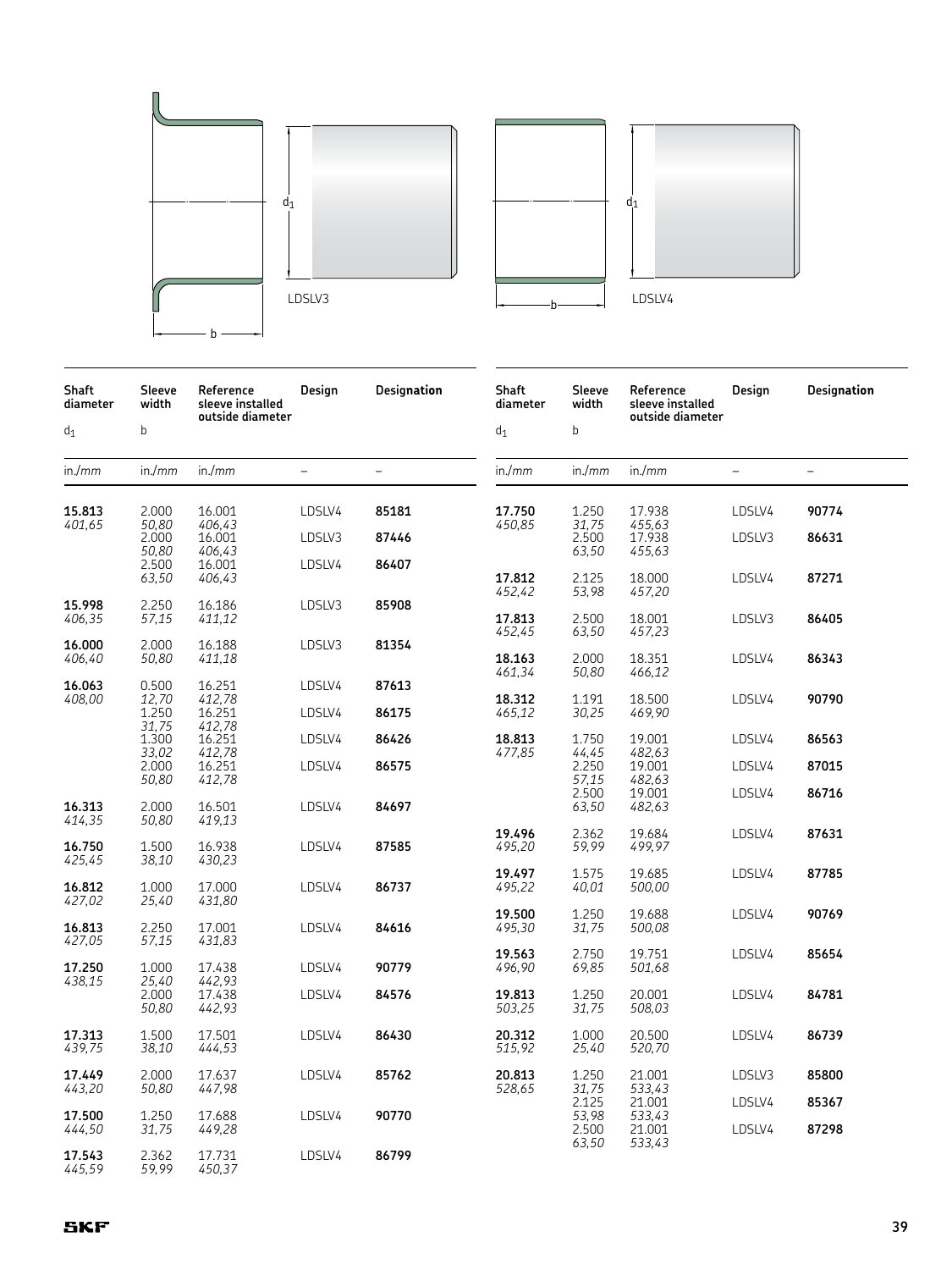



| Shaft<br>diameter | Sleeve<br>width         | Reference<br>sleeve installed<br>outside diameter | Design                   | Designation              | Shaft<br>diameter | Sleeve<br>width         | Reference<br>sleeve installed<br>outside diameter | Design           | Designation              |
|-------------------|-------------------------|---------------------------------------------------|--------------------------|--------------------------|-------------------|-------------------------|---------------------------------------------------|------------------|--------------------------|
| $\mathsf{d}_1$    | $\sf b$                 |                                                   |                          |                          | $d_1$             | b                       |                                                   |                  |                          |
| in./mm            | in/mm                   | in./mm                                            | $\overline{\phantom{0}}$ | $\overline{\phantom{0}}$ | in/mm             | in/mm                   | in./mm                                            |                  | $\overline{\phantom{0}}$ |
| 15.813            | 2.000                   | 16.001                                            | LDSLV4                   | 85181                    | 17.750            | 1.250                   | 17.938                                            | LDSLV4           | 90774                    |
| 401,65            | 50,80<br>2.000          | 406,43<br>16.001                                  | LDSLV3                   | 87446                    | 450,85            | 31,75<br>2.500          | 455,63<br>17.938                                  | LDSLV3           | 86631                    |
|                   | 50,80<br>2.500          | 406,43<br>16.001                                  | LDSLV4                   | 86407                    |                   | 63,50                   | 455,63                                            |                  |                          |
|                   | 63,50                   | 406,43                                            |                          |                          | 17.812<br>452,42  | 2.125<br>53,98          | 18.000<br>457,20                                  | LDSLV4           | 87271                    |
| 15.998<br>406,35  | 2.250<br>57,15          | 16.186<br>411,12                                  | LDSLV3                   | 85908                    | 17.813<br>452,45  | 2.500<br>63,50          | 18.001<br>457,23                                  | LDSLV3           | 86405                    |
| 16.000<br>406,40  | 2.000<br>50,80          | 16.188<br>411,18                                  | LDSLV3                   | 81354                    | 18.163            | 2.000                   | 18.351                                            | LDSLV4           | 86343                    |
| 16.063            | 0.500                   | 16.251                                            | LDSLV4                   | 87613                    | 461,34            | 50,80                   | 466,12                                            |                  |                          |
| 408,00            | 12,70<br>1.250          | 412,78<br>16.251                                  | LDSLV4                   | 86175                    | 18.312<br>465,12  | 1.191<br>30,25          | 18.500<br>469,90                                  | LDSLV4           | 90790                    |
|                   | 31,75<br>1.300<br>33,02 | 412,78<br>16.251<br>412,78                        | LDSLV4                   | 86426                    | 18.813<br>477,85  | 1.750<br>44,45          | 19.001<br>482,63                                  | LDSLV4           | 86563                    |
|                   | 2.000<br>50,80          | 16.251<br>412,78                                  | LDSLV4                   | 86575                    |                   | 2.250<br>57,15          | 19.001<br>482,63                                  | LDSLV4           | 87015                    |
| 16.313<br>414,35  | 2.000<br>50,80          | 16.501<br>419,13                                  | LDSLV4                   | 84697                    |                   | 2.500<br>63,50          | 19.001<br>482,63                                  | LDSLV4           | 86716                    |
| 16.750<br>425,45  | 1.500<br>38,10          | 16.938<br>430,23                                  | LDSLV4                   | 87585                    | 19.496<br>495,20  | 2.362<br>59,99          | 19.684<br>499,97                                  | LDSLV4           | 87631                    |
| 16.812            | 1.000                   | 17.000                                            | LDSLV4                   | 86737                    | 19.497<br>495,22  | 1.575<br>40,01          | 19.685<br>500,00                                  | LDSLV4           | 87785                    |
| 427,02<br>16.813  | 25,40<br>2.250          | 431,80<br>17.001                                  | LDSLV4                   | 84616                    | 19.500<br>495,30  | 1.250<br>31,75          | 19.688<br>500,08                                  | LDSLV4           | 90769                    |
| 427,05<br>17.250  | 57,15<br>1.000          | 431,83<br>17.438                                  | LDSLV4                   | 90779                    | 19.563<br>496,90  | 2.750<br>69,85          | 19.751<br>501,68                                  | LDSLV4           | 85654                    |
| 438,15            | 25,40<br>2.000<br>50,80 | 442,93<br>17.438<br>442,93                        | LDSLV4                   | 84576                    | 19.813<br>503,25  | 1.250<br>31,75          | 20.001<br>508,03                                  | LDSLV4           | 84781                    |
| 17.313<br>439,75  | 1.500<br>38,10          | 17.501<br>444,53                                  | LDSLV4                   | 86430                    | 20.312<br>515,92  | 1.000<br>25,40          | 20.500<br>520,70                                  | LDSLV4           | 86739                    |
| 17.449<br>443,20  | 2.000<br>50,80          | 17.637<br>447,98                                  | LDSLV4                   | 85762                    | 20.813<br>528,65  | 1.250<br>31,75          | 21.001<br>533,43<br>21.001                        | LDSLV3           | 85800                    |
| 17.500<br>444,50  | 1.250<br>31,75          | 17.688<br>449,28                                  | LDSLV4                   | 90770                    |                   | 2.125<br>53,98<br>2.500 | 533,43<br>21.001                                  | LDSLV4<br>LDSLV4 | 85367<br>87298           |
| 17.543<br>445,59  | 2.362<br>59,99          | 17.731<br>450,37                                  | LDSLV4                   | 86799                    |                   | 63,50                   | 533,43                                            |                  |                          |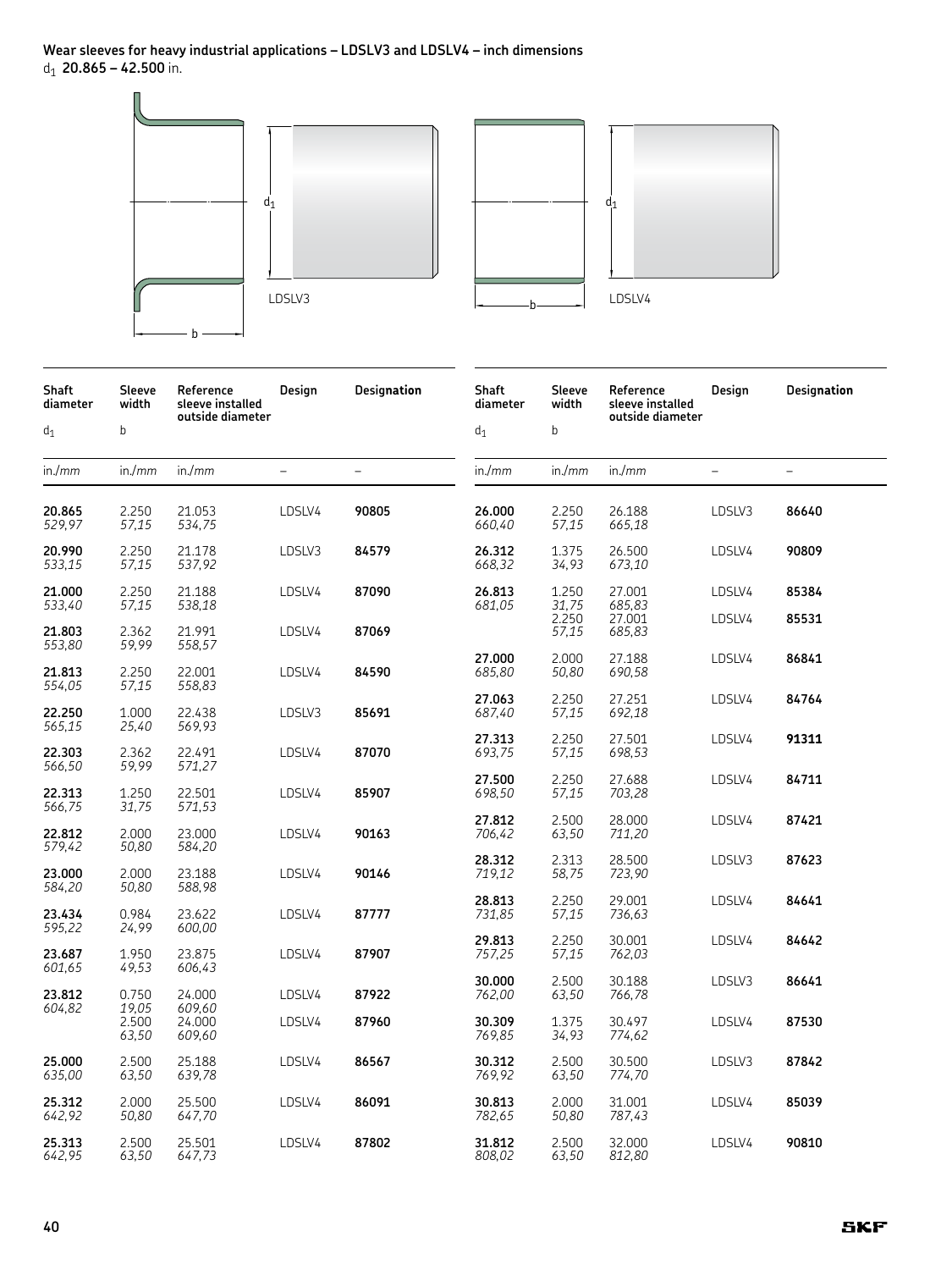**Wear sleeves for heavy industrial applications – LDSLV3 and LDSLV4 – inch dimensions** d1 **20.865 – 42.500** in.



| Shaft<br>diameter | Sleeve<br>width         | Reference<br>sleeve installed<br>outside diameter | Design                   | Designation              | Shaft<br>diameter | Sleeve<br>width | Reference<br>sleeve installed<br>outside diameter | Design   | Designation              |
|-------------------|-------------------------|---------------------------------------------------|--------------------------|--------------------------|-------------------|-----------------|---------------------------------------------------|----------|--------------------------|
| $d_1$             | b                       |                                                   |                          |                          | $d_1$             | b               |                                                   |          |                          |
| in./mm            | in./mm                  | in./mm                                            | $\overline{\phantom{0}}$ | $\overline{\phantom{0}}$ | in./mm            | in./mm          | in./mm                                            | $\equiv$ | $\overline{\phantom{0}}$ |
| 20.865<br>529,97  | 2.250<br>57,15          | 21.053<br>534,75                                  | LDSLV4                   | 90805                    | 26.000<br>660,40  | 2.250<br>57,15  | 26.188<br>665,18                                  | LDSLV3   | 86640                    |
| 20.990<br>533,15  | 2.250<br>57,15          | 21.178<br>537,92                                  | LDSLV3                   | 84579                    | 26.312<br>668,32  | 1.375<br>34,93  | 26.500<br>673,10                                  | LDSLV4   | 90809                    |
| 21.000<br>533,40  | 2.250<br>57,15          | 21.188<br>538,18                                  | LDSLV4                   | 87090                    | 26.813<br>681,05  | 1.250<br>31,75  | 27.001<br>685,83                                  | LDSLV4   | 85384                    |
| 21.803<br>553,80  | 2.362<br>59,99          | 21.991<br>558,57                                  | LDSLV4                   | 87069                    |                   | 2.250<br>57,15  | 27.001<br>685,83                                  | LDSLV4   | 85531                    |
| 21.813<br>554,05  | 2.250<br>57,15          | 22.001<br>558,83                                  | LDSLV4                   | 84590                    | 27.000<br>685,80  | 2.000<br>50,80  | 27.188<br>690,58                                  | LDSLV4   | 86841                    |
| 22.250<br>565,15  | 1.000<br>25,40          | 22.438<br>569,93                                  | LDSLV3                   | 85691                    | 27.063<br>687,40  | 2.250<br>57,15  | 27.251<br>692,18                                  | LDSLV4   | 84764                    |
| 22.303<br>566,50  | 2.362<br>59,99          | 22.491<br>571,27                                  | LDSLV4                   | 87070                    | 27.313<br>693,75  | 2.250<br>57,15  | 27.501<br>698,53                                  | LDSLV4   | 91311                    |
| 22.313<br>566,75  | 1.250<br>31,75          | 22.501<br>571,53                                  | LDSLV4                   | 85907                    | 27.500<br>698,50  | 2.250<br>57,15  | 27.688<br>703,28                                  | LDSLV4   | 84711                    |
| 22.812<br>579,42  | 2.000<br>50,80          | 23,000<br>584,20                                  | LDSLV4                   | 90163                    | 27.812<br>706,42  | 2.500<br>63,50  | 28.000<br>711,20                                  | LDSLV4   | 87421                    |
| 23.000<br>584,20  | 2.000<br>50,80          | 23.188<br>588,98                                  | LDSLV4                   | 90146                    | 28.312<br>719,12  | 2.313<br>58,75  | 28.500<br>723,90                                  | LDSLV3   | 87623                    |
| 23.434<br>595,22  | 0.984<br>24,99          | 23.622<br>600,00                                  | LDSLV4                   | 87777                    | 28.813<br>731,85  | 2.250<br>57,15  | 29.001<br>736,63                                  | LDSLV4   | 84641                    |
| 23.687<br>601,65  | 1.950<br>49,53          | 23.875<br>606,43                                  | LDSLV4                   | 87907                    | 29.813<br>757,25  | 2.250<br>57,15  | 30.001<br>762,03                                  | LDSLV4   | 84642                    |
| 23.812            | 0.750                   | 24.000                                            | LDSLV4                   | 87922                    | 30.000<br>762,00  | 2.500<br>63,50  | 30.188<br>766,78                                  | LDSLV3   | 86641                    |
| 604,82            | 19,05<br>2.500<br>63,50 | 609,60<br>24.000<br>609,60                        | LDSLV4                   | 87960                    | 30.309<br>769,85  | 1.375<br>34,93  | 30.497<br>774,62                                  | LDSLV4   | 87530                    |
| 25.000<br>635,00  | 2.500<br>63,50          | 25.188<br>639,78                                  | LDSLV4                   | 86567                    | 30.312<br>769,92  | 2.500<br>63,50  | 30.500<br>774,70                                  | LDSLV3   | 87842                    |
| 25.312<br>642,92  | 2.000<br>50,80          | 25.500<br>647,70                                  | LDSLV4                   | 86091                    | 30.813<br>782,65  | 2.000<br>50,80  | 31.001<br>787,43                                  | LDSLV4   | 85039                    |
| 25.313<br>642,95  | 2.500<br>63,50          | 25.501<br>647,73                                  | LDSLV4                   | 87802                    | 31.812<br>808,02  | 2.500<br>63,50  | 32.000<br>812,80                                  | LDSLV4   | 90810                    |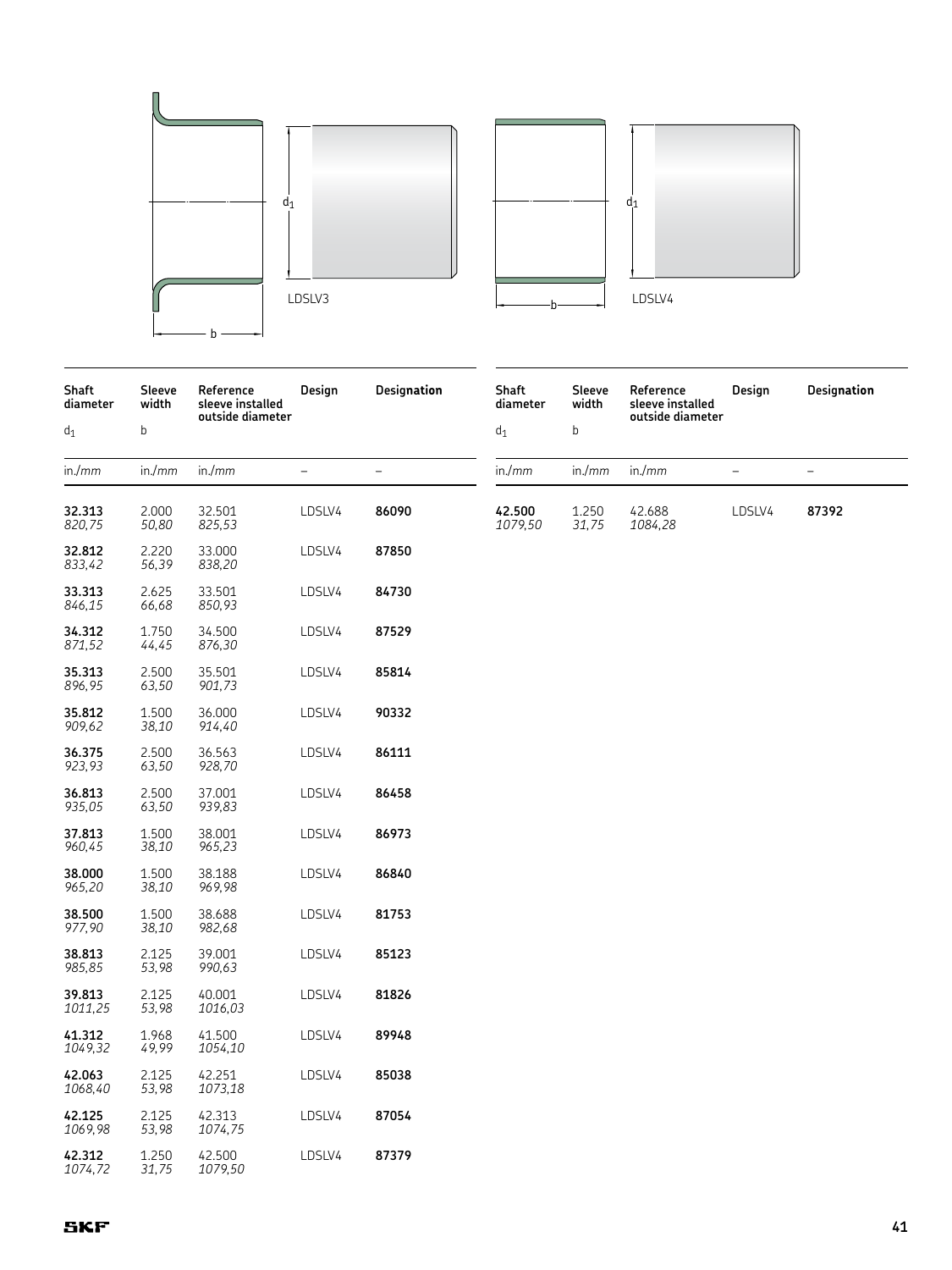



| <b>Shaft</b><br>diameter | Sleeve<br>width | Reference<br>sleeve installed<br>outside diameter | Design | Designation              | Shaft<br>diamet  |  |
|--------------------------|-----------------|---------------------------------------------------|--------|--------------------------|------------------|--|
| d <sub>1</sub>           | b               |                                                   |        |                          | $d_1$            |  |
| in/mm                    | in./mm          | in./mm                                            |        | $\overline{\phantom{0}}$ | in/mm            |  |
| 32.313<br>820,75         | 2.000<br>50,80  | 32.501<br>825,53                                  | LDSLV4 | 86090                    | 42.500<br>1079,5 |  |
| 32.812<br>833,42         | 2.220<br>56,39  | 33.000<br>838,20                                  | LDSLV4 | 87850                    |                  |  |
| 33.313<br>846,15         | 2.625<br>66,68  | 33.501<br>850,93                                  | LDSLV4 | 84730                    |                  |  |
| 34.312<br>871,52         | 1.750<br>44,45  | 34.500<br>876,30                                  | LDSLV4 | 87529                    |                  |  |
| 35.313<br>896,95         | 2.500<br>63,50  | 35.501<br>901,73                                  | LDSLV4 | 85814                    |                  |  |
| 35.812<br>909,62         | 1.500<br>38,10  | 36.000<br>914,40                                  | LDSLV4 | 90332                    |                  |  |
| 36.375<br>923,93         | 2.500<br>63,50  | 36.563<br>928,70                                  | LDSLV4 | 86111                    |                  |  |
| 36.813<br>935,05         | 2.500<br>63,50  | 37.001<br>939,83                                  | LDSLV4 | 86458                    |                  |  |
| 37.813<br>960,45         | 1.500<br>38,10  | 38.001<br>965,23                                  | LDSLV4 | 86973                    |                  |  |
| 38.000<br>965,20         | 1.500<br>38,10  | 38.188<br>969,98                                  | LDSLV4 | 86840                    |                  |  |
| 38.500<br>977,90         | 1.500<br>38,10  | 38.688<br>982,68                                  | LDSLV4 | 81753                    |                  |  |
| 38.813<br>985,85         | 2.125<br>53,98  | 39.001<br>990,63                                  | LDSLV4 | 85123                    |                  |  |
| 39.813<br>1011,25        | 2.125<br>53,98  | 40.001<br>1016,03                                 | LDSLV4 | 81826                    |                  |  |
| 41.312<br>1049,32        | 1.968<br>49,99  | 41.500<br>1054,10                                 | LDSLV4 | 89948                    |                  |  |
| 42.063<br>1068,40        | 2.125<br>53,98  | 42.251<br>1073,18                                 | LDSLV4 | 85038                    |                  |  |
| 42.125<br>1069,98        | 2.125<br>53,98  | 42.313<br>1074,75                                 | LDSLV4 | 87054                    |                  |  |
| 42.312<br>1074,72        | 1.250<br>31,75  | 42.500<br>1079,50                                 | LDSLV4 | 87379                    |                  |  |

| <b>Shaft</b><br>diameter | Sleeve<br>width | Reference<br>sleeve installed<br>outside diameter | Desian | <b>Designation</b> |
|--------------------------|-----------------|---------------------------------------------------|--------|--------------------|
| d <sub>1</sub>           | b               |                                                   |        |                    |
| in/mm                    | in./mm          | in./ $mm$                                         |        |                    |
| 42.500<br>1079,50        | 1.250<br>31.75  | 42.688<br>1084,28                                 | LDSLV4 | 87392              |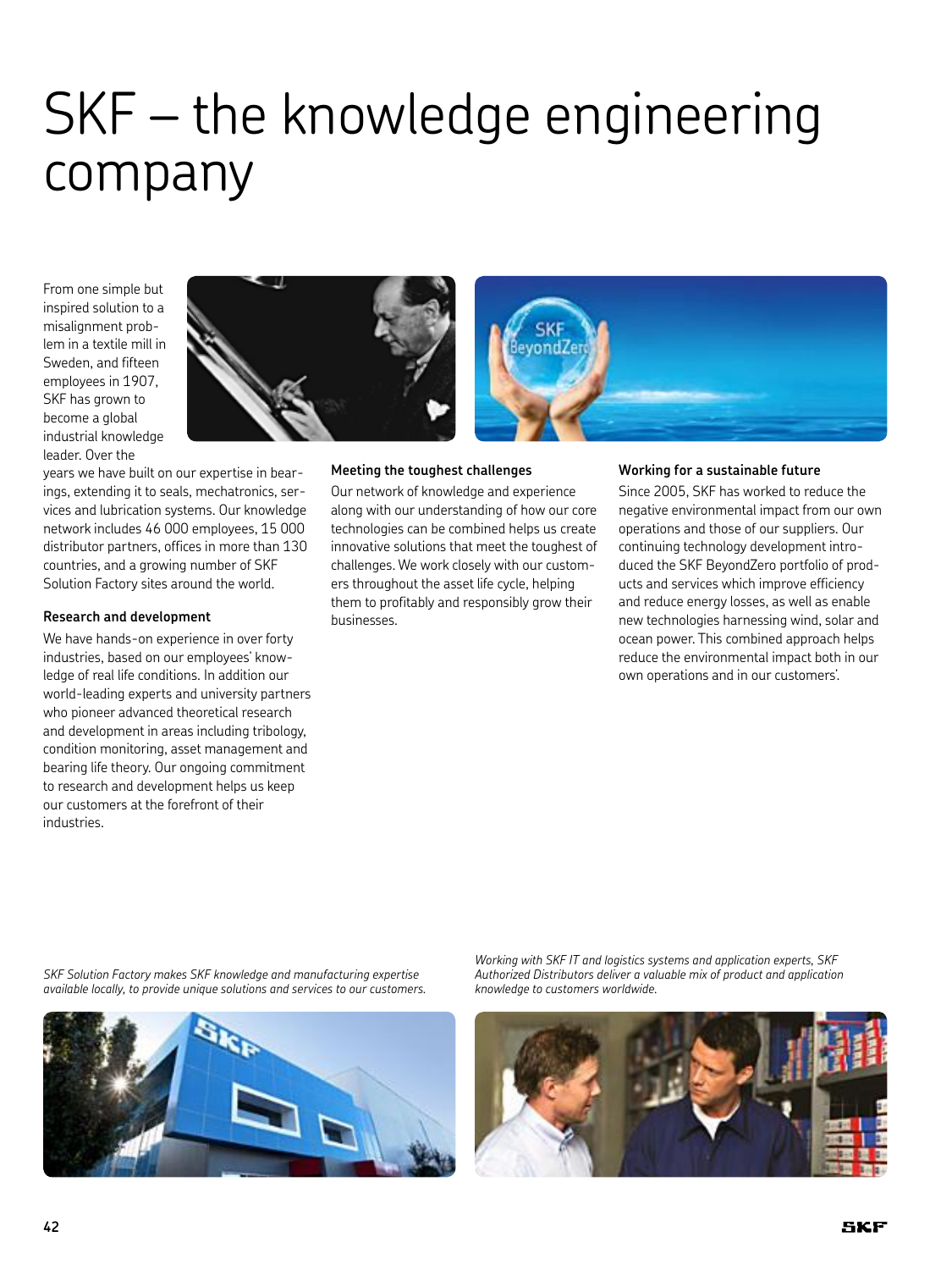# SKF – the knowledge engineering company

From one simple but inspired solution to a misalignment problem in a textile mill in Sweden, and fifteen employees in 1907, SKF has grown to become a global industrial knowledge leader. Over the



years we have built on our expertise in bearings, extending it to seals, mechatronics, services and lubrication systems. Our knowledge network includes 46 000 employees, 15 000 distributor partners, offices in more than 130 countries, and a growing number of SKF Solution Factory sites around the world.

#### **Research and development**

We have hands-on experience in over forty industries, based on our employees' knowledge of real life conditions. In addition our world-leading experts and university partners who pioneer advanced theoretical research and development in areas including tribology, condition monitoring, asset management and bearing life theory. Our ongoing commitment to research and development helps us keep our customers at the forefront of their industries.

#### **Meeting the toughest challenges**

Our network of knowledge and experience along with our understanding of how our core technologies can be combined helps us create innovative solutions that meet the toughest of challenges. We work closely with our customers throughout the asset life cycle, helping them to profitably and responsibly grow their businesses.

#### **Working for a sustainable future**

Since 2005, SKF has worked to reduce the negative environmental impact from our own operations and those of our suppliers. Our continuing technology development introduced the SKF BeyondZero portfolio of products and services which improve efficiency and reduce energy losses, as well as enable new technologies harnessing wind, solar and ocean power. This combined approach helps reduce the environmental impact both in our own operations and in our customers'.

*SKF Solution Factory makes SKF knowledge and manufacturing expertise available locally, to provide unique solutions and services to our customers.*



*Working with SKF IT and logistics systems and application experts, SKF Authorized Distributors deliver a valuable mix of product and application knowledge to customers worldwide.*

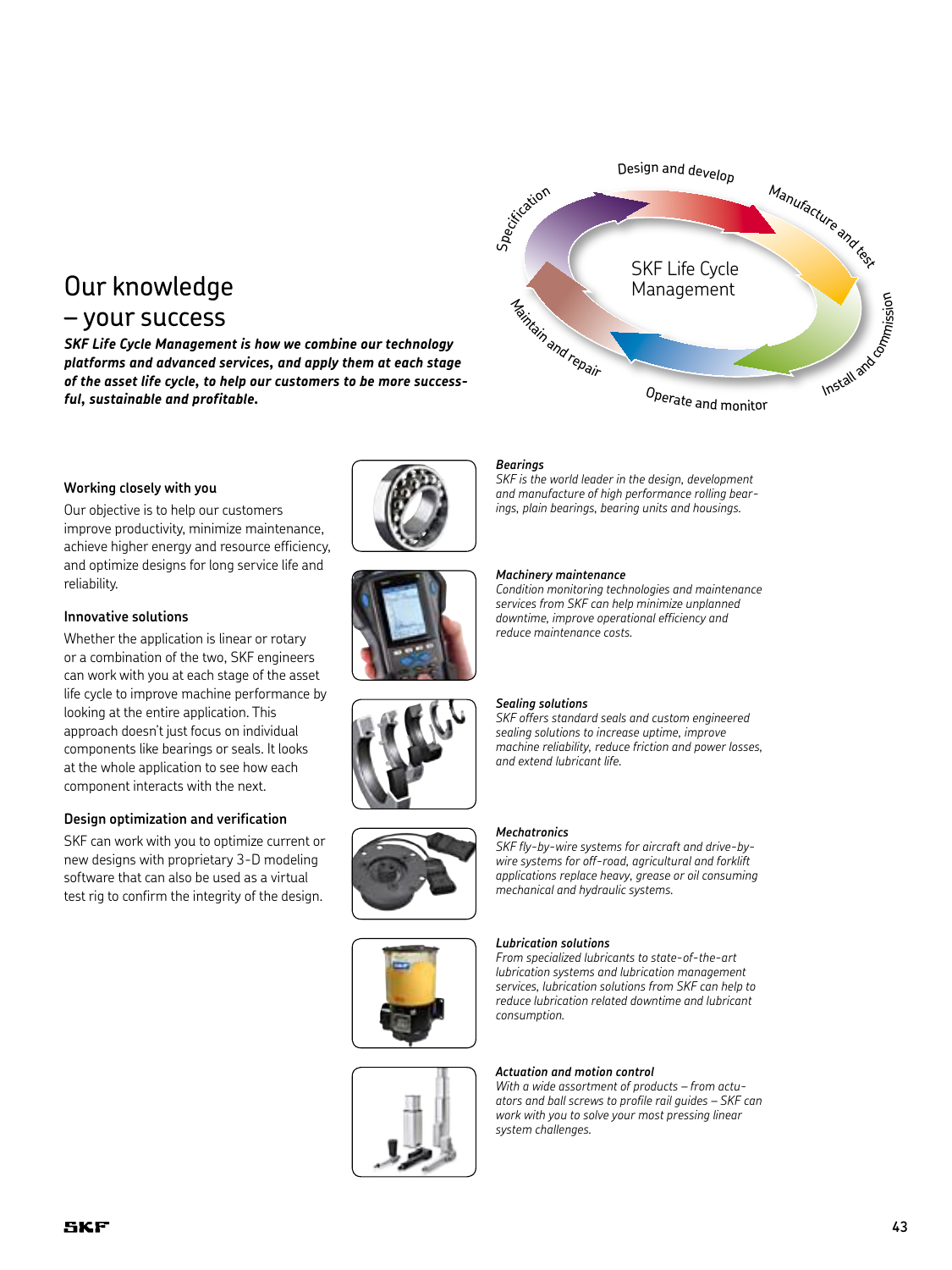# Our knowledge – your success

*SKF Life Cycle Management is how we combine our technology platforms and advanced services, and apply them at each stage of the asset life cycle, to help our customers to be more successful, sustainable and profitable.*

#### **Working closely with you**

Our objective is to help our customers improve productivity, minimize maintenance, achieve higher energy and resource efficiency, and optimize designs for long service life and reliability.

#### **Innovative solutions**

Whether the application is linear or rotary or a combination of the two, SKF engineers can work with you at each stage of the asset life cycle to improve machine performance by looking at the entire application. This approach doesn't just focus on individual components like bearings or seals. It looks at the whole application to see how each component interacts with the next.

#### **Design optimization and verification**

SKF can work with you to optimize current or new designs with proprietary 3-D modeling software that can also be used as a virtual test rig to confirm the integrity of the design.













# SKF Life Cycle Management Design and develop Manufacture and text of Specification Install and commission <sup>O</sup>perat<sup>e</sup> <sup>a</sup>n<sup>d</sup> <sup>m</sup>o<sup>n</sup>ito<sup>r</sup> <sup>M</sup>aintai<sup>n</sup> <sup>a</sup>n<sup>d</sup> <sup>r</sup>epai<sup>r</sup>

#### *Bearings*

*SKF is the world leader in the design, development and manufacture of high performance rolling bearings, plain bearings, bearing units and housings.*

#### *Machinery maintenance*

*Condition monitoring technologies and maintenance services from SKF can help minimize unplanned downtime, improve operational efficiency and reduce maintenance costs.*

#### *Sealing solutions*

*SKF offers standard seals and custom engineered sealing solutions to increase uptime, improve machine reliability, reduce friction and power losses, and extend lubricant life.*

#### *Mechatronics*

*SKF fly-by-wire systems for aircraft and drive-bywire systems for off-road, agricultural and forklift applications replace heavy, grease or oil consuming mechanical and hydraulic systems.*

#### *Lubrication solutions*

*From specialized lubricants to state-of-the-art lubrication systems and lubrication management services, lubrication solutions from SKF can help to reduce lubrication related downtime and lubricant consumption.*

#### *Actuation and motion control*

*With a wide assortment of products – from actuators and ball screws to profile rail guides – SKF can work with you to solve your most pressing linear system challenges.*